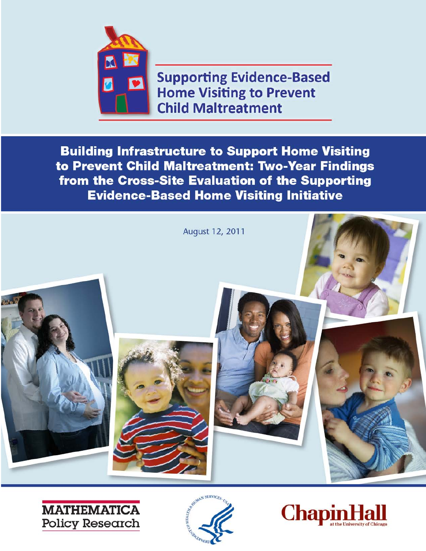

**Supporting Evidence-Based Home Visiting to Prevent Child Maltreatment** 

**Building Infrastructure to Support Home Visiting** to Prevent Child Maltreatment: Two-Year Findings from the Cross-Site Evaluation of the Supporting **Evidence-Based Home Visiting Initiative** 







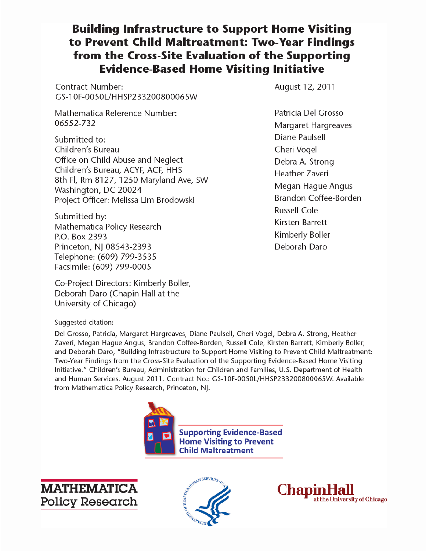# **Building Infrastructure to Support Home Visiting** to Prevent Child Maltreatment: Two-Year Findings from the Cross-Site Evaluation of the Supporting **Evidence-Based Home Visiting Initiative**

**Contract Number:** GS-10F-0050L/HHSP233200800065W

Mathematica Reference Number: 06552-732

Submitted to: Children's Bureau Office on Child Abuse and Neglect Children's Bureau, ACYF, ACF, HHS 8th Fl, Rm 8127, 1250 Maryland Ave, SW Washington, DC 20024 Project Officer: Melissa Lim Brodowski

Submitted by: Mathematica Policy Research P.O. Box 2393 Princeton, NJ 08543-2393 Telephone: (609) 799-3535 Facsimile: (609) 799-0005

Co-Project Directors: Kimberly Boller, Deborah Daro (Chapin Hall at the University of Chicago)

August 12, 2011

Patricia Del Grosso Margaret Hargreaves Diane Paulsell Cheri Vogel Debra A. Strong **Heather Zaveri** Megan Hague Angus Brandon Coffee-Borden **Russell Cole** Kirsten Barrett Kimberly Boller Deborah Daro

# Suggested citation:

Del Grosso, Patricia, Margaret Hargreaves, Diane Paulsell, Cheri Vogel, Debra A. Strong, Heather Zaveri, Megan Hague Angus, Brandon Coffee-Borden, Russell Cole, Kirsten Barrett, Kimberly Boller, and Deborah Daro, "Building Infrastructure to Support Home Visiting to Prevent Child Maltreatment: Two-Year Findings from the Cross-Site Evaluation of the Supporting Evidence-Based Home Visiting Initiative." Children's Bureau, Administration for Children and Families, U.S. Department of Health and Human Services. August 2011. Contract No.: GS-10F-0050L/HHSP233200800065W. Available from Mathematica Policy Research, Princeton, NJ.







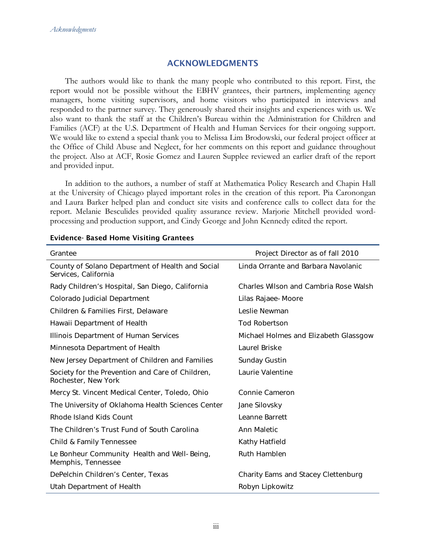### ACKNOWLEDGMENTS

The authors would like to thank the many people who contributed to this report. First, the report would not be possible without the EBHV grantees, their partners, implementing agency managers, home visiting supervisors, and home visitors who participated in interviews and responded to the partner survey. They generously shared their insights and experiences with us. We also want to thank the staff at the Children's Bureau within the Administration for Children and Families (ACF) at the U.S. Department of Health and Human Services for their ongoing support. We would like to extend a special thank you to Melissa Lim Brodowski, our federal project officer at the Office of Child Abuse and Neglect, for her comments on this report and guidance throughout the project. Also at ACF, Rosie Gomez and Lauren Supplee reviewed an earlier draft of the report and provided input.

In addition to the authors, a number of staff at Mathematica Policy Research and Chapin Hall at the University of Chicago played important roles in the creation of this report. Pia Caronongan and Laura Barker helped plan and conduct site visits and conference calls to collect data for the report. Melanie Besculides provided quality assurance review. Marjorie Mitchell provided wordprocessing and production support, and Cindy George and John Kennedy edited the report.

| Grantee                                                                  | Project Director as of fall 2010      |
|--------------------------------------------------------------------------|---------------------------------------|
| County of Solano Department of Health and Social<br>Services, California | Linda Orrante and Barbara Navolanic   |
| Rady Children's Hospital, San Diego, California                          | Charles Wilson and Cambria Rose Walsh |
| Colorado Judicial Department                                             | Lilas Rajaee-Moore                    |
| Children & Families First, Delaware                                      | Leslie Newman                         |
| Hawaii Department of Health                                              | <b>Tod Robertson</b>                  |
| Illinois Department of Human Services                                    | Michael Holmes and Elizabeth Glassgow |
| Minnesota Department of Health                                           | Laurel Briske                         |
| New Jersey Department of Children and Families                           | Sunday Gustin                         |
| Society for the Prevention and Care of Children,<br>Rochester, New York  | Laurie Valentine                      |
| Mercy St. Vincent Medical Center, Toledo, Ohio                           | Connie Cameron                        |
| The University of Oklahoma Health Sciences Center                        | Jane Silovsky                         |
| Rhode Island Kids Count                                                  | Leanne Barrett                        |
| The Children's Trust Fund of South Carolina                              | Ann Maletic                           |
| Child & Family Tennessee                                                 | Kathy Hatfield                        |
| Le Bonheur Community Health and Well-Being,<br>Memphis, Tennessee        | <b>Ruth Hamblen</b>                   |
| DePelchin Children's Center, Texas                                       | Charity Eams and Stacey Clettenburg   |
| Utah Department of Health                                                | Robyn Lipkowitz                       |

#### Evidence- Based Home Visiting Grantees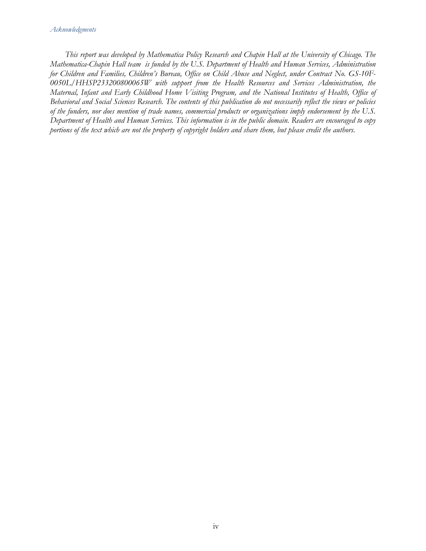#### *Acknowledgments*

*This report was developed by Mathematica Policy Research and Chapin Hall at the University of Chicago. The Mathematica-Chapin Hall team is funded by the U.S. Department of Health and Human Services, Administration for Children and Families, Children's Bureau, Office on Child Abuse and Neglect, under Contract No. GS-10F-0050L/HHSP233200800065W with support from the Health Resources and Services Administration, the Maternal, Infant and Early Childhood Home Visiting Program, and the National Institutes of Health, Office of Behavioral and Social Sciences Research. The contents of this publication do not necessarily reflect the views or policies of the funders, nor does mention of trade names, commercial products or organizations imply endorsement by the U.S. Department of Health and Human Services. This information is in the public domain. Readers are encouraged to copy portions of the text which are not the property of copyright holders and share them, but please credit the authors.*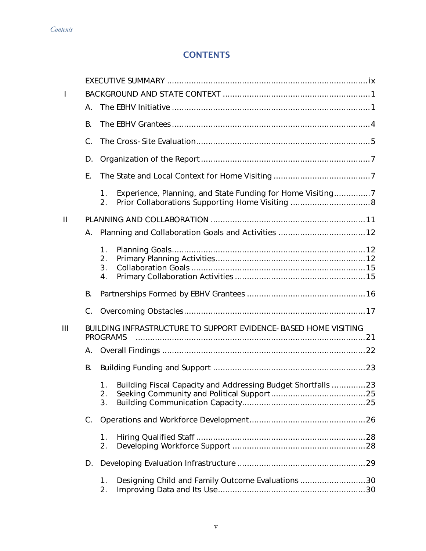# **CONTENTS**

| $\mathbf{I}$ |             |                                    |                                                                 |  |
|--------------|-------------|------------------------------------|-----------------------------------------------------------------|--|
|              | А.          |                                    |                                                                 |  |
|              | В.          |                                    |                                                                 |  |
|              | C.          |                                    |                                                                 |  |
|              | D.          |                                    |                                                                 |  |
|              | Ε.          |                                    |                                                                 |  |
|              |             | 1.<br>2.                           | Experience, Planning, and State Funding for Home Visiting       |  |
| $\mathbf{I}$ |             |                                    |                                                                 |  |
|              | А.          |                                    |                                                                 |  |
|              |             | 1.<br>2.<br>3.<br>$\overline{4}$ . |                                                                 |  |
|              |             |                                    |                                                                 |  |
|              | В.          |                                    |                                                                 |  |
|              |             |                                    |                                                                 |  |
| Ш            |             | <b>PROGRAMS</b>                    | BUILDING INFRASTRUCTURE TO SUPPORT EVIDENCE-BASED HOME VISITING |  |
|              | А.          |                                    |                                                                 |  |
|              | В.          |                                    |                                                                 |  |
|              |             | 1.<br>2.<br>3.                     | Building Fiscal Capacity and Addressing Budget Shortfalls  23   |  |
|              | $C_{\cdot}$ |                                    |                                                                 |  |
|              |             | 1.<br>2.                           |                                                                 |  |
|              | D.          |                                    |                                                                 |  |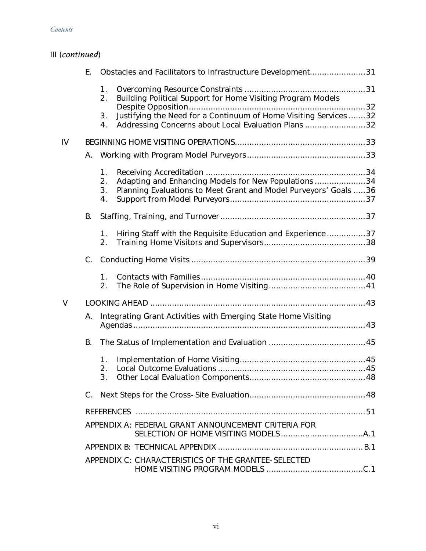#### *Contents*

| III (continued) |  |
|-----------------|--|
|-----------------|--|

|        | Е.      |                      | Obstacles and Facilitators to Infrastructure Development31                                                              |  |
|--------|---------|----------------------|-------------------------------------------------------------------------------------------------------------------------|--|
|        |         | 1.<br>2.             | Building Political Support for Home Visiting Program Models                                                             |  |
|        |         | 3.<br>4.             | Justifying the Need for a Continuum of Home Visiting Services 32<br>Addressing Concerns about Local Evaluation Plans 32 |  |
| IV     |         |                      |                                                                                                                         |  |
|        | А.      |                      |                                                                                                                         |  |
|        |         | 1.<br>2.<br>3.<br>4. | Adapting and Enhancing Models for New Populations34<br>Planning Evaluations to Meet Grant and Model Purveyors' Goals 36 |  |
|        | В.      |                      |                                                                                                                         |  |
|        |         | 1.<br>2.             | Hiring Staff with the Requisite Education and Experience37                                                              |  |
|        | $C_{1}$ |                      |                                                                                                                         |  |
|        |         | 1.<br>2.             |                                                                                                                         |  |
| $\vee$ |         |                      |                                                                                                                         |  |
|        | А.      |                      | Integrating Grant Activities with Emerging State Home Visiting                                                          |  |
|        | В.      |                      |                                                                                                                         |  |
|        |         | 1.<br>2.<br>3.       |                                                                                                                         |  |
|        | $C_{1}$ |                      |                                                                                                                         |  |
|        |         |                      |                                                                                                                         |  |
|        |         |                      | APPENDIX A: FEDERAL GRANT ANNOUNCEMENT CRITERIA FOR                                                                     |  |
|        |         |                      |                                                                                                                         |  |
|        |         |                      | APPENDIX C: CHARACTERISTICS OF THE GRANTEE-SELECTED                                                                     |  |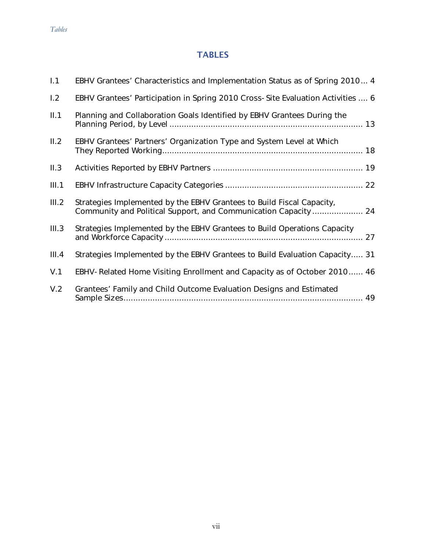# **TABLES**

| 1.1   | EBHV Grantees' Characteristics and Implementation Status as of Spring 2010 4                                                             |
|-------|------------------------------------------------------------------------------------------------------------------------------------------|
| 1.2   | EBHV Grantees' Participation in Spring 2010 Cross-Site Evaluation Activities  6                                                          |
| II.1  | Planning and Collaboration Goals Identified by EBHV Grantees During the                                                                  |
| II.2  | EBHV Grantees' Partners' Organization Type and System Level at Which                                                                     |
| II.3  |                                                                                                                                          |
| III.1 |                                                                                                                                          |
| III.2 | Strategies Implemented by the EBHV Grantees to Build Fiscal Capacity,<br>Community and Political Support, and Communication Capacity  24 |
| III.3 | Strategies Implemented by the EBHV Grantees to Build Operations Capacity                                                                 |
| III.4 | Strategies Implemented by the EBHV Grantees to Build Evaluation Capacity 31                                                              |
| V.1   | EBHV-Related Home Visiting Enrollment and Capacity as of October 2010 46                                                                 |
| V.2   | Grantees' Family and Child Outcome Evaluation Designs and Estimated                                                                      |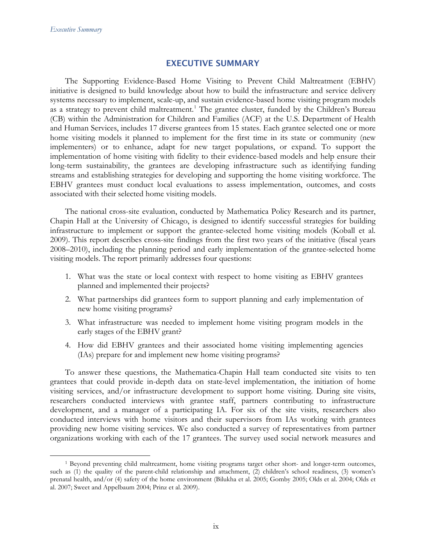### EXECUTIVE SUMMARY

The Supporting Evidence-Based Home Visiting to Prevent Child Maltreatment (EBHV) initiative is designed to build knowledge about how to build the infrastructure and service delivery systems necessary to implement, scale-up, and sustain evidence-based home visiting program models as a strategy to prevent child maltreatment.<sup>[1](#page-8-0)</sup> The grantee cluster, funded by the Children's Bureau (CB) within the Administration for Children and Families (ACF) at the U.S. Department of Health and Human Services, includes 17 diverse grantees from 15 states. Each grantee selected one or more home visiting models it planned to implement for the first time in its state or community (new implementers) or to enhance, adapt for new target populations, or expand. To support the implementation of home visiting with fidelity to their evidence-based models and help ensure their long-term sustainability, the grantees are developing infrastructure such as identifying funding streams and establishing strategies for developing and supporting the home visiting workforce. The EBHV grantees must conduct local evaluations to assess implementation, outcomes, and costs associated with their selected home visiting models.

The national cross-site evaluation, conducted by Mathematica Policy Research and its partner, Chapin Hall at the University of Chicago, is designed to identify successful strategies for building infrastructure to implement or support the grantee-selected home visiting models (Koball et al. 2009). This report describes cross-site findings from the first two years of the initiative (fiscal years 2008–2010), including the planning period and early implementation of the grantee-selected home visiting models. The report primarily addresses four questions:

- 1. What was the state or local context with respect to home visiting as EBHV grantees planned and implemented their projects?
- 2. What partnerships did grantees form to support planning and early implementation of new home visiting programs?
- 3. What infrastructure was needed to implement home visiting program models in the early stages of the EBHV grant?
- 4. How did EBHV grantees and their associated home visiting implementing agencies (IAs) prepare for and implement new home visiting programs?

To answer these questions, the Mathematica-Chapin Hall team conducted site visits to ten grantees that could provide in-depth data on state-level implementation, the initiation of home visiting services, and/or infrastructure development to support home visiting. During site visits, researchers conducted interviews with grantee staff, partners contributing to infrastructure development, and a manager of a participating IA. For six of the site visits, researchers also conducted interviews with home visitors and their supervisors from IAs working with grantees providing new home visiting services. We also conducted a survey of representatives from partner organizations working with each of the 17 grantees. The survey used social network measures and

<span id="page-8-0"></span> <sup>1</sup> Beyond preventing child maltreatment, home visiting programs target other short- and longer-term outcomes, such as (1) the quality of the parent-child relationship and attachment, (2) children's school readiness, (3) women's prenatal health, and/or (4) safety of the home environment (Bilukha et al. 2005; Gomby 2005; Olds et al. 2004; Olds et al. 2007; Sweet and Appelbaum 2004; Prinz et al. 2009).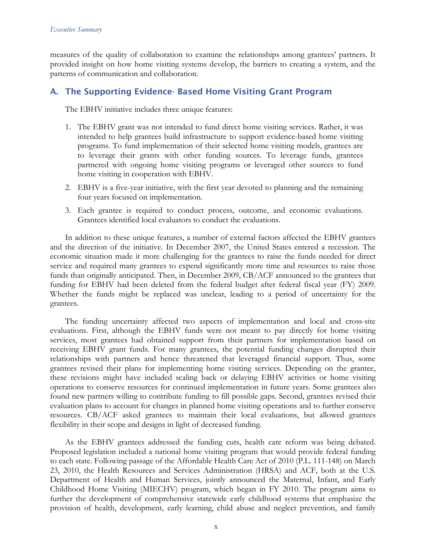measures of the quality of collaboration to examine the relationships among grantees' partners. It provided insight on how home visiting systems develop, the barriers to creating a system, and the patterns of communication and collaboration.

# A. The Supporting Evidence- Based Home Visiting Grant Program

The EBHV initiative includes three unique features:

- 1. The EBHV grant was not intended to fund direct home visiting services. Rather, it was intended to help grantees build infrastructure to support evidence-based home visiting programs. To fund implementation of their selected home visiting models, grantees are to leverage their grants with other funding sources. To leverage funds, grantees partnered with ongoing home visiting programs or leveraged other sources to fund home visiting in cooperation with EBHV.
- 2. EBHV is a five-year initiative, with the first year devoted to planning and the remaining four years focused on implementation.
- 3. Each grantee is required to conduct process, outcome, and economic evaluations. Grantees identified local evaluators to conduct the evaluations.

In addition to these unique features, a number of external factors affected the EBHV grantees and the direction of the initiative. In December 2007, the United States entered a recession. The economic situation made it more challenging for the grantees to raise the funds needed for direct service and required many grantees to expend significantly more time and resources to raise those funds than originally anticipated. Then, in December 2009, CB/ACF announced to the grantees that funding for EBHV had been deleted from the federal budget after federal fiscal year (FY) 2009. Whether the funds might be replaced was unclear, leading to a period of uncertainty for the grantees.

The funding uncertainty affected two aspects of implementation and local and cross-site evaluations. First, although the EBHV funds were not meant to pay directly for home visiting services, most grantees had obtained support from their partners for implementation based on receiving EBHV grant funds. For many grantees, the potential funding changes disrupted their relationships with partners and hence threatened that leveraged financial support. Thus, some grantees revised their plans for implementing home visiting services. Depending on the grantee, these revisions might have included scaling back or delaying EBHV activities or home visiting operations to conserve resources for continued implementation in future years. Some grantees also found new partners willing to contribute funding to fill possible gaps. Second, grantees revised their evaluation plans to account for changes in planned home visiting operations and to further conserve resources. CB/ACF asked grantees to maintain their local evaluations, but allowed grantees flexibility in their scope and designs in light of decreased funding.

As the EBHV grantees addressed the funding cuts, health care reform was being debated. Proposed legislation included a national home visiting program that would provide federal funding to each state. Following passage of the Affordable Health Care Act of 2010 (P.L. 111-148) on March 23, 2010, the Health Resources and Services Administration (HRSA) and ACF, both at the U.S. Department of Health and Human Services, jointly announced the Maternal, Infant, and Early Childhood Home Visiting (MIECHV) program, which began in FY 2010. The program aims to further the development of comprehensive statewide early childhood systems that emphasize the provision of health, development, early learning, child abuse and neglect prevention, and family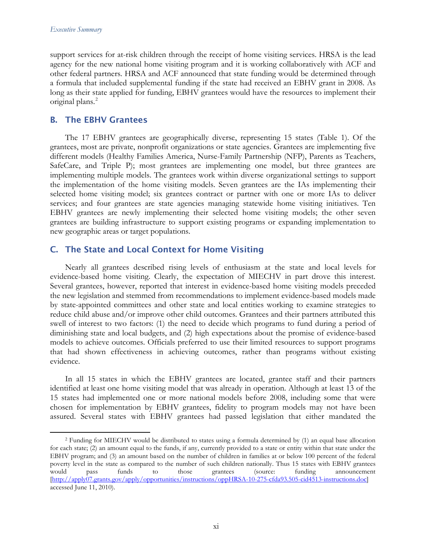#### *Executive Summary*

support services for at-risk children through the receipt of home visiting services. HRSA is the lead agency for the new national home visiting program and it is working collaboratively with ACF and other federal partners. HRSA and ACF announced that state funding would be determined through a formula that included supplemental funding if the state had received an EBHV grant in 2008. As long as their state applied for funding, EBHV grantees would have the resources to implement their original plans.<sup>[2](#page-10-0)</sup>

### B. The EBHV Grantees

The 17 EBHV grantees are geographically diverse, representing 15 states (Table 1). Of the grantees, most are private, nonprofit organizations or state agencies. Grantees are implementing five different models (Healthy Families America, Nurse-Family Partnership (NFP), Parents as Teachers, SafeCare, and Triple P); most grantees are implementing one model, but three grantees are implementing multiple models. The grantees work within diverse organizational settings to support the implementation of the home visiting models. Seven grantees are the IAs implementing their selected home visiting model; six grantees contract or partner with one or more IAs to deliver services; and four grantees are state agencies managing statewide home visiting initiatives. Ten EBHV grantees are newly implementing their selected home visiting models; the other seven grantees are building infrastructure to support existing programs or expanding implementation to new geographic areas or target populations.

### C. The State and Local Context for Home Visiting

Nearly all grantees described rising levels of enthusiasm at the state and local levels for evidence-based home visiting. Clearly, the expectation of MIECHV in part drove this interest. Several grantees, however, reported that interest in evidence-based home visiting models preceded the new legislation and stemmed from recommendations to implement evidence-based models made by state-appointed committees and other state and local entities working to examine strategies to reduce child abuse and/or improve other child outcomes. Grantees and their partners attributed this swell of interest to two factors: (1) the need to decide which programs to fund during a period of diminishing state and local budgets, and (2) high expectations about the promise of evidence-based models to achieve outcomes. Officials preferred to use their limited resources to support programs that had shown effectiveness in achieving outcomes, rather than programs without existing evidence.

In all 15 states in which the EBHV grantees are located, grantee staff and their partners identified at least one home visiting model that was already in operation. Although at least 13 of the 15 states had implemented one or more national models before 2008, including some that were chosen for implementation by EBHV grantees, fidelity to program models may not have been assured. Several states with EBHV grantees had passed legislation that either mandated the

<span id="page-10-0"></span> <sup>2</sup> Funding for MIECHV would be distributed to states using a formula determined by (1) an equal base allocation for each state; (2) an amount equal to the funds, if any, currently provided to a state or entity within that state under the EBHV program; and (3) an amount based on the number of children in families at or below 100 percent of the federal poverty level in the state as compared to the number of such children nationally. Thus 15 states with EBHV grantees would pass funds to those grantees (source: funding announcement [\[http://apply07.grants.gov/apply/opportunities/instructions/oppHRSA-10-275-cfda93.505-cid4513-instructions.doc\]](http://apply07.grants.gov/apply/opportunities/instructions/oppHRSA-10-275-cfda93.505-cid4513-instructions.doc) accessed June 11, 2010).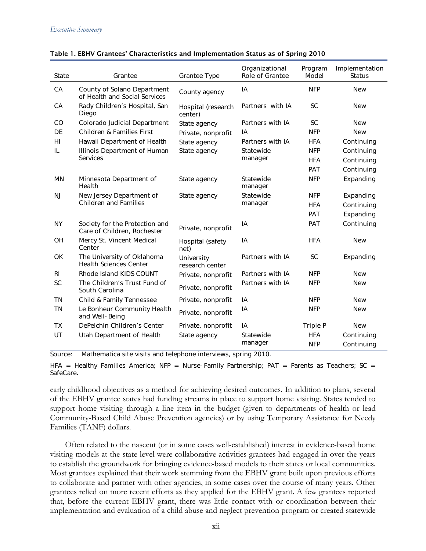| State     | Grantee                                                       | <b>Grantee Type</b>           | Organizational<br>Role of Grantee | Program<br>Model | Implementation<br><b>Status</b> |
|-----------|---------------------------------------------------------------|-------------------------------|-----------------------------------|------------------|---------------------------------|
| CA        | County of Solano Department<br>of Health and Social Services  | County agency                 | IA                                | <b>NFP</b>       | <b>New</b>                      |
| CA        | Rady Children's Hospital, San<br>Diego                        | Hospital (research<br>center) | Partners with IA                  | <b>SC</b>        | <b>New</b>                      |
| CO        | Colorado Judicial Department                                  | State agency                  | Partners with IA                  | <b>SC</b>        | <b>New</b>                      |
| DE        | <b>Children &amp; Families First</b>                          | Private, nonprofit            | IA                                | <b>NFP</b>       | <b>New</b>                      |
| HI        | Hawaii Department of Health                                   | State agency                  | Partners with IA                  | <b>HFA</b>       | Continuing                      |
| IL        | Illinois Department of Human                                  | State agency                  | Statewide                         | <b>NFP</b>       | Continuing                      |
|           | Services                                                      |                               | manager                           | <b>HFA</b>       | Continuing                      |
|           |                                                               |                               |                                   | PAT              | Continuing                      |
| MN        | Minnesota Department of<br>Health                             | State agency                  | Statewide<br>manager              | <b>NFP</b>       | Expanding                       |
| <b>NJ</b> | New Jersey Department of                                      | State agency                  | Statewide                         | <b>NFP</b>       | Expanding                       |
|           | <b>Children and Families</b>                                  |                               | manager                           | <b>HFA</b>       | Continuing                      |
|           |                                                               |                               |                                   | PAT              | Expanding                       |
| <b>NY</b> | Society for the Protection and<br>Care of Children, Rochester | Private, nonprofit            | IA                                | PAT              | Continuing                      |
| <b>OH</b> | Mercy St. Vincent Medical<br>Center                           | Hospital (safety<br>net)      | IA                                | <b>HFA</b>       | <b>New</b>                      |
| OK        | The University of Oklahoma<br><b>Health Sciences Center</b>   | University<br>research center | Partners with IA                  | <b>SC</b>        | Expanding                       |
| <b>RI</b> | Rhode Island KIDS COUNT                                       | Private, nonprofit            | Partners with IA                  | <b>NFP</b>       | <b>New</b>                      |
| <b>SC</b> | The Children's Trust Fund of<br>South Carolina                | Private, nonprofit            | Partners with IA                  | <b>NFP</b>       | <b>New</b>                      |
| ΤN        | Child & Family Tennessee                                      | Private, nonprofit            | IA                                | <b>NFP</b>       | <b>New</b>                      |
| <b>TN</b> | Le Bonheur Community Health<br>and Well-Being                 | Private, nonprofit            | IA                                | <b>NFP</b>       | <b>New</b>                      |
| <b>TX</b> | DePelchin Children's Center                                   | Private, nonprofit            | IA                                | Triple P         | <b>New</b>                      |
| UT        | Utah Department of Health                                     | State agency                  | Statewide                         | <b>HFA</b>       | Continuing                      |
|           |                                                               |                               | manager                           | <b>NFP</b>       | Continuing                      |

#### Table 1. EBHV Grantees' Characteristics and Implementation Status as of Spring 2010

Source: Mathematica site visits and telephone interviews, spring 2010.

HFA = Healthy Families America; NFP = Nurse-Family Partnership;  $PAT =$  Parents as Teachers; SC = SafeCare.

early childhood objectives as a method for achieving desired outcomes. In addition to plans, several of the EBHV grantee states had funding streams in place to support home visiting. States tended to support home visiting through a line item in the budget (given to departments of health or lead Community-Based Child Abuse Prevention agencies) or by using Temporary Assistance for Needy Families (TANF) dollars.

Often related to the nascent (or in some cases well-established) interest in evidence-based home visiting models at the state level were collaborative activities grantees had engaged in over the years to establish the groundwork for bringing evidence-based models to their states or local communities. Most grantees explained that their work stemming from the EBHV grant built upon previous efforts to collaborate and partner with other agencies, in some cases over the course of many years. Other grantees relied on more recent efforts as they applied for the EBHV grant. A few grantees reported that, before the current EBHV grant, there was little contact with or coordination between their implementation and evaluation of a child abuse and neglect prevention program or created statewide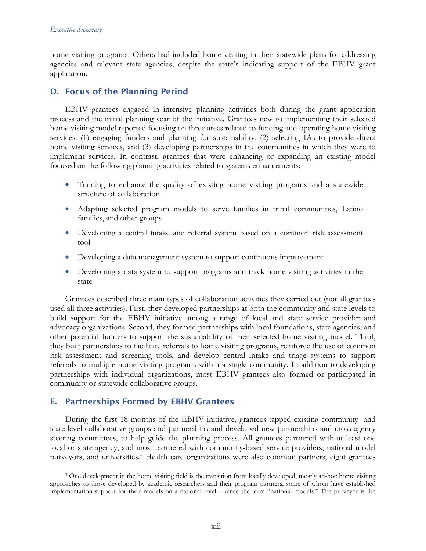home visiting programs. Others had included home visiting in their statewide plans for addressing agencies and relevant state agencies, despite the state's indicating support of the EBHV grant application.

# D. Focus of the Planning Period

EBHV grantees engaged in intensive planning activities both during the grant application process and the initial planning year of the initiative. Grantees new to implementing their selected home visiting model reported focusing on three areas related to funding and operating home visiting services: (1) engaging funders and planning for sustainability, (2) selecting IAs to provide direct home visiting services, and (3) developing partnerships in the communities in which they were to implement services. In contrast, grantees that were enhancing or expanding an existing model focused on the following planning activities related to systems enhancements:

- Training to enhance the quality of existing home visiting programs and a statewide structure of collaboration
- Adapting selected program models to serve families in tribal communities, Latino families, and other groups
- Developing a central intake and referral system based on a common risk assessment tool
- Developing a data management system to support continuous improvement
- Developing a data system to support programs and track home visiting activities in the state

Grantees described three main types of collaboration activities they carried out (not all grantees used all three activities). First, they developed partnerships at both the community and state levels to build support for the EBHV initiative among a range of local and state service provider and advocacy organizations. Second, they formed partnerships with local foundations, state agencies, and other potential funders to support the sustainability of their selected home visiting model. Third, they built partnerships to facilitate referrals to home visiting programs, reinforce the use of common risk assessment and screening tools, and develop central intake and triage systems to support referrals to multiple home visiting programs within a single community. In addition to developing partnerships with individual organizations, most EBHV grantees also formed or participated in community or statewide collaborative groups.

# E. Partnerships Formed by EBHV Grantees

During the first 18 months of the EBHV initiative, grantees tapped existing community- and state-level collaborative groups and partnerships and developed new partnerships and cross-agency steering committees, to help guide the planning process. All grantees partnered with at least one local or state agency, and most partnered with community-based service providers, national model purveyors, and universities.<sup>[3](#page-12-0)</sup> Health care organizations were also common partners; eight grantees

<span id="page-12-0"></span><sup>&</sup>lt;sup>3</sup> One development in the home visiting field is the transition from locally developed, mostly ad-hoc home visiting approaches to those developed by academic researchers and their program partners, some of whom have established implementation support for their models on a national level—hence the term "national models." The purveyor is the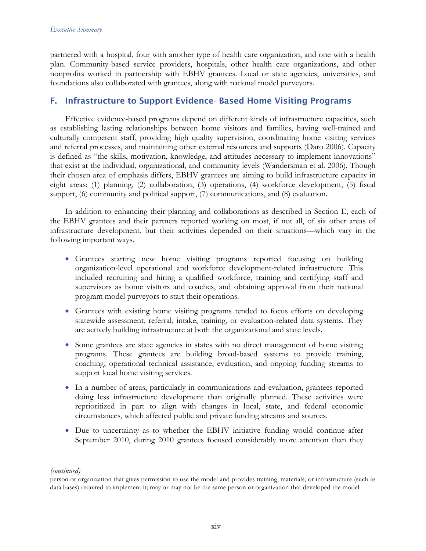partnered with a hospital, four with another type of health care organization, and one with a health plan. Community-based service providers, hospitals, other health care organizations, and other nonprofits worked in partnership with EBHV grantees. Local or state agencies, universities, and foundations also collaborated with grantees, along with national model purveyors.

# F. Infrastructure to Support Evidence- Based Home Visiting Programs

Effective evidence-based programs depend on different kinds of infrastructure capacities, such as establishing lasting relationships between home visitors and families, having well-trained and culturally competent staff, providing high quality supervision, coordinating home visiting services and referral processes, and maintaining other external resources and supports (Daro 2006). Capacity is defined as "the skills, motivation, knowledge, and attitudes necessary to implement innovations" that exist at the individual, organizational, and community levels (Wandersman et al. 2006). Though their chosen area of emphasis differs, EBHV grantees are aiming to build infrastructure capacity in eight areas: (1) planning, (2) collaboration, (3) operations, (4) workforce development, (5) fiscal support, (6) community and political support, (7) communications, and (8) evaluation.

In addition to enhancing their planning and collaborations as described in Section E, each of the EBHV grantees and their partners reported working on most, if not all, of six other areas of infrastructure development, but their activities depended on their situations—which vary in the following important ways.

- Grantees starting new home visiting programs reported focusing on building organization-level operational and workforce development-related infrastructure. This included recruiting and hiring a qualified workforce, training and certifying staff and supervisors as home visitors and coaches, and obtaining approval from their national program model purveyors to start their operations.
- Grantees with existing home visiting programs tended to focus efforts on developing statewide assessment, referral, intake, training, or evaluation-related data systems. They are actively building infrastructure at both the organizational and state levels.
- Some grantees are state agencies in states with no direct management of home visiting programs. These grantees are building broad-based systems to provide training, coaching, operational technical assistance, evaluation, and ongoing funding streams to support local home visiting services.
- In a number of areas, particularly in communications and evaluation, grantees reported doing less infrastructure development than originally planned. These activities were reprioritized in part to align with changes in local, state, and federal economic circumstances, which affected public and private funding streams and sources.
- Due to uncertainty as to whether the EBHV initiative funding would continue after September 2010, during 2010 grantees focused considerably more attention than they

 $\overline{a}$ 

*<sup>(</sup>continued)*

person or organization that gives permission to use the model and provides training, materials, or infrastructure (such as data bases) required to implement it; may or may not be the same person or organization that developed the model.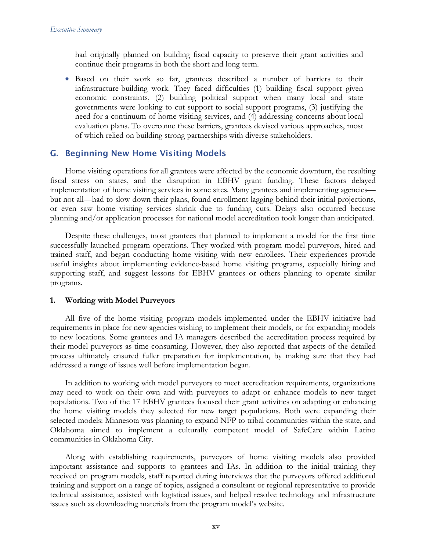had originally planned on building fiscal capacity to preserve their grant activities and continue their programs in both the short and long term.

• Based on their work so far, grantees described a number of barriers to their infrastructure-building work. They faced difficulties (1) building fiscal support given economic constraints, (2) building political support when many local and state governments were looking to cut support to social support programs, (3) justifying the need for a continuum of home visiting services, and (4) addressing concerns about local evaluation plans. To overcome these barriers, grantees devised various approaches, most of which relied on building strong partnerships with diverse stakeholders.

### G. Beginning New Home Visiting Models

Home visiting operations for all grantees were affected by the economic downturn, the resulting fiscal stress on states, and the disruption in EBHV grant funding. These factors delayed implementation of home visiting services in some sites. Many grantees and implementing agencies but not all—had to slow down their plans, found enrollment lagging behind their initial projections, or even saw home visiting services shrink due to funding cuts. Delays also occurred because planning and/or application processes for national model accreditation took longer than anticipated.

Despite these challenges, most grantees that planned to implement a model for the first time successfully launched program operations. They worked with program model purveyors, hired and trained staff, and began conducting home visiting with new enrollees. Their experiences provide useful insights about implementing evidence-based home visiting programs, especially hiring and supporting staff, and suggest lessons for EBHV grantees or others planning to operate similar programs.

### **1. Working with Model Purveyors**

All five of the home visiting program models implemented under the EBHV initiative had requirements in place for new agencies wishing to implement their models, or for expanding models to new locations. Some grantees and IA managers described the accreditation process required by their model purveyors as time consuming. However, they also reported that aspects of the detailed process ultimately ensured fuller preparation for implementation, by making sure that they had addressed a range of issues well before implementation began.

In addition to working with model purveyors to meet accreditation requirements, organizations may need to work on their own and with purveyors to adapt or enhance models to new target populations. Two of the 17 EBHV grantees focused their grant activities on adapting or enhancing the home visiting models they selected for new target populations. Both were expanding their selected models: Minnesota was planning to expand NFP to tribal communities within the state, and Oklahoma aimed to implement a culturally competent model of SafeCare within Latino communities in Oklahoma City.

Along with establishing requirements, purveyors of home visiting models also provided important assistance and supports to grantees and IAs. In addition to the initial training they received on program models, staff reported during interviews that the purveyors offered additional training and support on a range of topics, assigned a consultant or regional representative to provide technical assistance, assisted with logistical issues, and helped resolve technology and infrastructure issues such as downloading materials from the program model's website.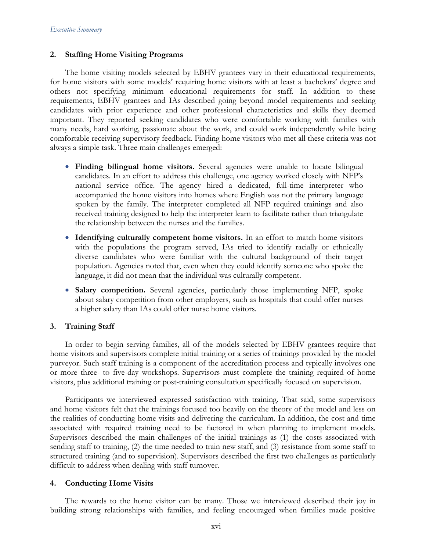#### **2. Staffing Home Visiting Programs**

The home visiting models selected by EBHV grantees vary in their educational requirements, for home visitors with some models' requiring home visitors with at least a bachelors' degree and others not specifying minimum educational requirements for staff. In addition to these requirements, EBHV grantees and IAs described going beyond model requirements and seeking candidates with prior experience and other professional characteristics and skills they deemed important. They reported seeking candidates who were comfortable working with families with many needs, hard working, passionate about the work, and could work independently while being comfortable receiving supervisory feedback. Finding home visitors who met all these criteria was not always a simple task. Three main challenges emerged:

- **Finding bilingual home visitors.** Several agencies were unable to locate bilingual candidates. In an effort to address this challenge, one agency worked closely with NFP's national service office. The agency hired a dedicated, full-time interpreter who accompanied the home visitors into homes where English was not the primary language spoken by the family. The interpreter completed all NFP required trainings and also received training designed to help the interpreter learn to facilitate rather than triangulate the relationship between the nurses and the families.
- **Identifying culturally competent home visitors.** In an effort to match home visitors with the populations the program served, IAs tried to identify racially or ethnically diverse candidates who were familiar with the cultural background of their target population. Agencies noted that, even when they could identify someone who spoke the language, it did not mean that the individual was culturally competent.
- **Salary competition.** Several agencies, particularly those implementing NFP, spoke about salary competition from other employers, such as hospitals that could offer nurses a higher salary than IAs could offer nurse home visitors.

### **3. Training Staff**

In order to begin serving families, all of the models selected by EBHV grantees require that home visitors and supervisors complete initial training or a series of trainings provided by the model purveyor. Such staff training is a component of the accreditation process and typically involves one or more three- to five-day workshops. Supervisors must complete the training required of home visitors, plus additional training or post-training consultation specifically focused on supervision.

Participants we interviewed expressed satisfaction with training. That said, some supervisors and home visitors felt that the trainings focused too heavily on the theory of the model and less on the realities of conducting home visits and delivering the curriculum. In addition, the cost and time associated with required training need to be factored in when planning to implement models. Supervisors described the main challenges of the initial trainings as (1) the costs associated with sending staff to training, (2) the time needed to train new staff, and (3) resistance from some staff to structured training (and to supervision). Supervisors described the first two challenges as particularly difficult to address when dealing with staff turnover.

### **4. Conducting Home Visits**

The rewards to the home visitor can be many. Those we interviewed described their joy in building strong relationships with families, and feeling encouraged when families made positive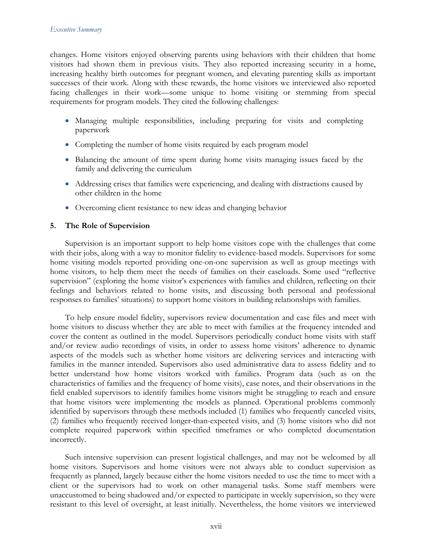changes. Home visitors enjoyed observing parents using behaviors with their children that home visitors had shown them in previous visits. They also reported increasing security in a home, increasing healthy birth outcomes for pregnant women, and elevating parenting skills as important successes of their work. Along with these rewards, the home visitors we interviewed also reported facing challenges in their work—some unique to home visiting or stemming from special requirements for program models. They cited the following challenges:

- Managing multiple responsibilities, including preparing for visits and completing paperwork
- Completing the number of home visits required by each program model
- Balancing the amount of time spent during home visits managing issues faced by the family and delivering the curriculum
- Addressing crises that families were experiencing, and dealing with distractions caused by other children in the home
- Overcoming client resistance to new ideas and changing behavior

### **5. The Role of Supervision**

Supervision is an important support to help home visitors cope with the challenges that come with their jobs, along with a way to monitor fidelity to evidence-based models. Supervisors for some home visiting models reported providing one-on-one supervision as well as group meetings with home visitors, to help them meet the needs of families on their caseloads. Some used "reflective supervision" (exploring the home visitor's experiences with families and children, reflecting on their feelings and behaviors related to home visits, and discussing both personal and professional responses to families' situations) to support home visitors in building relationships with families.

To help ensure model fidelity, supervisors review documentation and case files and meet with home visitors to discuss whether they are able to meet with families at the frequency intended and cover the content as outlined in the model. Supervisors periodically conduct home visits with staff and/or review audio recordings of visits, in order to assess home visitors' adherence to dynamic aspects of the models such as whether home visitors are delivering services and interacting with families in the manner intended. Supervisors also used administrative data to assess fidelity and to better understand how home visitors worked with families. Program data (such as on the characteristics of families and the frequency of home visits), case notes, and their observations in the field enabled supervisors to identify families home visitors might be struggling to reach and ensure that home visitors were implementing the models as planned. Operational problems commonly identified by supervisors through these methods included (1) families who frequently canceled visits, (2) families who frequently received longer-than-expected visits, and (3) home visitors who did not complete required paperwork within specified timeframes or who completed documentation incorrectly.

Such intensive supervision can present logistical challenges, and may not be welcomed by all home visitors. Supervisors and home visitors were not always able to conduct supervision as frequently as planned, largely because either the home visitors needed to use the time to meet with a client or the supervisors had to work on other managerial tasks. Some staff members were unaccustomed to being shadowed and/or expected to participate in weekly supervision, so they were resistant to this level of oversight, at least initially. Nevertheless, the home visitors we interviewed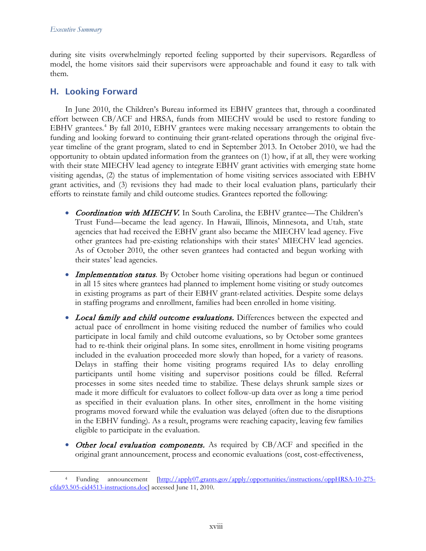during site visits overwhelmingly reported feeling supported by their supervisors. Regardless of model, the home visitors said their supervisors were approachable and found it easy to talk with them.

### H. Looking Forward

In June 2010, the Children's Bureau informed its EBHV grantees that, through a coordinated effort between CB/ACF and HRSA, funds from MIECHV would be used to restore funding to EBHV grantees.<sup>[4](#page-17-0)</sup> By fall 2010, EBHV grantees were making necessary arrangements to obtain the funding and looking forward to continuing their grant-related operations through the original fiveyear timeline of the grant program, slated to end in September 2013. In October 2010, we had the opportunity to obtain updated information from the grantees on (1) how, if at all, they were working with their state MIECHV lead agency to integrate EBHV grant activities with emerging state home visiting agendas, (2) the status of implementation of home visiting services associated with EBHV grant activities, and (3) revisions they had made to their local evaluation plans, particularly their efforts to reinstate family and child outcome studies. Grantees reported the following:

- Coordination with MIECHV. In South Carolina, the EBHV grantee—The Children's Trust Fund—became the lead agency. In Hawaii, Illinois, Minnesota, and Utah, state agencies that had received the EBHV grant also became the MIECHV lead agency. Five other grantees had pre-existing relationships with their states' MIECHV lead agencies. As of October 2010, the other seven grantees had contacted and begun working with their states' lead agencies.
- **Implementation status**. By October home visiting operations had begun or continued in all 15 sites where grantees had planned to implement home visiting or study outcomes in existing programs as part of their EBHV grant-related activities. Despite some delays in staffing programs and enrollment, families had been enrolled in home visiting.
- Local family and child outcome evaluations. Differences between the expected and actual pace of enrollment in home visiting reduced the number of families who could participate in local family and child outcome evaluations, so by October some grantees had to re-think their original plans. In some sites, enrollment in home visiting programs included in the evaluation proceeded more slowly than hoped, for a variety of reasons. Delays in staffing their home visiting programs required IAs to delay enrolling participants until home visiting and supervisor positions could be filled. Referral processes in some sites needed time to stabilize. These delays shrunk sample sizes or made it more difficult for evaluators to collect follow-up data over as long a time period as specified in their evaluation plans. In other sites, enrollment in the home visiting programs moved forward while the evaluation was delayed (often due to the disruptions in the EBHV funding). As a result, programs were reaching capacity, leaving few families eligible to participate in the evaluation.
- Other local evaluation components. As required by CB/ACF and specified in the original grant announcement, process and economic evaluations (cost, cost-effectiveness,

<span id="page-17-0"></span> <sup>4</sup> Funding announcement [\[http://apply07.grants.gov/apply/opportunities/instructions/oppHRSA-10-275](http://apply07.grants.gov/apply/opportunities/instructions/oppHRSA-10-275-cfda93.505-cid4513-instructions.doc) [cfda93.505-cid4513-instructions.doc\]](http://apply07.grants.gov/apply/opportunities/instructions/oppHRSA-10-275-cfda93.505-cid4513-instructions.doc) accessed June 11, 2010.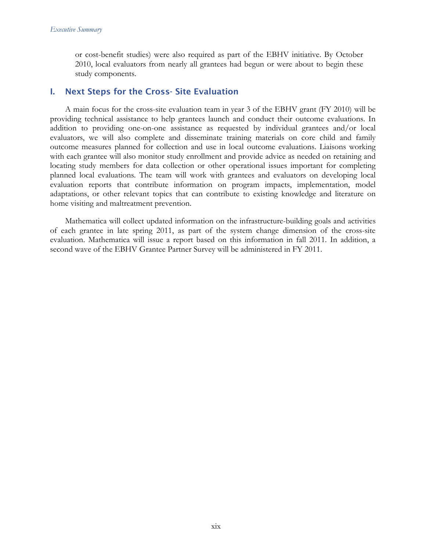or cost-benefit studies) were also required as part of the EBHV initiative. By October 2010, local evaluators from nearly all grantees had begun or were about to begin these study components.

### I. Next Steps for the Cross- Site Evaluation

A main focus for the cross-site evaluation team in year 3 of the EBHV grant (FY 2010) will be providing technical assistance to help grantees launch and conduct their outcome evaluations. In addition to providing one-on-one assistance as requested by individual grantees and/or local evaluators, we will also complete and disseminate training materials on core child and family outcome measures planned for collection and use in local outcome evaluations. Liaisons working with each grantee will also monitor study enrollment and provide advice as needed on retaining and locating study members for data collection or other operational issues important for completing planned local evaluations. The team will work with grantees and evaluators on developing local evaluation reports that contribute information on program impacts, implementation, model adaptations, or other relevant topics that can contribute to existing knowledge and literature on home visiting and maltreatment prevention.

Mathematica will collect updated information on the infrastructure-building goals and activities of each grantee in late spring 2011, as part of the system change dimension of the cross-site evaluation. Mathematica will issue a report based on this information in fall 2011. In addition, a second wave of the EBHV Grantee Partner Survey will be administered in FY 2011.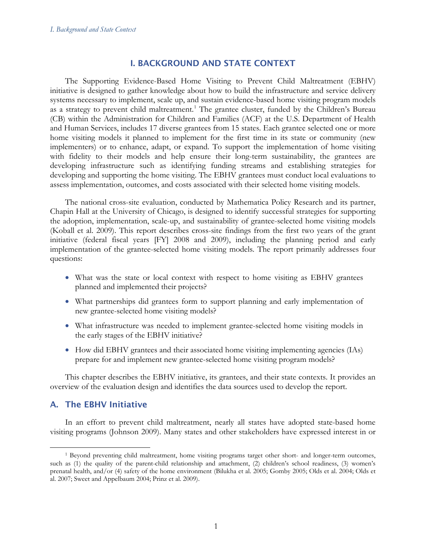## I. BACKGROUND AND STATE CONTEXT

The Supporting Evidence-Based Home Visiting to Prevent Child Maltreatment (EBHV) initiative is designed to gather knowledge about how to build the infrastructure and service delivery systems necessary to implement, scale up, and sustain evidence-based home visiting program models as a strategy to prevent child maltreatment.<sup>[1](#page-20-0)</sup> The grantee cluster, funded by the Children's Bureau (CB) within the Administration for Children and Families (ACF) at the U.S. Department of Health and Human Services, includes 17 diverse grantees from 15 states. Each grantee selected one or more home visiting models it planned to implement for the first time in its state or community (new implementers) or to enhance, adapt, or expand. To support the implementation of home visiting with fidelity to their models and help ensure their long-term sustainability, the grantees are developing infrastructure such as identifying funding streams and establishing strategies for developing and supporting the home visiting. The EBHV grantees must conduct local evaluations to assess implementation, outcomes, and costs associated with their selected home visiting models.

The national cross-site evaluation, conducted by Mathematica Policy Research and its partner, Chapin Hall at the University of Chicago, is designed to identify successful strategies for supporting the adoption, implementation, scale-up, and sustainability of grantee-selected home visiting models (Koball et al. 2009). This report describes cross-site findings from the first two years of the grant initiative (federal fiscal years [FY] 2008 and 2009), including the planning period and early implementation of the grantee-selected home visiting models. The report primarily addresses four questions:

- What was the state or local context with respect to home visiting as EBHV grantees planned and implemented their projects?
- What partnerships did grantees form to support planning and early implementation of new grantee-selected home visiting models?
- What infrastructure was needed to implement grantee-selected home visiting models in the early stages of the EBHV initiative?
- How did EBHV grantees and their associated home visiting implementing agencies (IAs) prepare for and implement new grantee-selected home visiting program models?

This chapter describes the EBHV initiative, its grantees, and their state contexts. It provides an overview of the evaluation design and identifies the data sources used to develop the report.

# A. The EBHV Initiative

In an effort to prevent child maltreatment, nearly all states have adopted state-based home visiting programs (Johnson 2009). Many states and other stakeholders have expressed interest in or

<span id="page-20-0"></span> <sup>1</sup> Beyond preventing child maltreatment, home visiting programs target other short- and longer-term outcomes, such as (1) the quality of the parent-child relationship and attachment, (2) children's school readiness, (3) women's prenatal health, and/or (4) safety of the home environment (Bilukha et al. 2005; Gomby 2005; Olds et al. 2004; Olds et al. 2007; Sweet and Appelbaum 2004; Prinz et al. 2009).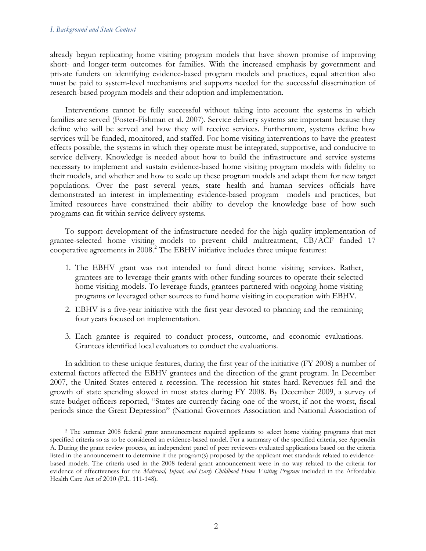#### *I. Background and State Context*

already begun replicating home visiting program models that have shown promise of improving short- and longer-term outcomes for families. With the increased emphasis by government and private funders on identifying evidence-based program models and practices, equal attention also must be paid to system-level mechanisms and supports needed for the successful dissemination of research-based program models and their adoption and implementation.

Interventions cannot be fully successful without taking into account the systems in which families are served (Foster-Fishman et al. 2007). Service delivery systems are important because they define who will be served and how they will receive services. Furthermore, systems define how services will be funded, monitored, and staffed. For home visiting interventions to have the greatest effects possible, the systems in which they operate must be integrated, supportive, and conducive to service delivery. Knowledge is needed about how to build the infrastructure and service systems necessary to implement and sustain evidence-based home visiting program models with fidelity to their models, and whether and how to scale up these program models and adapt them for new target populations. Over the past several years, state health and human services officials have demonstrated an interest in implementing evidence-based program models and practices, but limited resources have constrained their ability to develop the knowledge base of how such programs can fit within service delivery systems.

To support development of the infrastructure needed for the high quality implementation of grantee-selected home visiting models to prevent child maltreatment, CB/ACF funded 17 cooperative agreements in 2008. [2](#page-21-0) The EBHV initiative includes three unique features:

- 1. The EBHV grant was not intended to fund direct home visiting services. Rather, grantees are to leverage their grants with other funding sources to operate their selected home visiting models. To leverage funds, grantees partnered with ongoing home visiting programs or leveraged other sources to fund home visiting in cooperation with EBHV.
- 2. EBHV is a five-year initiative with the first year devoted to planning and the remaining four years focused on implementation.
- 3. Each grantee is required to conduct process, outcome, and economic evaluations. Grantees identified local evaluators to conduct the evaluations.

In addition to these unique features, during the first year of the initiative (FY 2008) a number of external factors affected the EBHV grantees and the direction of the grant program. In December 2007, the United States entered a recession. The recession hit states hard. Revenues fell and the growth of state spending slowed in most states during FY 2008. By December 2009, a survey of state budget officers reported, "States are currently facing one of the worst, if not the worst, fiscal periods since the Great Depression" (National Governors Association and National Association of

<span id="page-21-0"></span><sup>&</sup>lt;sup>2</sup> The summer 2008 federal grant announcement required applicants to select home visiting programs that met specified criteria so as to be considered an evidence-based model. For a summary of the specified criteria, see Appendix A. During the grant review process, an independent panel of peer reviewers evaluated applications based on the criteria listed in the announcement to determine if the program(s) proposed by the applicant met standards related to evidencebased models. The criteria used in the 2008 federal grant announcement were in no way related to the criteria for evidence of effectiveness for the *Maternal, Infant, and Early Childhood Home Visiting Program* included in the Affordable Health Care Act of 2010 (P.L. 111-148).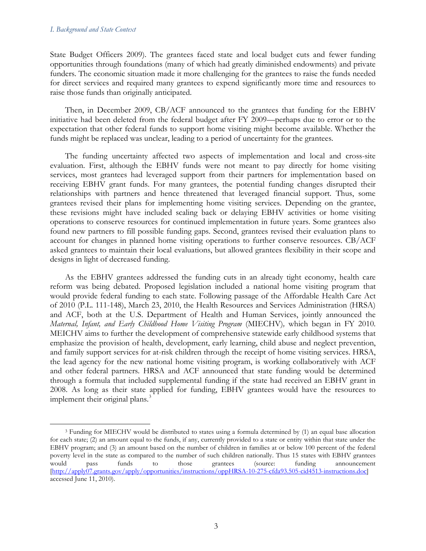#### *I. Background and State Context*

State Budget Officers 2009). The grantees faced state and local budget cuts and fewer funding opportunities through foundations (many of which had greatly diminished endowments) and private funders. The economic situation made it more challenging for the grantees to raise the funds needed for direct services and required many grantees to expend significantly more time and resources to raise those funds than originally anticipated.

Then, in December 2009, CB/ACF announced to the grantees that funding for the EBHV initiative had been deleted from the federal budget after FY 2009—perhaps due to error or to the expectation that other federal funds to support home visiting might become available. Whether the funds might be replaced was unclear, leading to a period of uncertainty for the grantees.

The funding uncertainty affected two aspects of implementation and local and cross-site evaluation. First, although the EBHV funds were not meant to pay directly for home visiting services, most grantees had leveraged support from their partners for implementation based on receiving EBHV grant funds. For many grantees, the potential funding changes disrupted their relationships with partners and hence threatened that leveraged financial support. Thus, some grantees revised their plans for implementing home visiting services. Depending on the grantee, these revisions might have included scaling back or delaying EBHV activities or home visiting operations to conserve resources for continued implementation in future years. Some grantees also found new partners to fill possible funding gaps. Second, grantees revised their evaluation plans to account for changes in planned home visiting operations to further conserve resources. CB/ACF asked grantees to maintain their local evaluations, but allowed grantees flexibility in their scope and designs in light of decreased funding.

As the EBHV grantees addressed the funding cuts in an already tight economy, health care reform was being debated. Proposed legislation included a national home visiting program that would provide federal funding to each state. Following passage of the Affordable Health Care Act of 2010 (P.L. 111-148), March 23, 2010, the Health Resources and Services Administration (HRSA) and ACF, both at the U.S. Department of Health and Human Services, jointly announced the *Maternal, Infant, and Early Childhood Home Visiting Program* (MIECHV)*,* which began in FY 2010. MEICHV aims to further the development of comprehensive statewide early childhood systems that emphasize the provision of health, development, early learning, child abuse and neglect prevention, and family support services for at-risk children through the receipt of home visiting services. HRSA, the lead agency for the new national home visiting program, is working collaboratively with ACF and other federal partners. HRSA and ACF announced that state funding would be determined through a formula that included supplemental funding if the state had received an EBHV grant in 2008. As long as their state applied for funding, EBHV grantees would have the resources to implement their original plans.<sup>[3](#page-22-0)</sup>

<span id="page-22-0"></span><sup>&</sup>lt;sup>3</sup> Funding for MIECHV would be distributed to states using a formula determined by (1) an equal base allocation for each state; (2) an amount equal to the funds, if any, currently provided to a state or entity within that state under the EBHV program; and (3) an amount based on the number of children in families at or below 100 percent of the federal poverty level in the state as compared to the number of such children nationally. Thus 15 states with EBHV grantees would pass funds to those grantees (source: funding announcement would pass funds to those grantees (source: funding announcement [\[http://apply07.grants.gov/apply/opportunities/instructions/oppHRSA-10-275-cfda93.505-cid4513-instructions.doc\]](http://apply07.grants.gov/apply/opportunities/instructions/oppHRSA-10-275-cfda93.505-cid4513-instructions.doc) accessed June 11, 2010).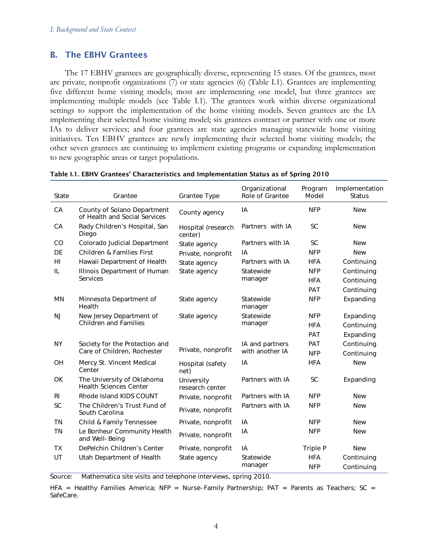# B. The EBHV Grantees

The 17 EBHV grantees are geographically diverse, representing 15 states. Of the grantees, most are private, nonprofit organizations (7) or state agencies (6) (Table I.1). Grantees are implementing five different home visiting models; most are implementing one model, but three grantees are implementing multiple models (see Table I.1). The grantees work within diverse organizational settings to support the implementation of the home visiting models. Seven grantees are the IA implementing their selected home visiting model; six grantees contract or partner with one or more IAs to deliver services; and four grantees are state agencies managing statewide home visiting initiatives. Ten EBHV grantees are newly implementing their selected home visiting models; the other seven grantees are continuing to implement existing programs or expanding implementation to new geographic areas or target populations.

| State          | Grantee                                                      | Grantee Type                  | Organizational<br>Role of Grantee | Program<br>Model | Implementation<br><b>Status</b> |
|----------------|--------------------------------------------------------------|-------------------------------|-----------------------------------|------------------|---------------------------------|
| CA             | County of Solano Department<br>of Health and Social Services | County agency                 | IA                                | <b>NFP</b>       | <b>New</b>                      |
| CA             | Rady Children's Hospital, San<br>Diego                       | Hospital (research<br>center) | Partners with IA                  | <b>SC</b>        | <b>New</b>                      |
| CO             | Colorado Judicial Department                                 | State agency                  | Partners with IA                  | <b>SC</b>        | <b>New</b>                      |
| DE             | Children & Families First                                    | Private, nonprofit            | IA                                | <b>NFP</b>       | <b>New</b>                      |
| HI             | Hawaii Department of Health                                  | State agency                  | Partners with IA                  | <b>HFA</b>       | Continuing                      |
| IL             | Illinois Department of Human                                 | State agency                  | Statewide                         | <b>NFP</b>       | Continuing                      |
|                | <b>Services</b>                                              |                               | manager                           | <b>HFA</b>       | Continuing                      |
|                |                                                              |                               |                                   | PAT              | Continuing                      |
| MN             | Minnesota Department of<br>Health                            | State agency                  | Statewide<br>manager              | <b>NFP</b>       | Expanding                       |
| <b>NJ</b>      | New Jersey Department of                                     | State agency                  | Statewide                         | <b>NFP</b>       | Expanding                       |
|                | <b>Children and Families</b>                                 |                               | manager                           | <b>HFA</b>       | Continuing                      |
|                |                                                              |                               |                                   | PAT              | Expanding                       |
| <b>NY</b>      | Society for the Protection and                               |                               | IA and partners                   | PAT              | Continuing                      |
|                | Care of Children, Rochester                                  | Private, nonprofit            | with another IA                   | <b>NFP</b>       | Continuing                      |
| OH             | Mercy St. Vincent Medical<br>Center                          | Hospital (safety<br>net)      | IA                                | <b>HFA</b>       | <b>New</b>                      |
| <b>OK</b>      | The University of Oklahoma<br><b>Health Sciences Center</b>  | University<br>research center | Partners with IA                  | <b>SC</b>        | Expanding                       |
| R <sub>l</sub> | Rhode Island KIDS COUNT                                      | Private, nonprofit            | Partners with IA                  | <b>NFP</b>       | <b>New</b>                      |
| SC             | The Children's Trust Fund of<br>South Carolina               | Private, nonprofit            | Partners with IA                  | <b>NFP</b>       | <b>New</b>                      |
| <b>TN</b>      | Child & Family Tennessee                                     | Private, nonprofit            | IA                                | <b>NFP</b>       | <b>New</b>                      |
| <b>TN</b>      | Le Bonheur Community Health<br>and Well-Being                | Private, nonprofit            | IA                                | <b>NFP</b>       | <b>New</b>                      |
| <b>TX</b>      | DePelchin Children's Center                                  | Private, nonprofit            | IA                                | Triple P         | <b>New</b>                      |
| UT             | Utah Department of Health                                    | State agency                  | Statewide                         | <b>HFA</b>       | Continuing                      |
|                |                                                              |                               | manager                           | <b>NFP</b>       | Continuing                      |

#### Table I.1. EBHV Grantees' Characteristics and Implementation Status as of Spring 2010

Source: Mathematica site visits and telephone interviews, spring 2010.

HFA = Healthy Families America; NFP = Nurse-Family Partnership;  $PAT =$  Parents as Teachers; SC = SafeCare.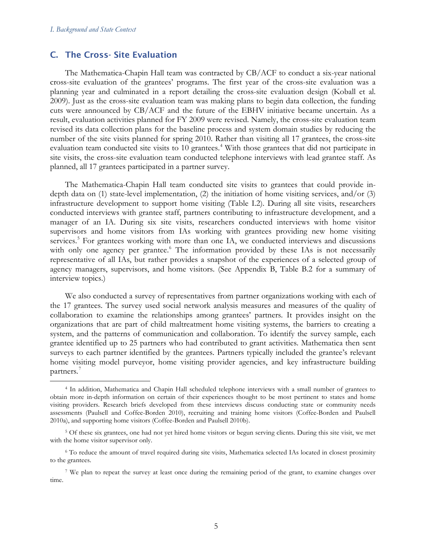### C. The Cross- Site Evaluation

The Mathematica-Chapin Hall team was contracted by CB/ACF to conduct a six-year national cross-site evaluation of the grantees' programs. The first year of the cross-site evaluation was a planning year and culminated in a report detailing the cross-site evaluation design (Koball et al. 2009). Just as the cross-site evaluation team was making plans to begin data collection, the funding cuts were announced by CB/ACF and the future of the EBHV initiative became uncertain. As a result, evaluation activities planned for FY 2009 were revised. Namely, the cross-site evaluation team revised its data collection plans for the baseline process and system domain studies by reducing the number of the site visits planned for spring 2010. Rather than visiting all 17 grantees, the cross-site evaluation team conducted site visits to 10 grantees.<sup>[4](#page-24-0)</sup> With those grantees that did not participate in site visits, the cross-site evaluation team conducted telephone interviews with lead grantee staff. As planned, all 17 grantees participated in a partner survey.

The Mathematica-Chapin Hall team conducted site visits to grantees that could provide indepth data on (1) state-level implementation, (2) the initiation of home visiting services, and/or (3) infrastructure development to support home visiting (Table I.2). During all site visits, researchers conducted interviews with grantee staff, partners contributing to infrastructure development, and a manager of an IA. During six site visits, researchers conducted interviews with home visitor supervisors and home visitors from IAs working with grantees providing new home visiting services.<sup>[5](#page-24-1)</sup> For grantees working with more than one IA, we conducted interviews and discussions with only one agency per grantee.<sup>[6](#page-24-2)</sup> The information provided by these IAs is not necessarily representative of all IAs, but rather provides a snapshot of the experiences of a selected group of agency managers, supervisors, and home visitors. (See Appendix B, Table B.2 for a summary of interview topics.)

We also conducted a survey of representatives from partner organizations working with each of the 17 grantees. The survey used social network analysis measures and measures of the quality of collaboration to examine the relationships among grantees' partners. It provides insight on the organizations that are part of child maltreatment home visiting systems, the barriers to creating a system, and the patterns of communication and collaboration. To identify the survey sample, each grantee identified up to 25 partners who had contributed to grant activities. Mathematica then sent surveys to each partner identified by the grantees. Partners typically included the grantee's relevant home visiting model purveyor, home visiting provider agencies, and key infrastructure building partners.<sup>[7](#page-24-3)</sup>

<span id="page-24-0"></span> <sup>4</sup> In addition, Mathematica and Chapin Hall scheduled telephone interviews with a small number of grantees to obtain more in-depth information on certain of their experiences thought to be most pertinent to states and home visiting providers. Research briefs developed from these interviews discuss conducting state or community needs assessments (Paulsell and Coffee-Borden 2010), recruiting and training home visitors (Coffee-Borden and Paulsell 2010a), and supporting home visitors (Coffee-Borden and Paulsell 2010b).

<span id="page-24-1"></span><sup>&</sup>lt;sup>5</sup> Of these six grantees, one had not yet hired home visitors or begun serving clients. During this site visit, we met with the home visitor supervisor only.

<span id="page-24-2"></span><sup>6</sup> To reduce the amount of travel required during site visits, Mathematica selected IAs located in closest proximity to the grantees.

<span id="page-24-3"></span><sup>7</sup> We plan to repeat the survey at least once during the remaining period of the grant, to examine changes over time.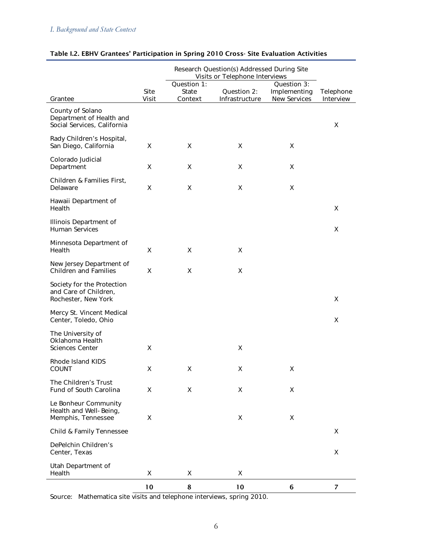|                                                                             | Research Question(s) Addressed During Site<br>Visits or Telephone Interviews |                                 |                               |                                                    |                        |
|-----------------------------------------------------------------------------|------------------------------------------------------------------------------|---------------------------------|-------------------------------|----------------------------------------------------|------------------------|
| Grantee                                                                     | Site<br>Visit                                                                | Question 1:<br>State<br>Context | Question 2:<br>Infrastructure | Question 3:<br>Implementing<br><b>New Services</b> | Telephone<br>Interview |
| County of Solano<br>Department of Health and<br>Social Services, California |                                                                              |                                 |                               |                                                    | X                      |
| Rady Children's Hospital,<br>San Diego, California                          | X                                                                            | X                               | Χ                             | X                                                  |                        |
| Colorado Judicial<br>Department                                             | Χ                                                                            | X                               | Χ                             | X                                                  |                        |
| Children & Families First,<br>Delaware                                      | X                                                                            | X                               | Χ                             | X                                                  |                        |
| Hawaii Department of<br>Health                                              |                                                                              |                                 |                               |                                                    | Χ                      |
| Illinois Department of<br>Human Services                                    |                                                                              |                                 |                               |                                                    | X                      |
| Minnesota Department of<br>Health                                           | Χ                                                                            | X                               | Χ                             |                                                    |                        |
| New Jersey Department of<br><b>Children and Families</b>                    | X                                                                            | X                               | X                             |                                                    |                        |
| Society for the Protection<br>and Care of Children,<br>Rochester, New York  |                                                                              |                                 |                               |                                                    | $\pmb{\mathsf{X}}$     |
| Mercy St. Vincent Medical<br>Center, Toledo, Ohio                           |                                                                              |                                 |                               |                                                    | X                      |
| The University of<br>Oklahoma Health<br><b>Sciences Center</b>              | X                                                                            |                                 | Χ                             |                                                    |                        |
| Rhode Island KIDS<br><b>COUNT</b>                                           | X                                                                            | X                               | X                             | X                                                  |                        |
| The Children's Trust<br><b>Fund of South Carolina</b>                       | X                                                                            | X                               | X                             | X                                                  |                        |
| Le Bonheur Community<br>Health and Well-Being,<br>Memphis, Tennessee        | Χ                                                                            |                                 | X                             | X                                                  |                        |
| Child & Family Tennessee                                                    |                                                                              |                                 |                               |                                                    | X                      |
| DePelchin Children's<br>Center, Texas                                       |                                                                              |                                 |                               |                                                    | Χ                      |
| Utah Department of<br>Health                                                | Χ                                                                            | X                               | Χ                             |                                                    |                        |
|                                                                             | 10                                                                           | 8                               | 10                            | 6                                                  | $\overline{7}$         |

### Table I.2. EBHV Grantees' Participation in Spring 2010 Cross- Site Evaluation Activities

Source: Mathematica site visits and telephone interviews, spring 2010.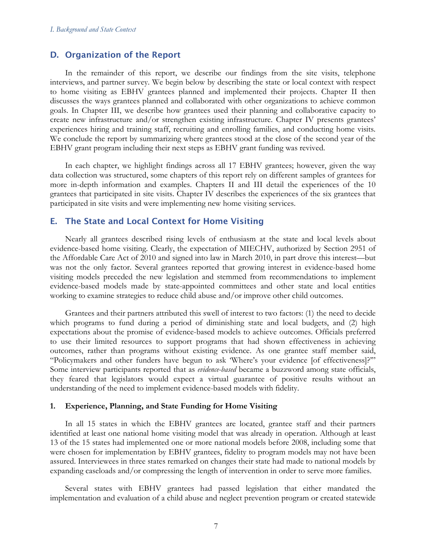### D. Organization of the Report

In the remainder of this report, we describe our findings from the site visits, telephone interviews, and partner survey. We begin below by describing the state or local context with respect to home visiting as EBHV grantees planned and implemented their projects. Chapter II then discusses the ways grantees planned and collaborated with other organizations to achieve common goals. In Chapter III, we describe how grantees used their planning and collaborative capacity to create new infrastructure and/or strengthen existing infrastructure. Chapter IV presents grantees' experiences hiring and training staff, recruiting and enrolling families, and conducting home visits. We conclude the report by summarizing where grantees stood at the close of the second year of the EBHV grant program including their next steps as EBHV grant funding was revived.

In each chapter, we highlight findings across all 17 EBHV grantees; however, given the way data collection was structured, some chapters of this report rely on different samples of grantees for more in-depth information and examples. Chapters II and III detail the experiences of the 10 grantees that participated in site visits. Chapter IV describes the experiences of the six grantees that participated in site visits and were implementing new home visiting services.

### E. The State and Local Context for Home Visiting

Nearly all grantees described rising levels of enthusiasm at the state and local levels about evidence-based home visiting. Clearly, the expectation of MIECHV, authorized by Section 2951 of the Affordable Care Act of 2010 and signed into law in March 2010, in part drove this interest—but was not the only factor. Several grantees reported that growing interest in evidence-based home visiting models preceded the new legislation and stemmed from recommendations to implement evidence-based models made by state-appointed committees and other state and local entities working to examine strategies to reduce child abuse and/or improve other child outcomes.

Grantees and their partners attributed this swell of interest to two factors: (1) the need to decide which programs to fund during a period of diminishing state and local budgets, and (2) high expectations about the promise of evidence-based models to achieve outcomes. Officials preferred to use their limited resources to support programs that had shown effectiveness in achieving outcomes, rather than programs without existing evidence. As one grantee staff member said, "Policymakers and other funders have begun to ask 'Where's your evidence [of effectiveness]?'" Some interview participants reported that as *evidence-based* became a buzzword among state officials, they feared that legislators would expect a virtual guarantee of positive results without an understanding of the need to implement evidence-based models with fidelity.

#### **1. Experience, Planning, and State Funding for Home Visiting**

In all 15 states in which the EBHV grantees are located, grantee staff and their partners identified at least one national home visiting model that was already in operation. Although at least 13 of the 15 states had implemented one or more national models before 2008, including some that were chosen for implementation by EBHV grantees, fidelity to program models may not have been assured. Interviewees in three states remarked on changes their state had made to national models by expanding caseloads and/or compressing the length of intervention in order to serve more families.

Several states with EBHV grantees had passed legislation that either mandated the implementation and evaluation of a child abuse and neglect prevention program or created statewide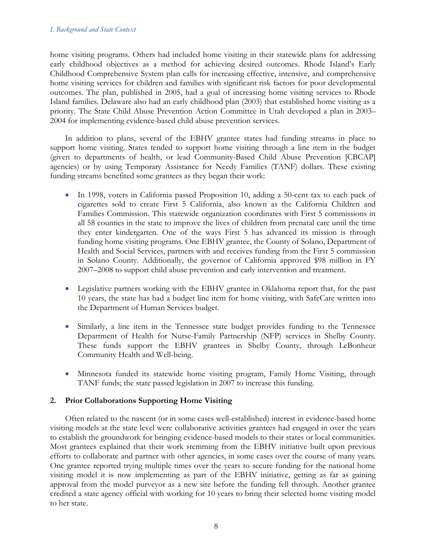#### *I. Background and State Context*

home visiting programs. Others had included home visiting in their statewide plans for addressing early childhood objectives as a method for achieving desired outcomes. Rhode Island's Early Childhood Comprehensive System plan calls for increasing effective, intensive, and comprehensive home visiting services for children and families with significant risk factors for poor developmental outcomes. The plan, published in 2005, had a goal of increasing home visiting services to Rhode Island families. Delaware also had an early childhood plan (2003) that established home visiting as a priority. The State Child Abuse Prevention Action Committee in Utah developed a plan in 2003– 2004 for implementing evidence-based child abuse prevention services.

In addition to plans, several of the EBHV grantee states had funding streams in place to support home visiting. States tended to support home visiting through a line item in the budget (given to departments of health, or lead Community-Based Child Abuse Prevention [CBCAP] agencies) or by using Temporary Assistance for Needy Families (TANF) dollars. These existing funding streams benefited some grantees as they began their work:

- In 1998, voters in California passed Proposition 10, adding a 50-cent tax to each pack of cigarettes sold to create First 5 California, also known as the California Children and Families Commission. This statewide organization coordinates with First 5 commissions in all 58 counties in the state to improve the lives of children from prenatal care until the time they enter kindergarten. One of the ways First 5 has advanced its mission is through funding home visiting programs. One EBHV grantee, the County of Solano, Department of Health and Social Services, partners with and receives funding from the First 5 commission in Solano County. Additionally, the governor of California approved \$98 million in FY 2007–2008 to support child abuse prevention and early intervention and treatment.
- Legislative partners working with the EBHV grantee in Oklahoma report that, for the past 10 years, the state has had a budget line item for home visiting, with SafeCare written into the Department of Human Services budget.
- Similarly, a line item in the Tennessee state budget provides funding to the Tennessee Department of Health for Nurse-Family Partnership (NFP) services in Shelby County. These funds support the EBHV grantees in Shelby County, through LeBonheur Community Health and Well-being.
- Minnesota funded its statewide home visiting program, Family Home Visiting, through TANF funds; the state passed legislation in 2007 to increase this funding.

### **2. Prior Collaborations Supporting Home Visiting**

Often related to the nascent (or in some cases well-established) interest in evidence-based home visiting models at the state level were collaborative activities grantees had engaged in over the years to establish the groundwork for bringing evidence-based models to their states or local communities. Most grantees explained that their work stemming from the EBHV initiative built upon previous efforts to collaborate and partner with other agencies, in some cases over the course of many years. One grantee reported trying multiple times over the years to secure funding for the national home visiting model it is now implementing as part of the EBHV initiative, getting as far as gaining approval from the model purveyor as a new site before the funding fell through. Another grantee credited a state agency official with working for 10 years to bring their selected home visiting model to her state.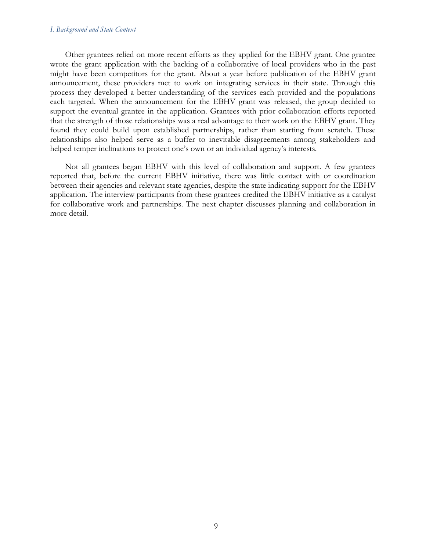#### *I. Background and State Context*

Other grantees relied on more recent efforts as they applied for the EBHV grant. One grantee wrote the grant application with the backing of a collaborative of local providers who in the past might have been competitors for the grant. About a year before publication of the EBHV grant announcement, these providers met to work on integrating services in their state. Through this process they developed a better understanding of the services each provided and the populations each targeted. When the announcement for the EBHV grant was released, the group decided to support the eventual grantee in the application. Grantees with prior collaboration efforts reported that the strength of those relationships was a real advantage to their work on the EBHV grant. They found they could build upon established partnerships, rather than starting from scratch. These relationships also helped serve as a buffer to inevitable disagreements among stakeholders and helped temper inclinations to protect one's own or an individual agency's interests.

Not all grantees began EBHV with this level of collaboration and support. A few grantees reported that, before the current EBHV initiative, there was little contact with or coordination between their agencies and relevant state agencies, despite the state indicating support for the EBHV application. The interview participants from these grantees credited the EBHV initiative as a catalyst for collaborative work and partnerships. The next chapter discusses planning and collaboration in more detail.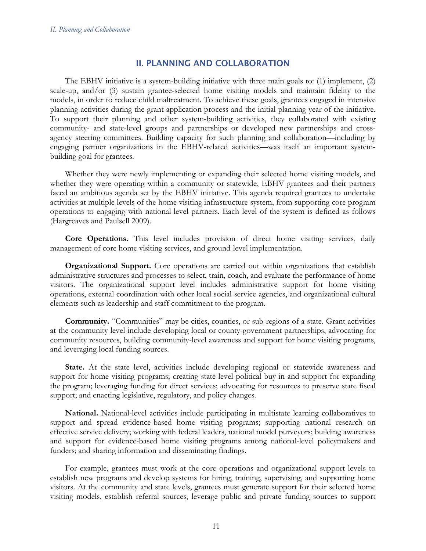### II. PLANNING AND COLLABORATION

The EBHV initiative is a system-building initiative with three main goals to: (1) implement, (2) scale-up, and/or (3) sustain grantee-selected home visiting models and maintain fidelity to the models, in order to reduce child maltreatment. To achieve these goals, grantees engaged in intensive planning activities during the grant application process and the initial planning year of the initiative. To support their planning and other system-building activities, they collaborated with existing community- and state-level groups and partnerships or developed new partnerships and crossagency steering committees. Building capacity for such planning and collaboration—including by engaging partner organizations in the EBHV-related activities—was itself an important systembuilding goal for grantees.

Whether they were newly implementing or expanding their selected home visiting models, and whether they were operating within a community or statewide, EBHV grantees and their partners faced an ambitious agenda set by the EBHV initiative. This agenda required grantees to undertake activities at multiple levels of the home visiting infrastructure system, from supporting core program operations to engaging with national-level partners. Each level of the system is defined as follows (Hargreaves and Paulsell 2009).

**Core Operations.** This level includes provision of direct home visiting services, daily management of core home visiting services, and ground-level implementation.

**Organizational Support.** Core operations are carried out within organizations that establish administrative structures and processes to select, train, coach, and evaluate the performance of home visitors. The organizational support level includes administrative support for home visiting operations, external coordination with other local social service agencies, and organizational cultural elements such as leadership and staff commitment to the program.

**Community.** "Communities" may be cities, counties, or sub-regions of a state. Grant activities at the community level include developing local or county government partnerships, advocating for community resources, building community-level awareness and support for home visiting programs, and leveraging local funding sources.

State. At the state level, activities include developing regional or statewide awareness and support for home visiting programs; creating state-level political buy-in and support for expanding the program; leveraging funding for direct services; advocating for resources to preserve state fiscal support; and enacting legislative, regulatory, and policy changes.

**National.** National-level activities include participating in multistate learning collaboratives to support and spread evidence-based home visiting programs; supporting national research on effective service delivery; working with federal leaders, national model purveyors; building awareness and support for evidence-based home visiting programs among national-level policymakers and funders; and sharing information and disseminating findings.

For example, grantees must work at the core operations and organizational support levels to establish new programs and develop systems for hiring, training, supervising, and supporting home visitors. At the community and state levels, grantees must generate support for their selected home visiting models, establish referral sources, leverage public and private funding sources to support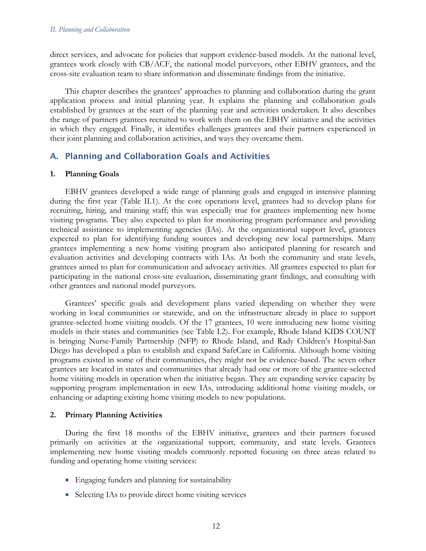direct services, and advocate for policies that support evidence-based models. At the national level, grantees work closely with CB/ACF, the national model purveyors, other EBHV grantees, and the cross-site evaluation team to share information and disseminate findings from the initiative.

This chapter describes the grantees' approaches to planning and collaboration during the grant application process and initial planning year. It explains the planning and collaboration goals established by grantees at the start of the planning year and activities undertaken. It also describes the range of partners grantees recruited to work with them on the EBHV initiative and the activities in which they engaged. Finally, it identifies challenges grantees and their partners experienced in their joint planning and collaboration activities, and ways they overcame them.

# A. Planning and Collaboration Goals and Activities

### **1. Planning Goals**

EBHV grantees developed a wide range of planning goals and engaged in intensive planning during the first year (Table II.1). At the core operations level, grantees had to develop plans for recruiting, hiring, and training staff; this was especially true for grantees implementing new home visiting programs. They also expected to plan for monitoring program performance and providing technical assistance to implementing agencies (IAs). At the organizational support level, grantees expected to plan for identifying funding sources and developing new local partnerships. Many grantees implementing a new home visiting program also anticipated planning for research and evaluation activities and developing contracts with IAs. At both the community and state levels, grantees aimed to plan for communication and advocacy activities. All grantees expected to plan for participating in the national cross-site evaluation, disseminating grant findings, and consulting with other grantees and national model purveyors.

Grantees' specific goals and development plans varied depending on whether they were working in local communities or statewide, and on the infrastructure already in place to support grantee-selected home visiting models. Of the 17 grantees, 10 were introducing new home visiting models in their states and communities (see Table I.2). For example, Rhode Island KIDS COUNT is bringing Nurse-Family Partnership (NFP) to Rhode Island, and Rady Children's Hospital-San Diego has developed a plan to establish and expand SafeCare in California. Although home visiting programs existed in some of their communities, they might not be evidence-based. The seven other grantees are located in states and communities that already had one or more of the grantee-selected home visiting models in operation when the initiative began. They are expanding service capacity by supporting program implementation in new IAs, introducing additional home visiting models, or enhancing or adapting existing home visiting models to new populations.

### **2. Primary Planning Activities**

During the first 18 months of the EBHV initiative, grantees and their partners focused primarily on activities at the organizational support, community, and state levels. Grantees implementing new home visiting models commonly reported focusing on three areas related to funding and operating home visiting services:

- Engaging funders and planning for sustainability
- Selecting IAs to provide direct home visiting services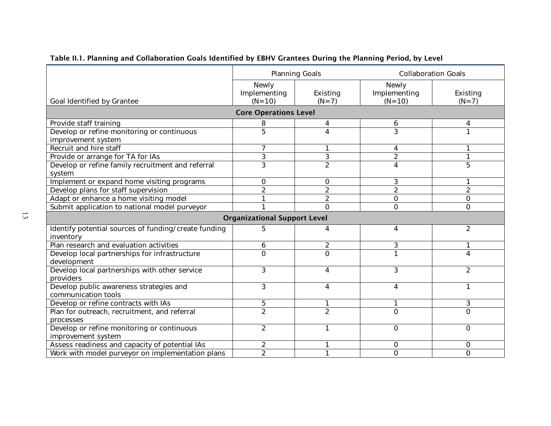|                                                      | <b>Planning Goals</b>               |                | <b>Collaboration Goals</b> |                |
|------------------------------------------------------|-------------------------------------|----------------|----------------------------|----------------|
|                                                      | Newly                               |                | Newly                      |                |
|                                                      | Implementing                        | Existing       | Implementing               | Existing       |
| Goal Identified by Grantee                           | $(N = 10)$                          | $(N=7)$        | $(N = 10)$                 | $(N=7)$        |
|                                                      | <b>Core Operations Level</b>        |                |                            |                |
| Provide staff training                               | 8                                   | 4              | 6                          | 4              |
| Develop or refine monitoring or continuous           | $\overline{5}$                      | 4              | 3                          |                |
| improvement system                                   |                                     |                |                            |                |
| Recruit and hire staff                               | 7                                   |                | 4                          |                |
| Provide or arrange for TA for IAs                    | 3                                   | 3              | $\overline{2}$             |                |
| Develop or refine family recruitment and referral    | $\overline{3}$                      | $\overline{2}$ | 4                          | 5              |
| system                                               |                                     |                |                            |                |
| Implement or expand home visiting programs           | 0                                   | 0              | 3                          |                |
| Develop plans for staff supervision                  | $\overline{2}$                      | $\overline{2}$ | $\overline{2}$             | $\overline{2}$ |
| Adapt or enhance a home visiting model               |                                     | $\overline{2}$ | 0                          | 0              |
| Submit application to national model purveyor        |                                     | $\mathbf 0$    | $\mathsf{O}$               | O              |
|                                                      | <b>Organizational Support Level</b> |                |                            |                |
| Identify potential sources of funding/create funding | 5                                   | 4              | 4                          | $\overline{2}$ |
| inventory                                            |                                     |                |                            |                |
| Plan research and evaluation activities              | 6                                   | $\overline{2}$ | 3                          |                |
| Develop local partnerships for infrastructure        | $\overline{0}$                      | $\Omega$       | 1                          | 4              |
| development                                          |                                     |                |                            |                |
| Develop local partnerships with other service        | 3                                   | 4              | 3                          | 2              |
| providers                                            |                                     |                |                            |                |
| Develop public awareness strategies and              | 3                                   | 4              | 4                          |                |
| communication tools                                  |                                     |                |                            |                |
| Develop or refine contracts with IAs                 | 5                                   | 1              | 1                          | 3              |
| Plan for outreach, recruitment, and referral         | $\overline{2}$                      | $\overline{2}$ | $\overline{O}$             | $\Omega$       |
| processes                                            |                                     |                |                            |                |
| Develop or refine monitoring or continuous           | $\overline{2}$                      | 1              | 0                          | $\Omega$       |
| improvement system                                   |                                     |                |                            |                |
| Assess readiness and capacity of potential IAs       | 2                                   |                | 0                          | 0              |
| Work with model purveyor on implementation plans     | $\overline{2}$                      |                | $\overline{O}$             | O              |

# Table II.1. Planning and Collaboration Goals Identified by EBHV Grantees During the Planning Period, by Level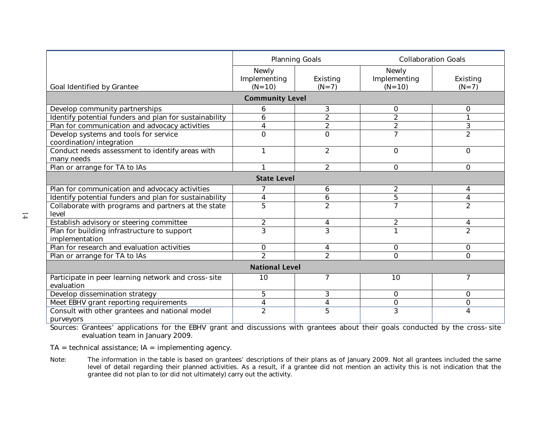|                                                        | <b>Planning Goals</b>  |                | <b>Collaboration Goals</b> |                |  |  |
|--------------------------------------------------------|------------------------|----------------|----------------------------|----------------|--|--|
|                                                        | Newly                  |                | Newly                      |                |  |  |
|                                                        | Implementing           | Existing       | Implementing               | Existing       |  |  |
| Goal Identified by Grantee                             | $(N = 10)$             | $(N=7)$        | $(N = 10)$                 | $(N=7)$        |  |  |
|                                                        | <b>Community Level</b> |                |                            |                |  |  |
| Develop community partnerships                         | 6                      | 3              | 0                          | $\Omega$       |  |  |
| Identify potential funders and plan for sustainability | 6                      | $\overline{2}$ | $\overline{2}$             |                |  |  |
| Plan for communication and advocacy activities         | 4                      | $\overline{2}$ | $\overline{2}$             | 3              |  |  |
| Develop systems and tools for service                  | 0                      | $\Omega$       | $\overline{7}$             | $\overline{2}$ |  |  |
| coordination/integration                               |                        |                |                            |                |  |  |
| Conduct needs assessment to identify areas with        | 1                      | $\overline{2}$ | 0                          | $\Omega$       |  |  |
| many needs                                             |                        |                |                            |                |  |  |
| Plan or arrange for TA to IAs                          |                        | $\overline{2}$ | $\Omega$                   | $\Omega$       |  |  |
| <b>State Level</b>                                     |                        |                |                            |                |  |  |
| Plan for communication and advocacy activities         | 7                      | 6              | $\overline{c}$             | 4              |  |  |
| Identify potential funders and plan for sustainability | 4                      | 6              | $\overline{5}$             | 4              |  |  |
| Collaborate with programs and partners at the state    | 5                      | $\overline{2}$ | $\overline{7}$             | $\overline{2}$ |  |  |
| level                                                  |                        |                |                            |                |  |  |
| Establish advisory or steering committee               | $\overline{c}$         | 4              | $\overline{c}$             | 4              |  |  |
| Plan for building infrastructure to support            | $\overline{3}$         | $\overline{3}$ |                            | $\overline{2}$ |  |  |
| implementation                                         |                        |                |                            |                |  |  |
| Plan for research and evaluation activities            | 0                      | 4              | 0                          | $\Omega$       |  |  |
| Plan or arrange for TA to IAs                          | $\overline{2}$         | $\overline{2}$ | $\overline{O}$             | $\Omega$       |  |  |
| <b>National Level</b>                                  |                        |                |                            |                |  |  |
| Participate in peer learning network and cross-site    | 10                     | $\overline{7}$ | 10                         | 7              |  |  |
| evaluation                                             |                        |                |                            |                |  |  |
| Develop dissemination strategy                         | 5                      | 3              | $\Omega$                   | $\Omega$       |  |  |
| Meet EBHV grant reporting requirements                 | 4                      | 4              | $\mathbf 0$                | $\Omega$       |  |  |
| Consult with other grantees and national model         | $\overline{2}$         | 5              | 3                          | 4              |  |  |
| purveyors                                              |                        |                |                            |                |  |  |

Sources: Grantees' applications for the EBHV grant and discussions with grantees about their goals conducted by the cross-site evaluation team in January 2009.

 $TA = technical assistance; IA = implementing agency.$ 

Note: The information in the table is based on grantees' descriptions of their plans as of January 2009. Not all grantees included the same level of detail regarding their planned activities. As a result, if a grantee did not mention an activity this is not indication that the grantee did not plan to (or did not ultimately) carry out the activity.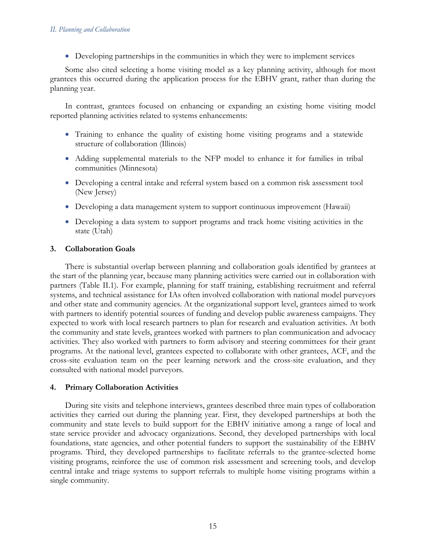• Developing partnerships in the communities in which they were to implement services

Some also cited selecting a home visiting model as a key planning activity, although for most grantees this occurred during the application process for the EBHV grant, rather than during the planning year.

In contrast, grantees focused on enhancing or expanding an existing home visiting model reported planning activities related to systems enhancements:

- Training to enhance the quality of existing home visiting programs and a statewide structure of collaboration (Illinois)
- Adding supplemental materials to the NFP model to enhance it for families in tribal communities (Minnesota)
- Developing a central intake and referral system based on a common risk assessment tool (New Jersey)
- Developing a data management system to support continuous improvement (Hawaii)
- Developing a data system to support programs and track home visiting activities in the state (Utah)

### **3. Collaboration Goals**

There is substantial overlap between planning and collaboration goals identified by grantees at the start of the planning year, because many planning activities were carried out in collaboration with partners (Table II.1). For example, planning for staff training, establishing recruitment and referral systems, and technical assistance for IAs often involved collaboration with national model purveyors and other state and community agencies. At the organizational support level, grantees aimed to work with partners to identify potential sources of funding and develop public awareness campaigns. They expected to work with local research partners to plan for research and evaluation activities. At both the community and state levels, grantees worked with partners to plan communication and advocacy activities. They also worked with partners to form advisory and steering committees for their grant programs. At the national level, grantees expected to collaborate with other grantees, ACF, and the cross-site evaluation team on the peer learning network and the cross-site evaluation, and they consulted with national model purveyors.

### **4. Primary Collaboration Activities**

During site visits and telephone interviews, grantees described three main types of collaboration activities they carried out during the planning year. First, they developed partnerships at both the community and state levels to build support for the EBHV initiative among a range of local and state service provider and advocacy organizations. Second, they developed partnerships with local foundations, state agencies, and other potential funders to support the sustainability of the EBHV programs. Third, they developed partnerships to facilitate referrals to the grantee-selected home visiting programs, reinforce the use of common risk assessment and screening tools, and develop central intake and triage systems to support referrals to multiple home visiting programs within a single community.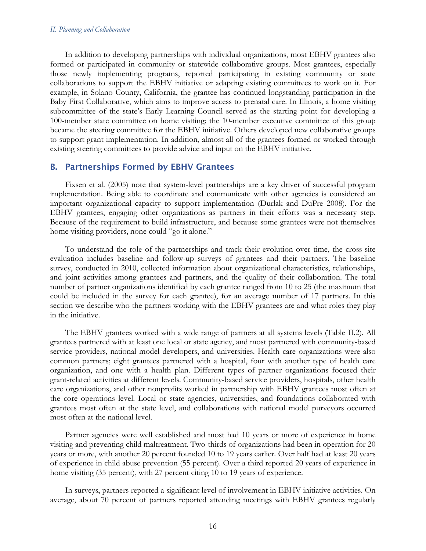#### *II. Planning and Collaboration*

In addition to developing partnerships with individual organizations, most EBHV grantees also formed or participated in community or statewide collaborative groups. Most grantees, especially those newly implementing programs, reported participating in existing community or state collaborations to support the EBHV initiative or adapting existing committees to work on it. For example, in Solano County, California, the grantee has continued longstanding participation in the Baby First Collaborative, which aims to improve access to prenatal care. In Illinois, a home visiting subcommittee of the state's Early Learning Council served as the starting point for developing a 100-member state committee on home visiting; the 10-member executive committee of this group became the steering committee for the EBHV initiative. Others developed new collaborative groups to support grant implementation. In addition, almost all of the grantees formed or worked through existing steering committees to provide advice and input on the EBHV initiative.

### B. Partnerships Formed by EBHV Grantees

Fixsen et al. (2005) note that system-level partnerships are a key driver of successful program implementation. Being able to coordinate and communicate with other agencies is considered an important organizational capacity to support implementation (Durlak and DuPre 2008). For the EBHV grantees, engaging other organizations as partners in their efforts was a necessary step. Because of the requirement to build infrastructure, and because some grantees were not themselves home visiting providers, none could "go it alone."

To understand the role of the partnerships and track their evolution over time, the cross-site evaluation includes baseline and follow-up surveys of grantees and their partners. The baseline survey, conducted in 2010, collected information about organizational characteristics, relationships, and joint activities among grantees and partners, and the quality of their collaboration. The total number of partner organizations identified by each grantee ranged from 10 to 25 (the maximum that could be included in the survey for each grantee), for an average number of 17 partners. In this section we describe who the partners working with the EBHV grantees are and what roles they play in the initiative.

The EBHV grantees worked with a wide range of partners at all systems levels (Table II.2). All grantees partnered with at least one local or state agency, and most partnered with community-based service providers, national model developers, and universities. Health care organizations were also common partners; eight grantees partnered with a hospital, four with another type of health care organization, and one with a health plan. Different types of partner organizations focused their grant-related activities at different levels. Community-based service providers, hospitals, other health care organizations, and other nonprofits worked in partnership with EBHV grantees most often at the core operations level. Local or state agencies, universities, and foundations collaborated with grantees most often at the state level, and collaborations with national model purveyors occurred most often at the national level.

Partner agencies were well established and most had 10 years or more of experience in home visiting and preventing child maltreatment. Two-thirds of organizations had been in operation for 20 years or more, with another 20 percent founded 10 to 19 years earlier. Over half had at least 20 years of experience in child abuse prevention (55 percent). Over a third reported 20 years of experience in home visiting (35 percent), with 27 percent citing 10 to 19 years of experience.

In surveys, partners reported a significant level of involvement in EBHV initiative activities. On average, about 70 percent of partners reported attending meetings with EBHV grantees regularly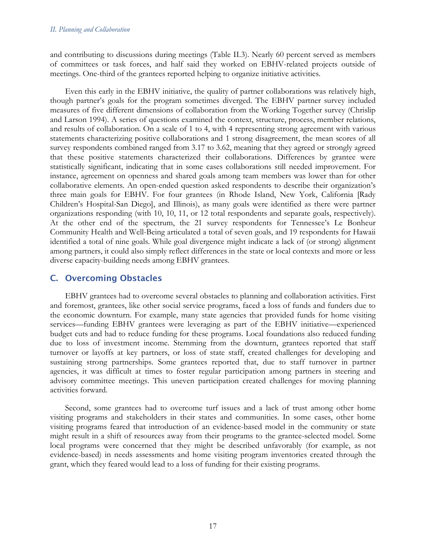and contributing to discussions during meetings (Table II.3). Nearly 60 percent served as members of committees or task forces, and half said they worked on EBHV-related projects outside of meetings. One-third of the grantees reported helping to organize initiative activities.

Even this early in the EBHV initiative, the quality of partner collaborations was relatively high, though partner's goals for the program sometimes diverged. The EBHV partner survey included measures of five different dimensions of collaboration from the Working Together survey (Chrislip and Larson 1994). A series of questions examined the context, structure, process, member relations, and results of collaboration. On a scale of 1 to 4, with 4 representing strong agreement with various statements characterizing positive collaborations and 1 strong disagreement, the mean scores of all survey respondents combined ranged from 3.17 to 3.62, meaning that they agreed or strongly agreed that these positive statements characterized their collaborations. Differences by grantee were statistically significant, indicating that in some cases collaborations still needed improvement. For instance, agreement on openness and shared goals among team members was lower than for other collaborative elements. An open-ended question asked respondents to describe their organization's three main goals for EBHV. For four grantees (in Rhode Island, New York, California [Rady Children's Hospital-San Diego], and Illinois), as many goals were identified as there were partner organizations responding (with 10, 10, 11, or 12 total respondents and separate goals, respectively). At the other end of the spectrum, the 21 survey respondents for Tennessee's Le Bonheur Community Health and Well-Being articulated a total of seven goals, and 19 respondents for Hawaii identified a total of nine goals. While goal divergence might indicate a lack of (or strong) alignment among partners, it could also simply reflect differences in the state or local contexts and more or less diverse capacity-building needs among EBHV grantees.

# C. Overcoming Obstacles

EBHV grantees had to overcome several obstacles to planning and collaboration activities. First and foremost, grantees, like other social service programs, faced a loss of funds and funders due to the economic downturn. For example, many state agencies that provided funds for home visiting services—funding EBHV grantees were leveraging as part of the EBHV initiative—experienced budget cuts and had to reduce funding for these programs. Local foundations also reduced funding due to loss of investment income. Stemming from the downturn, grantees reported that staff turnover or layoffs at key partners, or loss of state staff, created challenges for developing and sustaining strong partnerships. Some grantees reported that, due to staff turnover in partner agencies, it was difficult at times to foster regular participation among partners in steering and advisory committee meetings. This uneven participation created challenges for moving planning activities forward.

Second, some grantees had to overcome turf issues and a lack of trust among other home visiting programs and stakeholders in their states and communities. In some cases, other home visiting programs feared that introduction of an evidence-based model in the community or state might result in a shift of resources away from their programs to the grantee-selected model. Some local programs were concerned that they might be described unfavorably (for example, as not evidence-based) in needs assessments and home visiting program inventories created through the grant, which they feared would lead to a loss of funding for their existing programs.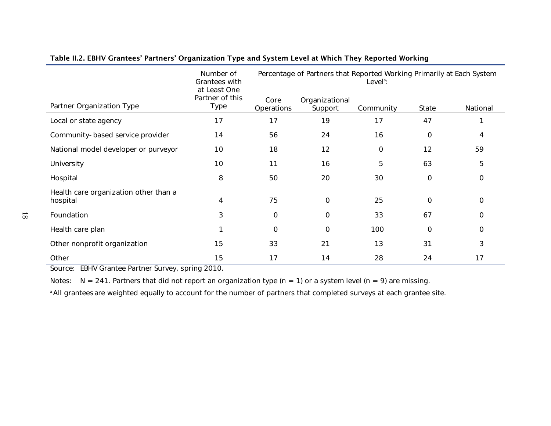|                                                   | Number of<br>Grantees with                     | Percentage of Partners that Reported Working Primarily at Each System<br>Level <sup>a</sup> : |                           |             |             |          |  |  |
|---------------------------------------------------|------------------------------------------------|-----------------------------------------------------------------------------------------------|---------------------------|-------------|-------------|----------|--|--|
| Partner Organization Type                         | at Least One<br>Partner of this<br><b>Type</b> | Core<br>Operations                                                                            | Organizational<br>Support | Community   | State       | National |  |  |
| Local or state agency                             | 17                                             | 17                                                                                            | 19                        | 17          | 47          |          |  |  |
| Community-based service provider                  | 14                                             | 56                                                                                            | 24                        | 16          | 0           | 4        |  |  |
| National model developer or purveyor              | 10                                             | 18                                                                                            | 12                        | $\mathbf 0$ | 12          | 59       |  |  |
| University                                        | 10                                             | 11                                                                                            | 16                        | 5           | 63          | 5        |  |  |
| Hospital                                          | 8                                              | 50                                                                                            | 20                        | 30          | $\mathbf 0$ | $\Omega$ |  |  |
| Health care organization other than a<br>hospital | 4                                              | 75                                                                                            | $\Omega$                  | 25          | $\mathbf 0$ | $\Omega$ |  |  |
| Foundation                                        | 3                                              | 0                                                                                             | 0                         | 33          | 67          | 0        |  |  |
| Health care plan                                  | 1                                              | 0                                                                                             | 0                         | 100         | $\mathbf 0$ | 0        |  |  |
| Other nonprofit organization                      | 15                                             | 33                                                                                            | 21                        | 13          | 31          | 3        |  |  |
| Other                                             | 15                                             | 17                                                                                            | 14                        | 28          | 24          | 17       |  |  |

# Table II.2. EBHV Grantees' Partners' Organization Type and System Level at Which They Reported Working

Source: EBHV Grantee Partner Survey, spring 2010.

Notes:  $N = 241$ . Partners that did not report an organization type (n = 1) or a system level (n = 9) are missing.

<sup>a</sup> All grantees are weighted equally to account for the number of partners that completed surveys at each grantee site.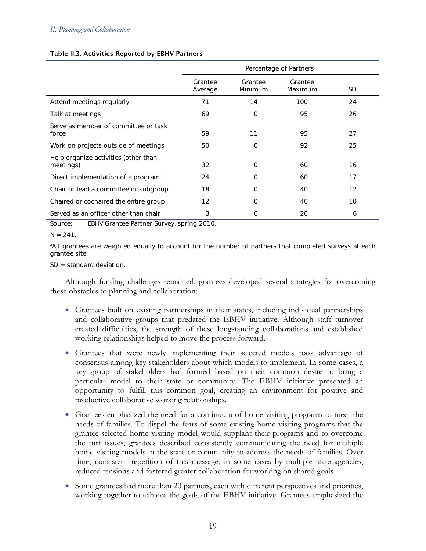### Table II.3. Activities Reported by EBHV Partners

|                                                   | Percentage of Partners <sup>a</sup> |                    |                    |     |  |  |  |
|---------------------------------------------------|-------------------------------------|--------------------|--------------------|-----|--|--|--|
|                                                   | Grantee<br>Average                  | Grantee<br>Minimum | Grantee<br>Maximum | SD. |  |  |  |
| Attend meetings regularly                         | 71                                  | 14                 | 100                | 24  |  |  |  |
| Talk at meetings                                  | 69                                  | $\Omega$           | 95                 | 26  |  |  |  |
| Serve as member of committee or task<br>force     | 59                                  | 11                 | 95                 | 27  |  |  |  |
| Work on projects outside of meetings              | 50                                  | 0                  | 92                 | 25  |  |  |  |
| Help organize activities (other than<br>meetings) | 32                                  | $\Omega$           | 60                 | 16  |  |  |  |
| Direct implementation of a program                | 24                                  | $\Omega$           | 60                 | 17  |  |  |  |
| Chair or lead a committee or subgroup             | 18                                  | 0                  | 40                 | 12  |  |  |  |
| Chaired or cochaired the entire group             | $12 \overline{ }$                   | O                  | 40                 | 10  |  |  |  |
| Served as an officer other than chair             | 3                                   | 0                  | 20                 | 6   |  |  |  |

Source: EBHV Grantee Partner Survey, spring 2010.

#### $N = 241$ .

a All grantees are weighted equally to account for the number of partners that completed surveys at each grantee site.

SD = standard deviation.

Although funding challenges remained, grantees developed several strategies for overcoming these obstacles to planning and collaboration:

- Grantees built on existing partnerships in their states, including individual partnerships and collaborative groups that predated the EBHV initiative. Although staff turnover created difficulties, the strength of these longstanding collaborations and established working relationships helped to move the process forward.
- Grantees that were newly implementing their selected models took advantage of consensus among key stakeholders about which models to implement. In some cases, a key group of stakeholders had formed based on their common desire to bring a particular model to their state or community. The EBHV initiative presented an opportunity to fulfill this common goal, creating an environment for positive and productive collaborative working relationships.
- Grantees emphasized the need for a continuum of home visiting programs to meet the needs of families. To dispel the fears of some existing home visiting programs that the grantee-selected home visiting model would supplant their programs and to overcome the turf issues, grantees described consistently communicating the need for multiple home visiting models in the state or community to address the needs of families. Over time, consistent repetition of this message, in some cases by multiple state agencies, reduced tensions and fostered greater collaboration for working on shared goals.
- Some grantees had more than 20 partners, each with different perspectives and priorities, working together to achieve the goals of the EBHV initiative. Grantees emphasized the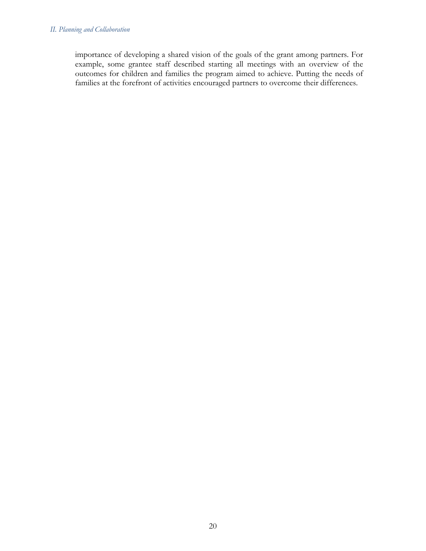### *II. Planning and Collaboration*

importance of developing a shared vision of the goals of the grant among partners. For example, some grantee staff described starting all meetings with an overview of the outcomes for children and families the program aimed to achieve. Putting the needs of families at the forefront of activities encouraged partners to overcome their differences.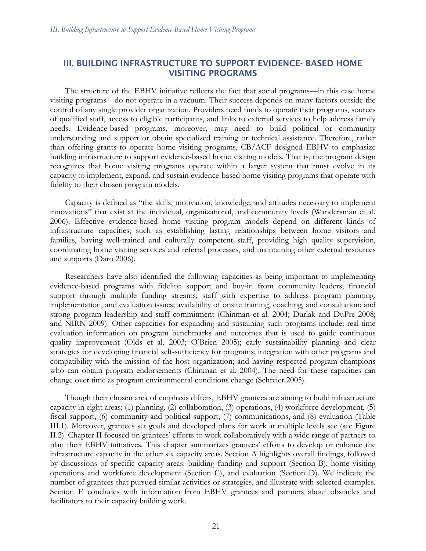# III. BUILDING INFRASTRUCTURE TO SUPPORT EVIDENCE- BASED HOME VISITING PROGRAMS

The structure of the EBHV initiative reflects the fact that social programs—in this case home visiting programs—do not operate in a vacuum. Their success depends on many factors outside the control of any single provider organization. Providers need funds to operate their programs, sources of qualified staff, access to eligible participants, and links to external services to help address family needs. Evidence-based programs, moreover, may need to build political or community understanding and support or obtain specialized training or technical assistance. Therefore, rather than offering grants to operate home visiting programs, CB/ACF designed EBHV to emphasize building infrastructure to support evidence-based home visiting models. That is, the program design recognizes that home visiting programs operate within a larger system that must evolve in its capacity to implement, expand, and sustain evidence-based home visiting programs that operate with fidelity to their chosen program models.

Capacity is defined as "the skills, motivation, knowledge, and attitudes necessary to implement innovations" that exist at the individual, organizational, and community levels (Wandersman et al. 2006). Effective evidence-based home visiting program models depend on different kinds of infrastructure capacities, such as establishing lasting relationships between home visitors and families, having well-trained and culturally competent staff, providing high quality supervision, coordinating home visiting services and referral processes, and maintaining other external resources and supports (Daro 2006).

Researchers have also identified the following capacities as being important to implementing evidence-based programs with fidelity: support and buy-in from community leaders; financial support through multiple funding streams; staff with expertise to address program planning, implementation, and evaluation issues; availability of onsite training, coaching, and consultation; and strong program leadership and staff commitment (Chinman et al. 2004; Durlak and DuPre 2008; and NIRN 2009). Other capacities for expanding and sustaining such programs include: real-time evaluation information on program benchmarks and outcomes that is used to guide continuous quality improvement (Olds et al. 2003; O'Brien 2005); early sustainability planning and clear strategies for developing financial self-sufficiency for programs; integration with other programs and compatibility with the mission of the host organization; and having respected program champions who can obtain program endorsements (Chinman et al. 2004). The need for these capacities can change over time as program environmental conditions change (Schreier 2005).

Though their chosen area of emphasis differs, EBHV grantees are aiming to build infrastructure capacity in eight areas: (1) planning, (2) collaboration, (3) operations, (4) workforce development, (5) fiscal support, (6) community and political support, (7) communications, and (8) evaluation (Table III.1). Moreover, grantees set goals and developed plans for work at multiple levels see (see Figure II.2). Chapter II focused on grantees' efforts to work collaboratively with a wide range of partners to plan their EBHV initiatives. This chapter summarizes grantees' efforts to develop or enhance the infrastructure capacity in the other six capacity areas. Section A highlights overall findings, followed by discussions of specific capacity areas: building funding and support (Section B), home visiting operations and workforce development (Section C), and evaluation (Section D). We indicate the number of grantees that pursued similar activities or strategies, and illustrate with selected examples. Section E concludes with information from EBHV grantees and partners about obstacles and facilitators to their capacity building work.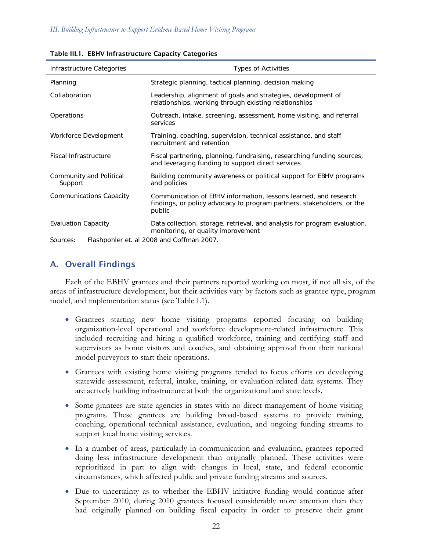| Infrastructure Categories                             | <b>Types of Activities</b>                                                                                                                           |  |  |  |  |  |
|-------------------------------------------------------|------------------------------------------------------------------------------------------------------------------------------------------------------|--|--|--|--|--|
| Planning                                              | Strategic planning, tactical planning, decision making                                                                                               |  |  |  |  |  |
| Collaboration                                         | Leadership, alignment of goals and strategies, development of<br>relationships, working through existing relationships                               |  |  |  |  |  |
| Operations                                            | Outreach, intake, screening, assessment, home visiting, and referral<br>services                                                                     |  |  |  |  |  |
| Workforce Development                                 | Training, coaching, supervision, technical assistance, and staff<br>recruitment and retention                                                        |  |  |  |  |  |
| <b>Fiscal Infrastructure</b>                          | Fiscal partnering, planning, fundraising, researching funding sources,<br>and leveraging funding to support direct services                          |  |  |  |  |  |
| Community and Political<br>Support                    | Building community awareness or political support for EBHV programs<br>and policies                                                                  |  |  |  |  |  |
| <b>Communications Capacity</b>                        | Communication of EBHV information, lessons learned, and research<br>findings, or policy advocacy to program partners, stakeholders, or the<br>public |  |  |  |  |  |
| <b>Evaluation Capacity</b>                            | Data collection, storage, retrieval, and analysis for program evaluation,<br>monitoring, or quality improvement                                      |  |  |  |  |  |
| Flashpohler et. al 2008 and Coffman 2007.<br>Sources: |                                                                                                                                                      |  |  |  |  |  |

#### Table III.1. EBHV Infrastructure Capacity Categories

A. Overall Findings

Each of the EBHV grantees and their partners reported working on most, if not all six, of the areas of infrastructure development, but their activities vary by factors such as grantee type, program model, and implementation status (see Table I.1).

- Grantees starting new home visiting programs reported focusing on building organization-level operational and workforce development-related infrastructure. This included recruiting and hiring a qualified workforce, training and certifying staff and supervisors as home visitors and coaches, and obtaining approval from their national model purveyors to start their operations.
- Grantees with existing home visiting programs tended to focus efforts on developing statewide assessment, referral, intake, training, or evaluation-related data systems. They are actively building infrastructure at both the organizational and state levels.
- Some grantees are state agencies in states with no direct management of home visiting programs. These grantees are building broad-based systems to provide training, coaching, operational technical assistance, evaluation, and ongoing funding streams to support local home visiting services.
- In a number of areas, particularly in communication and evaluation, grantees reported doing less infrastructure development than originally planned. These activities were reprioritized in part to align with changes in local, state, and federal economic circumstances, which affected public and private funding streams and sources.
- Due to uncertainty as to whether the EBHV initiative funding would continue after September 2010, during 2010 grantees focused considerably more attention than they had originally planned on building fiscal capacity in order to preserve their grant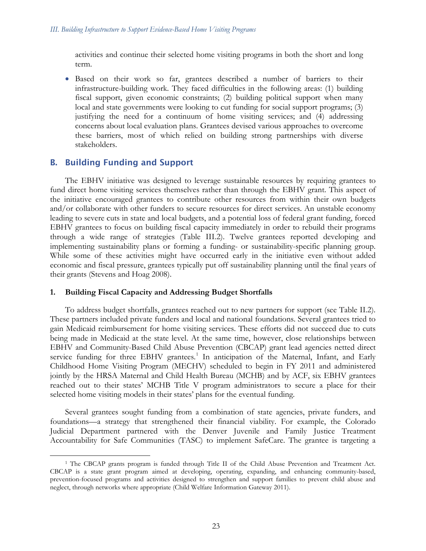activities and continue their selected home visiting programs in both the short and long term.

• Based on their work so far, grantees described a number of barriers to their infrastructure-building work. They faced difficulties in the following areas: (1) building fiscal support, given economic constraints; (2) building political support when many local and state governments were looking to cut funding for social support programs; (3) justifying the need for a continuum of home visiting services; and (4) addressing concerns about local evaluation plans. Grantees devised various approaches to overcome these barriers, most of which relied on building strong partnerships with diverse stakeholders.

# B. Building Funding and Support

The EBHV initiative was designed to leverage sustainable resources by requiring grantees to fund direct home visiting services themselves rather than through the EBHV grant. This aspect of the initiative encouraged grantees to contribute other resources from within their own budgets and/or collaborate with other funders to secure resources for direct services. An unstable economy leading to severe cuts in state and local budgets, and a potential loss of federal grant funding, forced EBHV grantees to focus on building fiscal capacity immediately in order to rebuild their programs through a wide range of strategies (Table III.2). Twelve grantees reported developing and implementing sustainability plans or forming a funding- or sustainability-specific planning group. While some of these activities might have occurred early in the initiative even without added economic and fiscal pressure, grantees typically put off sustainability planning until the final years of their grants (Stevens and Hoag 2008).

## **1. Building Fiscal Capacity and Addressing Budget Shortfalls**

To address budget shortfalls, grantees reached out to new partners for support (see Table II.2). These partners included private funders and local and national foundations. Several grantees tried to gain Medicaid reimbursement for home visiting services. These efforts did not succeed due to cuts being made in Medicaid at the state level. At the same time, however, close relationships between EBHV and Community-Based Child Abuse Prevention (CBCAP) grant lead agencies netted direct service funding for three EBHV grantees.<sup>[1](#page-42-0)</sup> In anticipation of the Maternal, Infant, and Early Childhood Home Visiting Program (MECHV) scheduled to begin in FY 2011 and administered jointly by the HRSA Maternal and Child Health Bureau (MCHB) and by ACF, six EBHV grantees reached out to their states' MCHB Title V program administrators to secure a place for their selected home visiting models in their states' plans for the eventual funding.

Several grantees sought funding from a combination of state agencies, private funders, and foundations—a strategy that strengthened their financial viability. For example, the Colorado Judicial Department partnered with the Denver Juvenile and Family Justice Treatment Accountability for Safe Communities (TASC) to implement SafeCare. The grantee is targeting a

<span id="page-42-0"></span><sup>&</sup>lt;sup>1</sup> The CBCAP grants program is funded through Title II of the Child Abuse Prevention and Treatment Act. CBCAP is a state grant program aimed at developing, operating, expanding, and enhancing community-based, prevention-focused programs and activities designed to strengthen and support families to prevent child abuse and neglect, through networks where appropriate (Child Welfare Information Gateway 2011).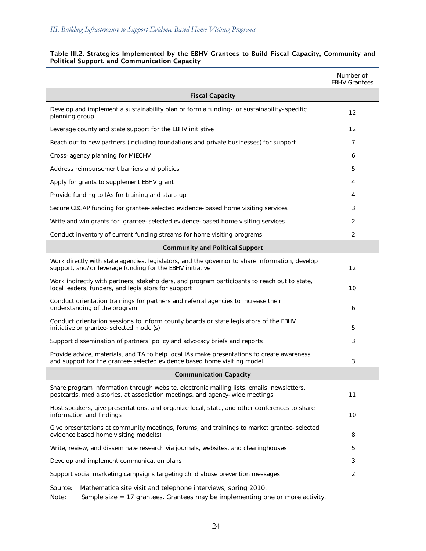|                                                                                                                                                                          | Number of<br><b>EBHV Grantees</b> |  |  |  |  |
|--------------------------------------------------------------------------------------------------------------------------------------------------------------------------|-----------------------------------|--|--|--|--|
| <b>Fiscal Capacity</b>                                                                                                                                                   |                                   |  |  |  |  |
| Develop and implement a sustainability plan or form a funding- or sustainability-specific<br>planning group                                                              | 12                                |  |  |  |  |
| Leverage county and state support for the EBHV initiative                                                                                                                | $12 \overline{ }$                 |  |  |  |  |
| Reach out to new partners (including foundations and private businesses) for support                                                                                     | 7                                 |  |  |  |  |
| Cross-agency planning for MIECHV                                                                                                                                         | 6                                 |  |  |  |  |
| Address reimbursement barriers and policies                                                                                                                              | 5                                 |  |  |  |  |
| Apply for grants to supplement EBHV grant                                                                                                                                | 4                                 |  |  |  |  |
| Provide funding to IAs for training and start-up                                                                                                                         | 4                                 |  |  |  |  |
| Secure CBCAP funding for grantee-selected evidence-based home visiting services                                                                                          | 3                                 |  |  |  |  |
| Write and win grants for grantee-selected evidence-based home visiting services                                                                                          | 2                                 |  |  |  |  |
| Conduct inventory of current funding streams for home visiting programs                                                                                                  | 2                                 |  |  |  |  |
| <b>Community and Political Support</b>                                                                                                                                   |                                   |  |  |  |  |
| Work directly with state agencies, legislators, and the governor to share information, develop<br>support, and/or leverage funding for the EBHV initiative               | $12 \overline{ }$                 |  |  |  |  |
| Work indirectly with partners, stakeholders, and program participants to reach out to state,<br>local leaders, funders, and legislators for support                      | 10                                |  |  |  |  |
| Conduct orientation trainings for partners and referral agencies to increase their<br>understanding of the program                                                       | 6                                 |  |  |  |  |
| Conduct orientation sessions to inform county boards or state legislators of the EBHV<br>initiative or grantee-selected model(s)                                         | 5                                 |  |  |  |  |
| Support dissemination of partners' policy and advocacy briefs and reports                                                                                                | 3                                 |  |  |  |  |
| Provide advice, materials, and TA to help local IAs make presentations to create awareness<br>and support for the grantee-selected evidence based home visiting model    | 3                                 |  |  |  |  |
| <b>Communication Capacity</b>                                                                                                                                            |                                   |  |  |  |  |
| Share program information through website, electronic mailing lists, emails, newsletters,<br>postcards, media stories, at association meetings, and agency-wide meetings | 11                                |  |  |  |  |
| Host speakers, give presentations, and organize local, state, and other conferences to share<br>information and findings                                                 | 10                                |  |  |  |  |
| Give presentations at community meetings, forums, and trainings to market grantee-selected<br>evidence based home visiting model(s)                                      | 8                                 |  |  |  |  |
| Write, review, and disseminate research via journals, websites, and clearinghouses                                                                                       | 5                                 |  |  |  |  |
| Develop and implement communication plans                                                                                                                                | 3                                 |  |  |  |  |
| Support social marketing campaigns targeting child abuse prevention messages                                                                                             | 2                                 |  |  |  |  |
| Source:<br>Mathematica site visit and telephone interviews, spring 2010.                                                                                                 |                                   |  |  |  |  |

#### Table III.2. Strategies Implemented by the EBHV Grantees to Build Fiscal Capacity, Community and Political Support, and Communication Capacity

Note: Sample size = 17 grantees. Grantees may be implementing one or more activity.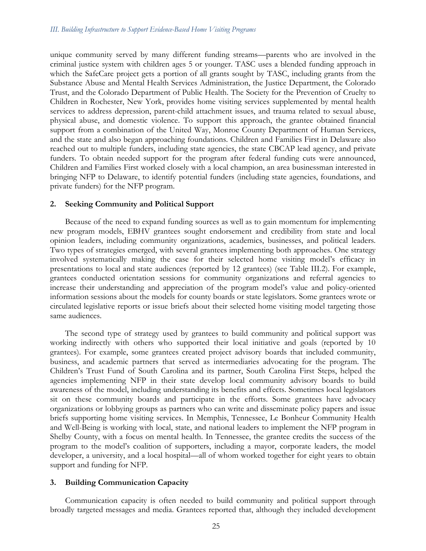unique community served by many different funding streams—parents who are involved in the criminal justice system with children ages 5 or younger. TASC uses a blended funding approach in which the SafeCare project gets a portion of all grants sought by TASC, including grants from the Substance Abuse and Mental Health Services Administration, the Justice Department, the Colorado Trust, and the Colorado Department of Public Health. The Society for the Prevention of Cruelty to Children in Rochester, New York, provides home visiting services supplemented by mental health services to address depression, parent-child attachment issues, and trauma related to sexual abuse, physical abuse, and domestic violence. To support this approach, the grantee obtained financial support from a combination of the United Way, Monroe County Department of Human Services, and the state and also began approaching foundations. Children and Families First in Delaware also reached out to multiple funders, including state agencies, the state CBCAP lead agency, and private funders. To obtain needed support for the program after federal funding cuts were announced, Children and Families First worked closely with a local champion, an area businessman interested in bringing NFP to Delaware, to identify potential funders (including state agencies, foundations, and private funders) for the NFP program.

## **2. Seeking Community and Political Support**

Because of the need to expand funding sources as well as to gain momentum for implementing new program models, EBHV grantees sought endorsement and credibility from state and local opinion leaders, including community organizations, academics, businesses, and political leaders. Two types of strategies emerged, with several grantees implementing both approaches. One strategy involved systematically making the case for their selected home visiting model's efficacy in presentations to local and state audiences (reported by 12 grantees) (see Table III.2). For example, grantees conducted orientation sessions for community organizations and referral agencies to increase their understanding and appreciation of the program model's value and policy-oriented information sessions about the models for county boards or state legislators. Some grantees wrote or circulated legislative reports or issue briefs about their selected home visiting model targeting those same audiences.

The second type of strategy used by grantees to build community and political support was working indirectly with others who supported their local initiative and goals (reported by 10 grantees). For example, some grantees created project advisory boards that included community, business, and academic partners that served as intermediaries advocating for the program. The Children's Trust Fund of South Carolina and its partner, South Carolina First Steps, helped the agencies implementing NFP in their state develop local community advisory boards to build awareness of the model, including understanding its benefits and effects. Sometimes local legislators sit on these community boards and participate in the efforts. Some grantees have advocacy organizations or lobbying groups as partners who can write and disseminate policy papers and issue briefs supporting home visiting services. In Memphis, Tennessee, Le Bonheur Community Health and Well-Being is working with local, state, and national leaders to implement the NFP program in Shelby County, with a focus on mental health. In Tennessee, the grantee credits the success of the program to the model's coalition of supporters, including a mayor, corporate leaders, the model developer, a university, and a local hospital—all of whom worked together for eight years to obtain support and funding for NFP.

## **3. Building Communication Capacity**

Communication capacity is often needed to build community and political support through broadly targeted messages and media. Grantees reported that, although they included development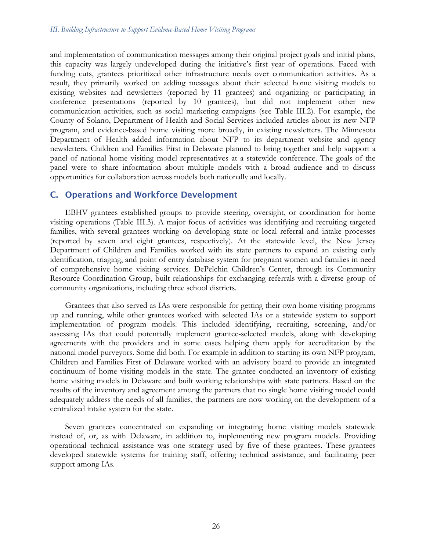and implementation of communication messages among their original project goals and initial plans, this capacity was largely undeveloped during the initiative's first year of operations. Faced with funding cuts, grantees prioritized other infrastructure needs over communication activities. As a result, they primarily worked on adding messages about their selected home visiting models to existing websites and newsletters (reported by 11 grantees) and organizing or participating in conference presentations (reported by 10 grantees), but did not implement other new communication activities, such as social marketing campaigns (see Table III.2). For example, the County of Solano, Department of Health and Social Services included articles about its new NFP program, and evidence-based home visiting more broadly, in existing newsletters. The Minnesota Department of Health added information about NFP to its department website and agency newsletters. Children and Families First in Delaware planned to bring together and help support a panel of national home visiting model representatives at a statewide conference. The goals of the panel were to share information about multiple models with a broad audience and to discuss opportunities for collaboration across models both nationally and locally.

# C. Operations and Workforce Development

EBHV grantees established groups to provide steering, oversight, or coordination for home visiting operations (Table III.3). A major focus of activities was identifying and recruiting targeted families, with several grantees working on developing state or local referral and intake processes (reported by seven and eight grantees, respectively). At the statewide level, the New Jersey Department of Children and Families worked with its state partners to expand an existing early identification, triaging, and point of entry database system for pregnant women and families in need of comprehensive home visiting services. DePelchin Children's Center, through its Community Resource Coordination Group, built relationships for exchanging referrals with a diverse group of community organizations, including three school districts.

Grantees that also served as IAs were responsible for getting their own home visiting programs up and running, while other grantees worked with selected IAs or a statewide system to support implementation of program models. This included identifying, recruiting, screening, and/or assessing IAs that could potentially implement grantee-selected models, along with developing agreements with the providers and in some cases helping them apply for accreditation by the national model purveyors. Some did both. For example in addition to starting its own NFP program, Children and Families First of Delaware worked with an advisory board to provide an integrated continuum of home visiting models in the state. The grantee conducted an inventory of existing home visiting models in Delaware and built working relationships with state partners. Based on the results of the inventory and agreement among the partners that no single home visiting model could adequately address the needs of all families, the partners are now working on the development of a centralized intake system for the state.

Seven grantees concentrated on expanding or integrating home visiting models statewide instead of, or, as with Delaware, in addition to, implementing new program models. Providing operational technical assistance was one strategy used by five of these grantees. These grantees developed statewide systems for training staff, offering technical assistance, and facilitating peer support among IAs.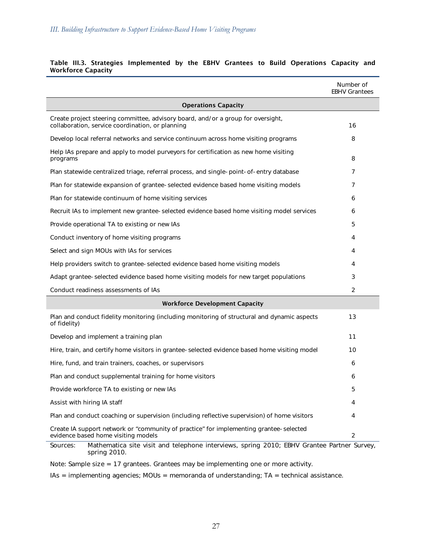|                                                                                                                                                                                                                            | Number of<br><b>EBHV Grantees</b> |  |  |  |  |  |
|----------------------------------------------------------------------------------------------------------------------------------------------------------------------------------------------------------------------------|-----------------------------------|--|--|--|--|--|
| <b>Operations Capacity</b>                                                                                                                                                                                                 |                                   |  |  |  |  |  |
| Create project steering committee, advisory board, and/or a group for oversight,<br>collaboration, service coordination, or planning                                                                                       | 16                                |  |  |  |  |  |
| Develop local referral networks and service continuum across home visiting programs                                                                                                                                        | 8                                 |  |  |  |  |  |
| Help IAs prepare and apply to model purveyors for certification as new home visiting<br>programs                                                                                                                           | 8                                 |  |  |  |  |  |
| Plan statewide centralized triage, referral process, and single-point-of-entry database                                                                                                                                    | 7                                 |  |  |  |  |  |
| Plan for statewide expansion of grantee-selected evidence based home visiting models                                                                                                                                       | 7                                 |  |  |  |  |  |
| Plan for statewide continuum of home visiting services                                                                                                                                                                     | 6                                 |  |  |  |  |  |
| Recruit IAs to implement new grantee-selected evidence based home visiting model services                                                                                                                                  | 6                                 |  |  |  |  |  |
| Provide operational TA to existing or new IAs                                                                                                                                                                              | 5                                 |  |  |  |  |  |
| Conduct inventory of home visiting programs                                                                                                                                                                                | 4                                 |  |  |  |  |  |
| Select and sign MOUs with IAs for services                                                                                                                                                                                 | 4                                 |  |  |  |  |  |
| Help providers switch to grantee-selected evidence based home visiting models                                                                                                                                              | 4                                 |  |  |  |  |  |
| Adapt grantee-selected evidence based home visiting models for new target populations                                                                                                                                      | 3                                 |  |  |  |  |  |
| Conduct readiness assessments of IAs                                                                                                                                                                                       | $\overline{2}$                    |  |  |  |  |  |
| <b>Workforce Development Capacity</b>                                                                                                                                                                                      |                                   |  |  |  |  |  |
| Plan and conduct fidelity monitoring (including monitoring of structural and dynamic aspects<br>of fidelity)                                                                                                               | 13                                |  |  |  |  |  |
| Develop and implement a training plan                                                                                                                                                                                      | 11                                |  |  |  |  |  |
| Hire, train, and certify home visitors in grantee-selected evidence based home visiting model                                                                                                                              | 10                                |  |  |  |  |  |
| Hire, fund, and train trainers, coaches, or supervisors                                                                                                                                                                    | 6                                 |  |  |  |  |  |
| Plan and conduct supplemental training for home visitors                                                                                                                                                                   | 6                                 |  |  |  |  |  |
| Provide workforce TA to existing or new IAs                                                                                                                                                                                | 5                                 |  |  |  |  |  |
| Assist with hiring IA staff                                                                                                                                                                                                | 4                                 |  |  |  |  |  |
| Plan and conduct coaching or supervision (including reflective supervision) of home visitors                                                                                                                               | 4                                 |  |  |  |  |  |
| Create IA support network or "community of practice" for implementing grantee-selected<br>evidence based home visiting models<br>Mathematics site visit and telephone interviews, spring 2010; EBHV Creptee Bertner Survey | 2                                 |  |  |  |  |  |

#### Table III.3. Strategies Implemented by the EBHV Grantees to Build Operations Capacity and Workforce Capacity

Sources: Mathematica site visit and telephone interviews, spring 2010; EBHV Grantee Partner Survey, spring 2010.

Note: Sample size = 17 grantees. Grantees may be implementing one or more activity.

IAs = implementing agencies; MOUs = memoranda of understanding; TA = technical assistance.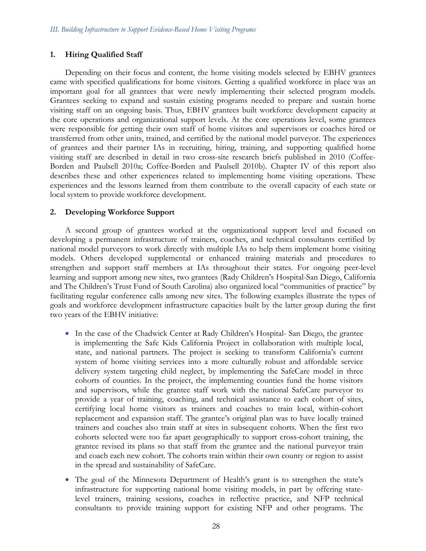# **1. Hiring Qualified Staff**

Depending on their focus and content, the home visiting models selected by EBHV grantees came with specified qualifications for home visitors. Getting a qualified workforce in place was an important goal for all grantees that were newly implementing their selected program models. Grantees seeking to expand and sustain existing programs needed to prepare and sustain home visiting staff on an ongoing basis. Thus, EBHV grantees built workforce development capacity at the core operations and organizational support levels. At the core operations level, some grantees were responsible for getting their own staff of home visitors and supervisors or coaches hired or transferred from other units, trained, and certified by the national model purveyor. The experiences of grantees and their partner IAs in recruiting, hiring, training, and supporting qualified home visiting staff are described in detail in two cross-site research briefs published in 2010 (Coffee-Borden and Paulsell 2010a; Coffee-Borden and Paulsell 2010b). Chapter IV of this report also describes these and other experiences related to implementing home visiting operations. These experiences and the lessons learned from them contribute to the overall capacity of each state or local system to provide workforce development.

# **2. Developing Workforce Support**

A second group of grantees worked at the organizational support level and focused on developing a permanent infrastructure of trainers, coaches, and technical consultants certified by national model purveyors to work directly with multiple IAs to help them implement home visiting models. Others developed supplemental or enhanced training materials and procedures to strengthen and support staff members at IAs throughout their states. For ongoing peer-level learning and support among new sites, two grantees (Rady Children's Hospital-San Diego, California and The Children's Trust Fund of South Carolina) also organized local "communities of practice" by facilitating regular conference calls among new sites. The following examples illustrate the types of goals and workforce development infrastructure capacities built by the latter group during the first two years of the EBHV initiative:

- In the case of the Chadwick Center at Rady Children's Hospital- San Diego, the grantee is implementing the Safe Kids California Project in collaboration with multiple local, state, and national partners. The project is seeking to transform California's current system of home visiting services into a more culturally robust and affordable service delivery system targeting child neglect, by implementing the SafeCare model in three cohorts of counties. In the project, the implementing counties fund the home visitors and supervisors, while the grantee staff work with the national SafeCare purveyor to provide a year of training, coaching, and technical assistance to each cohort of sites, certifying local home visitors as trainers and coaches to train local, within-cohort replacement and expansion staff. The grantee's original plan was to have locally trained trainers and coaches also train staff at sites in subsequent cohorts. When the first two cohorts selected were too far apart geographically to support cross-cohort training, the grantee revised its plans so that staff from the grantee and the national purveyor train and coach each new cohort. The cohorts train within their own county or region to assist in the spread and sustainability of SafeCare.
- The goal of the Minnesota Department of Health's grant is to strengthen the state's infrastructure for supporting national home visiting models, in part by offering statelevel trainers, training sessions, coaches in reflective practice, and NFP technical consultants to provide training support for existing NFP and other programs. The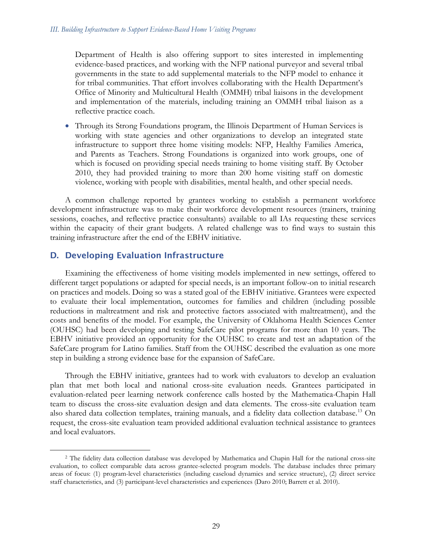Department of Health is also offering support to sites interested in implementing evidence-based practices, and working with the NFP national purveyor and several tribal governments in the state to add supplemental materials to the NFP model to enhance it for tribal communities. That effort involves collaborating with the Health Department's Office of Minority and Multicultural Health (OMMH) tribal liaisons in the development and implementation of the materials, including training an OMMH tribal liaison as a reflective practice coach.

• Through its Strong Foundations program, the Illinois Department of Human Services is working with state agencies and other organizations to develop an integrated state infrastructure to support three home visiting models: NFP, Healthy Families America, and Parents as Teachers. Strong Foundations is organized into work groups, one of which is focused on providing special needs training to home visiting staff. By October 2010, they had provided training to more than 200 home visiting staff on domestic violence, working with people with disabilities, mental health, and other special needs.

A common challenge reported by grantees working to establish a permanent workforce development infrastructure was to make their workforce development resources (trainers, training sessions, coaches, and reflective practice consultants) available to all IAs requesting these services within the capacity of their grant budgets. A related challenge was to find ways to sustain this training infrastructure after the end of the EBHV initiative.

# D. Developing Evaluation Infrastructure

Examining the effectiveness of home visiting models implemented in new settings, offered to different target populations or adapted for special needs, is an important follow-on to initial research on practices and models. Doing so was a stated goal of the EBHV initiative. Grantees were expected to evaluate their local implementation, outcomes for families and children (including possible reductions in maltreatment and risk and protective factors associated with maltreatment), and the costs and benefits of the model. For example, the University of Oklahoma Health Sciences Center (OUHSC) had been developing and testing SafeCare pilot programs for more than 10 years. The EBHV initiative provided an opportunity for the OUHSC to create and test an adaptation of the SafeCare program for Latino families. Staff from the OUHSC described the evaluation as one more step in building a strong evidence base for the expansion of SafeCare.

Through the EBHV initiative, grantees had to work with evaluators to develop an evaluation plan that met both local and national cross-site evaluation needs. Grantees participated in evaluation-related peer learning network conference calls hosted by the Mathematica-Chapin Hall team to discuss the cross-site evaluation design and data elements. The cross-site evaluation team also shared data collection templates, training manuals, and a fidelity data collection database.<sup>[13](#page-48-0)</sup> On request, the cross-site evaluation team provided additional evaluation technical assistance to grantees and local evaluators.

<span id="page-48-0"></span> <sup>2</sup> The fidelity data collection database was developed by Mathematica and Chapin Hall for the national cross-site evaluation, to collect comparable data across grantee-selected program models. The database includes three primary areas of focus: (1) program-level characteristics (including caseload dynamics and service structure), (2) direct service staff characteristics, and (3) participant-level characteristics and experiences (Daro 2010; Barrett et al. 2010).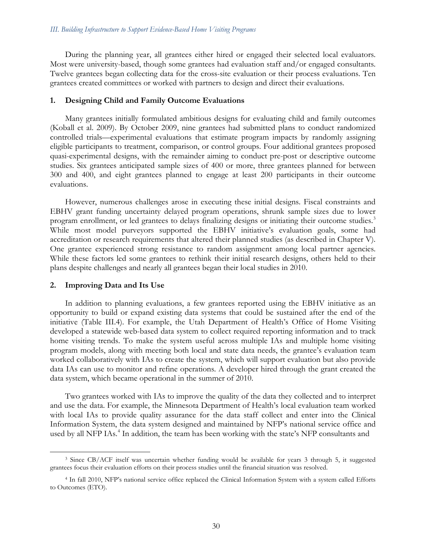During the planning year, all grantees either hired or engaged their selected local evaluators. Most were university-based, though some grantees had evaluation staff and/or engaged consultants. Twelve grantees began collecting data for the cross-site evaluation or their process evaluations. Ten grantees created committees or worked with partners to design and direct their evaluations.

### **1. Designing Child and Family Outcome Evaluations**

Many grantees initially formulated ambitious designs for evaluating child and family outcomes (Koball et al. 2009). By October 2009, nine grantees had submitted plans to conduct randomized controlled trials—experimental evaluations that estimate program impacts by randomly assigning eligible participants to treatment, comparison, or control groups. Four additional grantees proposed quasi-experimental designs, with the remainder aiming to conduct pre-post or descriptive outcome studies. Six grantees anticipated sample sizes of 400 or more, three grantees planned for between 300 and 400, and eight grantees planned to engage at least 200 participants in their outcome evaluations.

However, numerous challenges arose in executing these initial designs. Fiscal constraints and EBHV grant funding uncertainty delayed program operations, shrunk sample sizes due to lower program enrollment, or led grantees to delays finalizing designs or initiating their outcome studies.<sup>3</sup> While most model purveyors supported the EBHV initiative's evaluation goals, some had accreditation or research requirements that altered their planned studies (as described in Chapter V). One grantee experienced strong resistance to random assignment among local partner agencies. While these factors led some grantees to rethink their initial research designs, others held to their plans despite challenges and nearly all grantees began their local studies in 2010.

## **2. Improving Data and Its Use**

In addition to planning evaluations, a few grantees reported using the EBHV initiative as an opportunity to build or expand existing data systems that could be sustained after the end of the initiative (Table III.4). For example, the Utah Department of Health's Office of Home Visiting developed a statewide web-based data system to collect required reporting information and to track home visiting trends. To make the system useful across multiple IAs and multiple home visiting program models, along with meeting both local and state data needs, the grantee's evaluation team worked collaboratively with IAs to create the system, which will support evaluation but also provide data IAs can use to monitor and refine operations. A developer hired through the grant created the data system, which became operational in the summer of 2010.

Two grantees worked with IAs to improve the quality of the data they collected and to interpret and use the data. For example, the Minnesota Department of Health's local evaluation team worked with local IAs to provide quality assurance for the data staff collect and enter into the Clinical Information System, the data system designed and maintained by NFP's national service office and used by all NFP IAs.<sup>[4](#page-49-1)</sup> In addition, the team has been working with the state's NFP consultants and

<span id="page-49-0"></span> <sup>3</sup> Since CB/ACF itself was uncertain whether funding would be available for years 3 through 5, it suggested grantees focus their evaluation efforts on their process studies until the financial situation was resolved.

<span id="page-49-1"></span><sup>4</sup> In fall 2010, NFP's national service office replaced the Clinical Information System with a system called Efforts to Outcomes (ETO).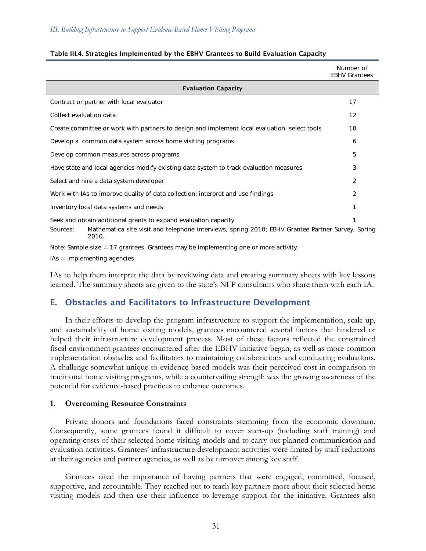|                                                                                                                        | Number of<br><b>EBHV Grantees</b> |  |  |  |  |
|------------------------------------------------------------------------------------------------------------------------|-----------------------------------|--|--|--|--|
| <b>Evaluation Capacity</b>                                                                                             |                                   |  |  |  |  |
| Contract or partner with local evaluator                                                                               | 17                                |  |  |  |  |
| Collect evaluation data                                                                                                | $12 \overline{ }$                 |  |  |  |  |
| Create committee or work with partners to design and implement local evaluation, select tools                          | 10                                |  |  |  |  |
| Develop a common data system across home visiting programs                                                             | 6                                 |  |  |  |  |
| Develop common measures across programs                                                                                | 5                                 |  |  |  |  |
| Have state and local agencies modify existing data system to track evaluation measures                                 | 3                                 |  |  |  |  |
| Select and hire a data system developer                                                                                | 2                                 |  |  |  |  |
| Work with IAs to improve quality of data collection; interpret and use findings                                        | 2                                 |  |  |  |  |
| Inventory local data systems and needs                                                                                 |                                   |  |  |  |  |
| Seek and obtain additional grants to expand evaluation capacity                                                        |                                   |  |  |  |  |
| Mathematica site visit and telephone interviews, spring 2010; EBHV Grantee Partner Survey, Spring<br>Sources:<br>2010. |                                   |  |  |  |  |

### Table III.4. Strategies Implemented by the EBHV Grantees to Build Evaluation Capacity

Note: Sample size = 17 grantees. Grantees may be implementing one or more activity.

IAs = implementing agencies.

IAs to help them interpret the data by reviewing data and creating summary sheets with key lessons learned. The summary sheets are given to the state's NFP consultants who share them with each IA.

# E. Obstacles and Facilitators to Infrastructure Development

In their efforts to develop the program infrastructure to support the implementation, scale-up, and sustainability of home visiting models, grantees encountered several factors that hindered or helped their infrastructure development process. Most of these factors reflected the constrained fiscal environment grantees encountered after the EBHV initiative began, as well as more common implementation obstacles and facilitators to maintaining collaborations and conducting evaluations. A challenge somewhat unique to evidence-based models was their perceived cost in comparison to traditional home visiting programs, while a countervailing strength was the growing awareness of the potential for evidence-based practices to enhance outcomes.

## **1. Overcoming Resource Constraints**

Private donors and foundations faced constraints stemming from the economic downturn. Consequently, some grantees found it difficult to cover start-up (including staff training) and operating costs of their selected home visiting models and to carry out planned communication and evaluation activities. Grantees' infrastructure development activities were limited by staff reductions at their agencies and partner agencies, as well as by turnover among key staff.

Grantees cited the importance of having partners that were engaged, committed, focused, supportive, and accountable. They reached out to teach key partners more about their selected home visiting models and then use their influence to leverage support for the initiative. Grantees also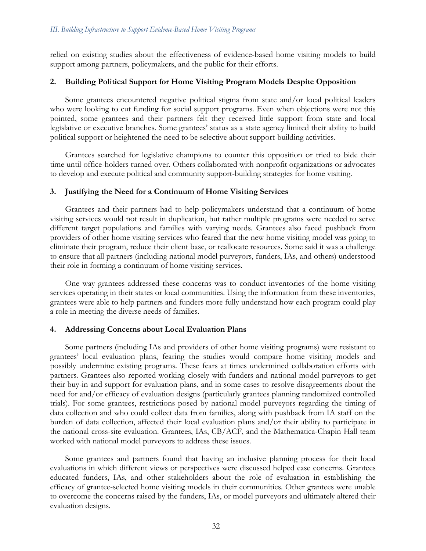relied on existing studies about the effectiveness of evidence-based home visiting models to build support among partners, policymakers, and the public for their efforts.

# **2. Building Political Support for Home Visiting Program Models Despite Opposition**

Some grantees encountered negative political stigma from state and/or local political leaders who were looking to cut funding for social support programs. Even when objections were not this pointed, some grantees and their partners felt they received little support from state and local legislative or executive branches. Some grantees' status as a state agency limited their ability to build political support or heightened the need to be selective about support-building activities.

Grantees searched for legislative champions to counter this opposition or tried to bide their time until office-holders turned over. Others collaborated with nonprofit organizations or advocates to develop and execute political and community support-building strategies for home visiting.

# **3. Justifying the Need for a Continuum of Home Visiting Services**

Grantees and their partners had to help policymakers understand that a continuum of home visiting services would not result in duplication, but rather multiple programs were needed to serve different target populations and families with varying needs. Grantees also faced pushback from providers of other home visiting services who feared that the new home visiting model was going to eliminate their program, reduce their client base, or reallocate resources. Some said it was a challenge to ensure that all partners (including national model purveyors, funders, IAs, and others) understood their role in forming a continuum of home visiting services.

One way grantees addressed these concerns was to conduct inventories of the home visiting services operating in their states or local communities. Using the information from these inventories, grantees were able to help partners and funders more fully understand how each program could play a role in meeting the diverse needs of families.

## **4. Addressing Concerns about Local Evaluation Plans**

Some partners (including IAs and providers of other home visiting programs) were resistant to grantees' local evaluation plans, fearing the studies would compare home visiting models and possibly undermine existing programs. These fears at times undermined collaboration efforts with partners. Grantees also reported working closely with funders and national model purveyors to get their buy-in and support for evaluation plans, and in some cases to resolve disagreements about the need for and/or efficacy of evaluation designs (particularly grantees planning randomized controlled trials). For some grantees, restrictions posed by national model purveyors regarding the timing of data collection and who could collect data from families, along with pushback from IA staff on the burden of data collection, affected their local evaluation plans and/or their ability to participate in the national cross-site evaluation. Grantees, IAs, CB/ACF, and the Mathematica-Chapin Hall team worked with national model purveyors to address these issues.

Some grantees and partners found that having an inclusive planning process for their local evaluations in which different views or perspectives were discussed helped ease concerns. Grantees educated funders, IAs, and other stakeholders about the role of evaluation in establishing the efficacy of grantee-selected home visiting models in their communities. Other grantees were unable to overcome the concerns raised by the funders, IAs, or model purveyors and ultimately altered their evaluation designs.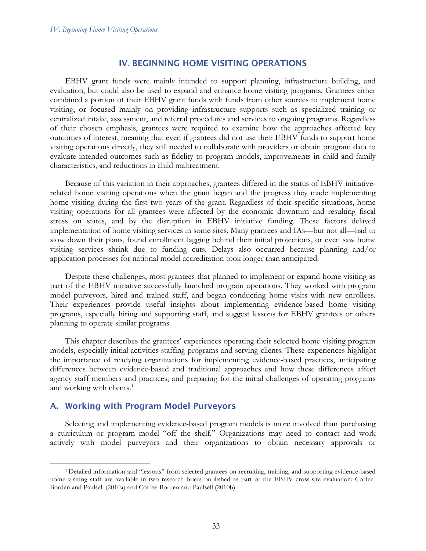## IV. BEGINNING HOME VISITING OPERATIONS

EBHV grant funds were mainly intended to support planning, infrastructure building, and evaluation, but could also be used to expand and enhance home visiting programs. Grantees either combined a portion of their EBHV grant funds with funds from other sources to implement home visiting, or focused mainly on providing infrastructure supports such as specialized training or centralized intake, assessment, and referral procedures and services to ongoing programs. Regardless of their chosen emphasis, grantees were required to examine how the approaches affected key outcomes of interest, meaning that even if grantees did not use their EBHV funds to support home visiting operations directly, they still needed to collaborate with providers or obtain program data to evaluate intended outcomes such as fidelity to program models, improvements in child and family characteristics, and reductions in child maltreatment.

Because of this variation in their approaches, grantees differed in the status of EBHV initiativerelated home visiting operations when the grant began and the progress they made implementing home visiting during the first two years of the grant. Regardless of their specific situations, home visiting operations for all grantees were affected by the economic downturn and resulting fiscal stress on states, and by the disruption in EBHV initiative funding. These factors delayed implementation of home visiting services in some sites. Many grantees and IAs—but not all—had to slow down their plans, found enrollment lagging behind their initial projections, or even saw home visiting services shrink due to funding cuts. Delays also occurred because planning and/or application processes for national model accreditation took longer than anticipated.

Despite these challenges, most grantees that planned to implement or expand home visiting as part of the EBHV initiative successfully launched program operations. They worked with program model purveyors, hired and trained staff, and began conducting home visits with new enrollees. Their experiences provide useful insights about implementing evidence-based home visiting programs, especially hiring and supporting staff, and suggest lessons for EBHV grantees or others planning to operate similar programs.

This chapter describes the grantees' experiences operating their selected home visiting program models, especially initial activities staffing programs and serving clients. These experiences highlight the importance of readying organizations for implementing evidence-based practices, anticipating differences between evidence-based and traditional approaches and how these differences affect agency staff members and practices, and preparing for the initial challenges of operating programs and working with clients.<sup>[1](#page-52-0)</sup>

# A. Working with Program Model Purveyors

Selecting and implementing evidence-based program models is more involved than purchasing a curriculum or program model "off the shelf." Organizations may need to contact and work actively with model purveyors and their organizations to obtain necessary approvals or

<span id="page-52-0"></span> <sup>1</sup> Detailed information and "lessons" from selected grantees on recruiting, training, and supporting evidence-based home visiting staff are available in two research briefs published as part of the EBHV cross-site evaluation: Coffee-Borden and Paulsell (2010a) and Coffee-Borden and Paulsell (2010b).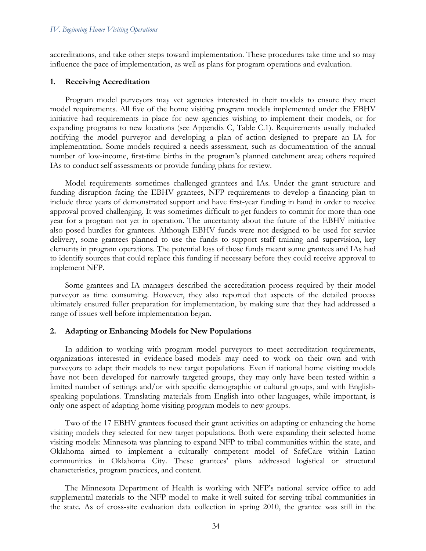accreditations, and take other steps toward implementation. These procedures take time and so may influence the pace of implementation, as well as plans for program operations and evaluation.

#### **1. Receiving Accreditation**

Program model purveyors may vet agencies interested in their models to ensure they meet model requirements. All five of the home visiting program models implemented under the EBHV initiative had requirements in place for new agencies wishing to implement their models, or for expanding programs to new locations (see Appendix C, Table C.1). Requirements usually included notifying the model purveyor and developing a plan of action designed to prepare an IA for implementation. Some models required a needs assessment, such as documentation of the annual number of low-income, first-time births in the program's planned catchment area; others required IAs to conduct self assessments or provide funding plans for review.

Model requirements sometimes challenged grantees and IAs. Under the grant structure and funding disruption facing the EBHV grantees, NFP requirements to develop a financing plan to include three years of demonstrated support and have first-year funding in hand in order to receive approval proved challenging. It was sometimes difficult to get funders to commit for more than one year for a program not yet in operation. The uncertainty about the future of the EBHV initiative also posed hurdles for grantees. Although EBHV funds were not designed to be used for service delivery, some grantees planned to use the funds to support staff training and supervision, key elements in program operations. The potential loss of those funds meant some grantees and IAs had to identify sources that could replace this funding if necessary before they could receive approval to implement NFP.

Some grantees and IA managers described the accreditation process required by their model purveyor as time consuming. However, they also reported that aspects of the detailed process ultimately ensured fuller preparation for implementation, by making sure that they had addressed a range of issues well before implementation began.

#### **2. Adapting or Enhancing Models for New Populations**

In addition to working with program model purveyors to meet accreditation requirements, organizations interested in evidence-based models may need to work on their own and with purveyors to adapt their models to new target populations. Even if national home visiting models have not been developed for narrowly targeted groups, they may only have been tested within a limited number of settings and/or with specific demographic or cultural groups, and with Englishspeaking populations. Translating materials from English into other languages, while important, is only one aspect of adapting home visiting program models to new groups.

Two of the 17 EBHV grantees focused their grant activities on adapting or enhancing the home visiting models they selected for new target populations. Both were expanding their selected home visiting models: Minnesota was planning to expand NFP to tribal communities within the state, and Oklahoma aimed to implement a culturally competent model of SafeCare within Latino communities in Oklahoma City. These grantees' plans addressed logistical or structural characteristics, program practices, and content.

The Minnesota Department of Health is working with NFP's national service office to add supplemental materials to the NFP model to make it well suited for serving tribal communities in the state. As of cross-site evaluation data collection in spring 2010, the grantee was still in the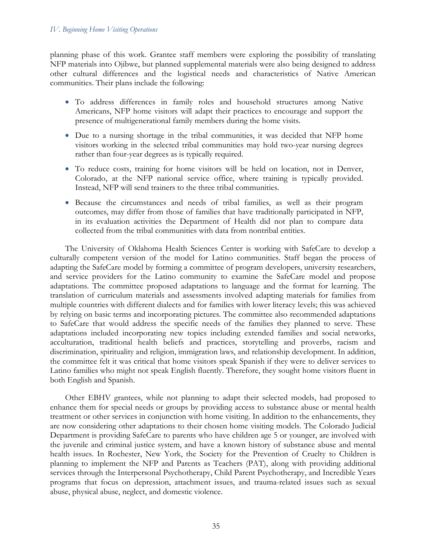planning phase of this work. Grantee staff members were exploring the possibility of translating NFP materials into Ojibwe, but planned supplemental materials were also being designed to address other cultural differences and the logistical needs and characteristics of Native American communities. Their plans include the following:

- To address differences in family roles and household structures among Native Americans, NFP home visitors will adapt their practices to encourage and support the presence of multigenerational family members during the home visits.
- Due to a nursing shortage in the tribal communities, it was decided that NFP home visitors working in the selected tribal communities may hold two-year nursing degrees rather than four-year degrees as is typically required.
- To reduce costs, training for home visitors will be held on location, not in Denver, Colorado, at the NFP national service office, where training is typically provided. Instead, NFP will send trainers to the three tribal communities.
- Because the circumstances and needs of tribal families, as well as their program outcomes, may differ from those of families that have traditionally participated in NFP, in its evaluation activities the Department of Health did not plan to compare data collected from the tribal communities with data from nontribal entities.

The University of Oklahoma Health Sciences Center is working with SafeCare to develop a culturally competent version of the model for Latino communities. Staff began the process of adapting the SafeCare model by forming a committee of program developers, university researchers, and service providers for the Latino community to examine the SafeCare model and propose adaptations. The committee proposed adaptations to language and the format for learning. The translation of curriculum materials and assessments involved adapting materials for families from multiple countries with different dialects and for families with lower literacy levels; this was achieved by relying on basic terms and incorporating pictures. The committee also recommended adaptations to SafeCare that would address the specific needs of the families they planned to serve. These adaptations included incorporating new topics including extended families and social networks, acculturation, traditional health beliefs and practices, storytelling and proverbs, racism and discrimination, spirituality and religion, immigration laws, and relationship development. In addition, the committee felt it was critical that home visitors speak Spanish if they were to deliver services to Latino families who might not speak English fluently. Therefore, they sought home visitors fluent in both English and Spanish.

Other EBHV grantees, while not planning to adapt their selected models, had proposed to enhance them for special needs or groups by providing access to substance abuse or mental health treatment or other services in conjunction with home visiting. In addition to the enhancements, they are now considering other adaptations to their chosen home visiting models. The Colorado Judicial Department is providing SafeCare to parents who have children age 5 or younger, are involved with the juvenile and criminal justice system, and have a known history of substance abuse and mental health issues. In Rochester, New York, the Society for the Prevention of Cruelty to Children is planning to implement the NFP and Parents as Teachers (PAT), along with providing additional services through the Interpersonal Psychotherapy, Child Parent Psychotherapy, and Incredible Years programs that focus on depression, attachment issues, and trauma-related issues such as sexual abuse, physical abuse, neglect, and domestic violence.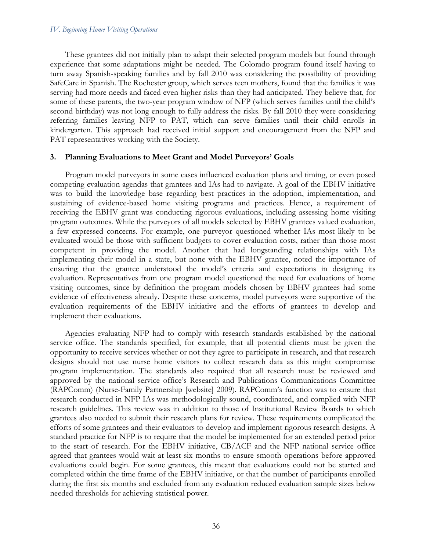These grantees did not initially plan to adapt their selected program models but found through experience that some adaptations might be needed. The Colorado program found itself having to turn away Spanish-speaking families and by fall 2010 was considering the possibility of providing SafeCare in Spanish. The Rochester group, which serves teen mothers, found that the families it was serving had more needs and faced even higher risks than they had anticipated. They believe that, for some of these parents, the two-year program window of NFP (which serves families until the child's second birthday) was not long enough to fully address the risks. By fall 2010 they were considering referring families leaving NFP to PAT, which can serve families until their child enrolls in kindergarten. This approach had received initial support and encouragement from the NFP and PAT representatives working with the Society.

#### **3. Planning Evaluations to Meet Grant and Model Purveyors' Goals**

Program model purveyors in some cases influenced evaluation plans and timing, or even posed competing evaluation agendas that grantees and IAs had to navigate. A goal of the EBHV initiative was to build the knowledge base regarding best practices in the adoption, implementation, and sustaining of evidence-based home visiting programs and practices. Hence, a requirement of receiving the EBHV grant was conducting rigorous evaluations, including assessing home visiting program outcomes. While the purveyors of all models selected by EBHV grantees valued evaluation, a few expressed concerns. For example, one purveyor questioned whether IAs most likely to be evaluated would be those with sufficient budgets to cover evaluation costs, rather than those most competent in providing the model. Another that had longstanding relationships with IAs implementing their model in a state, but none with the EBHV grantee, noted the importance of ensuring that the grantee understood the model's criteria and expectations in designing its evaluation. Representatives from one program model questioned the need for evaluations of home visiting outcomes, since by definition the program models chosen by EBHV grantees had some evidence of effectiveness already. Despite these concerns, model purveyors were supportive of the evaluation requirements of the EBHV initiative and the efforts of grantees to develop and implement their evaluations.

Agencies evaluating NFP had to comply with research standards established by the national service office. The standards specified, for example, that all potential clients must be given the opportunity to receive services whether or not they agree to participate in research, and that research designs should not use nurse home visitors to collect research data as this might compromise program implementation. The standards also required that all research must be reviewed and approved by the national service office's Research and Publications Communications Committee (RAPComm) (Nurse-Family Partnership [website] 2009). RAPComm's function was to ensure that research conducted in NFP IAs was methodologically sound, coordinated, and complied with NFP research guidelines. This review was in addition to those of Institutional Review Boards to which grantees also needed to submit their research plans for review. These requirements complicated the efforts of some grantees and their evaluators to develop and implement rigorous research designs. A standard practice for NFP is to require that the model be implemented for an extended period prior to the start of research. For the EBHV initiative, CB/ACF and the NFP national service office agreed that grantees would wait at least six months to ensure smooth operations before approved evaluations could begin. For some grantees, this meant that evaluations could not be started and completed within the time frame of the EBHV initiative, or that the number of participants enrolled during the first six months and excluded from any evaluation reduced evaluation sample sizes below needed thresholds for achieving statistical power.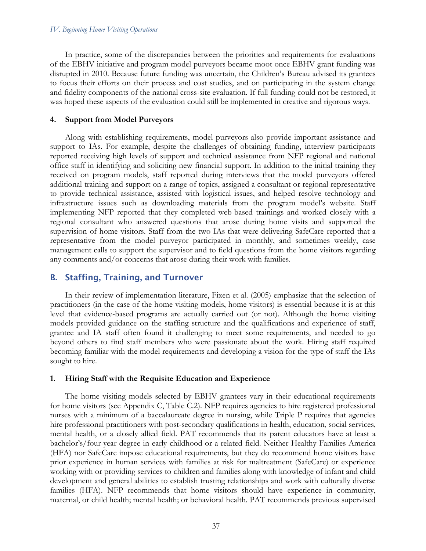In practice, some of the discrepancies between the priorities and requirements for evaluations of the EBHV initiative and program model purveyors became moot once EBHV grant funding was disrupted in 2010. Because future funding was uncertain, the Children's Bureau advised its grantees to focus their efforts on their process and cost studies, and on participating in the system change and fidelity components of the national cross-site evaluation. If full funding could not be restored, it was hoped these aspects of the evaluation could still be implemented in creative and rigorous ways.

#### **4. Support from Model Purveyors**

Along with establishing requirements, model purveyors also provide important assistance and support to IAs. For example, despite the challenges of obtaining funding, interview participants reported receiving high levels of support and technical assistance from NFP regional and national office staff in identifying and soliciting new financial support. In addition to the initial training they received on program models, staff reported during interviews that the model purveyors offered additional training and support on a range of topics, assigned a consultant or regional representative to provide technical assistance, assisted with logistical issues, and helped resolve technology and infrastructure issues such as downloading materials from the program model's website. Staff implementing NFP reported that they completed web-based trainings and worked closely with a regional consultant who answered questions that arose during home visits and supported the supervision of home visitors. Staff from the two IAs that were delivering SafeCare reported that a representative from the model purveyor participated in monthly, and sometimes weekly, case management calls to support the supervisor and to field questions from the home visitors regarding any comments and/or concerns that arose during their work with families.

## B. Staffing, Training, and Turnover

In their review of implementation literature, Fixen et al. (2005) emphasize that the selection of practitioners (in the case of the home visiting models, home visitors) is essential because it is at this level that evidence-based programs are actually carried out (or not). Although the home visiting models provided guidance on the staffing structure and the qualifications and experience of staff, grantee and IA staff often found it challenging to meet some requirements, and needed to go beyond others to find staff members who were passionate about the work. Hiring staff required becoming familiar with the model requirements and developing a vision for the type of staff the IAs sought to hire.

#### **1. Hiring Staff with the Requisite Education and Experience**

The home visiting models selected by EBHV grantees vary in their educational requirements for home visitors (see Appendix C, Table C.2). NFP requires agencies to hire registered professional nurses with a minimum of a baccalaureate degree in nursing, while Triple P requires that agencies hire professional practitioners with post-secondary qualifications in health, education, social services, mental health, or a closely allied field. PAT recommends that its parent educators have at least a bachelor's/four-year degree in early childhood or a related field. Neither Healthy Families America (HFA) nor SafeCare impose educational requirements, but they do recommend home visitors have prior experience in human services with families at risk for maltreatment (SafeCare) or experience working with or providing services to children and families along with knowledge of infant and child development and general abilities to establish trusting relationships and work with culturally diverse families (HFA). NFP recommends that home visitors should have experience in community, maternal, or child health; mental health; or behavioral health. PAT recommends previous supervised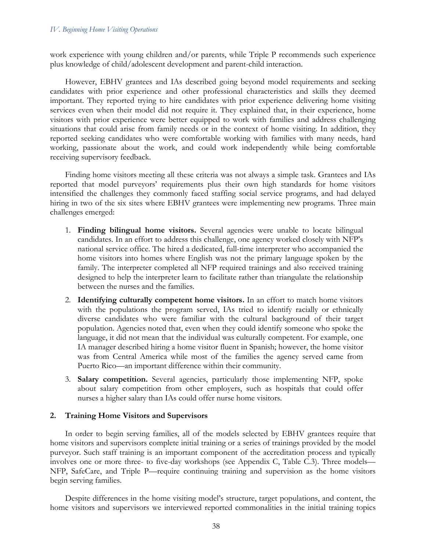work experience with young children and/or parents, while Triple P recommends such experience plus knowledge of child/adolescent development and parent-child interaction.

However, EBHV grantees and IAs described going beyond model requirements and seeking candidates with prior experience and other professional characteristics and skills they deemed important. They reported trying to hire candidates with prior experience delivering home visiting services even when their model did not require it. They explained that, in their experience, home visitors with prior experience were better equipped to work with families and address challenging situations that could arise from family needs or in the context of home visiting. In addition, they reported seeking candidates who were comfortable working with families with many needs, hard working, passionate about the work, and could work independently while being comfortable receiving supervisory feedback.

Finding home visitors meeting all these criteria was not always a simple task. Grantees and IAs reported that model purveyors' requirements plus their own high standards for home visitors intensified the challenges they commonly faced staffing social service programs, and had delayed hiring in two of the six sites where EBHV grantees were implementing new programs. Three main challenges emerged:

- 1. **Finding bilingual home visitors.** Several agencies were unable to locate bilingual candidates. In an effort to address this challenge, one agency worked closely with NFP's national service office. The hired a dedicated, full-time interpreter who accompanied the home visitors into homes where English was not the primary language spoken by the family. The interpreter completed all NFP required trainings and also received training designed to help the interpreter learn to facilitate rather than triangulate the relationship between the nurses and the families.
- 2. **Identifying culturally competent home visitors.** In an effort to match home visitors with the populations the program served, IAs tried to identify racially or ethnically diverse candidates who were familiar with the cultural background of their target population. Agencies noted that, even when they could identify someone who spoke the language, it did not mean that the individual was culturally competent. For example, one IA manager described hiring a home visitor fluent in Spanish; however, the home visitor was from Central America while most of the families the agency served came from Puerto Rico—an important difference within their community.
- 3. **Salary competition.** Several agencies, particularly those implementing NFP, spoke about salary competition from other employers, such as hospitals that could offer nurses a higher salary than IAs could offer nurse home visitors.

## **2. Training Home Visitors and Supervisors**

In order to begin serving families, all of the models selected by EBHV grantees require that home visitors and supervisors complete initial training or a series of trainings provided by the model purveyor. Such staff training is an important component of the accreditation process and typically involves one or more three- to five-day workshops (see Appendix C, Table C.3). Three models— NFP, SafeCare, and Triple P—require continuing training and supervision as the home visitors begin serving families.

Despite differences in the home visiting model's structure, target populations, and content, the home visitors and supervisors we interviewed reported commonalities in the initial training topics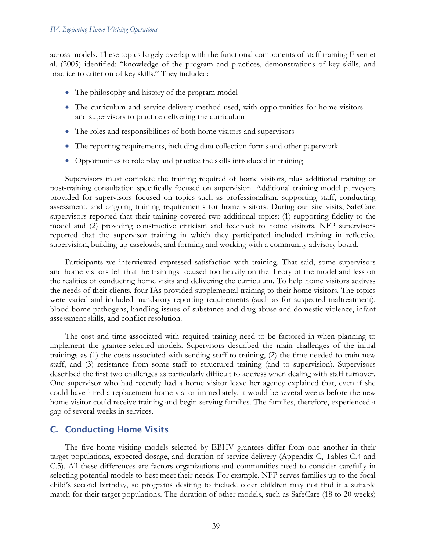across models. These topics largely overlap with the functional components of staff training Fixen et al. (2005) identified: "knowledge of the program and practices, demonstrations of key skills, and practice to criterion of key skills." They included:

- The philosophy and history of the program model
- The curriculum and service delivery method used, with opportunities for home visitors and supervisors to practice delivering the curriculum
- The roles and responsibilities of both home visitors and supervisors
- The reporting requirements, including data collection forms and other paperwork
- Opportunities to role play and practice the skills introduced in training

Supervisors must complete the training required of home visitors, plus additional training or post-training consultation specifically focused on supervision. Additional training model purveyors provided for supervisors focused on topics such as professionalism, supporting staff, conducting assessment, and ongoing training requirements for home visitors. During our site visits, SafeCare supervisors reported that their training covered two additional topics: (1) supporting fidelity to the model and (2) providing constructive criticism and feedback to home visitors. NFP supervisors reported that the supervisor training in which they participated included training in reflective supervision, building up caseloads, and forming and working with a community advisory board.

Participants we interviewed expressed satisfaction with training. That said, some supervisors and home visitors felt that the trainings focused too heavily on the theory of the model and less on the realities of conducting home visits and delivering the curriculum. To help home visitors address the needs of their clients, four IAs provided supplemental training to their home visitors. The topics were varied and included mandatory reporting requirements (such as for suspected maltreatment), blood-borne pathogens, handling issues of substance and drug abuse and domestic violence, infant assessment skills, and conflict resolution.

The cost and time associated with required training need to be factored in when planning to implement the grantee-selected models. Supervisors described the main challenges of the initial trainings as (1) the costs associated with sending staff to training, (2) the time needed to train new staff, and (3) resistance from some staff to structured training (and to supervision). Supervisors described the first two challenges as particularly difficult to address when dealing with staff turnover. One supervisor who had recently had a home visitor leave her agency explained that, even if she could have hired a replacement home visitor immediately, it would be several weeks before the new home visitor could receive training and begin serving families. The families, therefore, experienced a gap of several weeks in services.

# C. Conducting Home Visits

The five home visiting models selected by EBHV grantees differ from one another in their target populations, expected dosage, and duration of service delivery (Appendix C, Tables C.4 and C.5). All these differences are factors organizations and communities need to consider carefully in selecting potential models to best meet their needs. For example, NFP serves families up to the focal child's second birthday, so programs desiring to include older children may not find it a suitable match for their target populations. The duration of other models, such as SafeCare (18 to 20 weeks)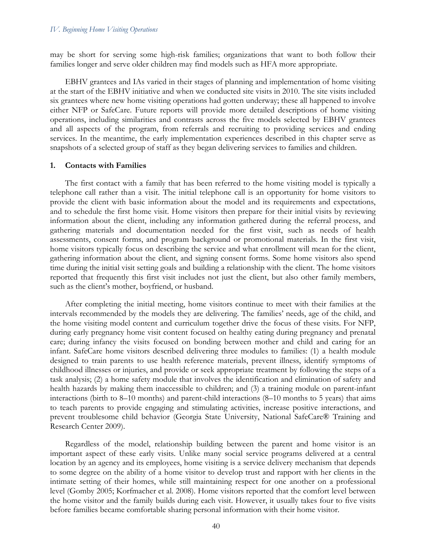may be short for serving some high-risk families; organizations that want to both follow their families longer and serve older children may find models such as HFA more appropriate.

EBHV grantees and IAs varied in their stages of planning and implementation of home visiting at the start of the EBHV initiative and when we conducted site visits in 2010. The site visits included six grantees where new home visiting operations had gotten underway; these all happened to involve either NFP or SafeCare. Future reports will provide more detailed descriptions of home visiting operations, including similarities and contrasts across the five models selected by EBHV grantees and all aspects of the program, from referrals and recruiting to providing services and ending services. In the meantime, the early implementation experiences described in this chapter serve as snapshots of a selected group of staff as they began delivering services to families and children.

#### **1. Contacts with Families**

The first contact with a family that has been referred to the home visiting model is typically a telephone call rather than a visit. The initial telephone call is an opportunity for home visitors to provide the client with basic information about the model and its requirements and expectations, and to schedule the first home visit. Home visitors then prepare for their initial visits by reviewing information about the client, including any information gathered during the referral process, and gathering materials and documentation needed for the first visit, such as needs of health assessments, consent forms, and program background or promotional materials. In the first visit, home visitors typically focus on describing the service and what enrollment will mean for the client, gathering information about the client, and signing consent forms. Some home visitors also spend time during the initial visit setting goals and building a relationship with the client. The home visitors reported that frequently this first visit includes not just the client, but also other family members, such as the client's mother, boyfriend, or husband.

After completing the initial meeting, home visitors continue to meet with their families at the intervals recommended by the models they are delivering. The families' needs, age of the child, and the home visiting model content and curriculum together drive the focus of these visits. For NFP, during early pregnancy home visit content focused on healthy eating during pregnancy and prenatal care; during infancy the visits focused on bonding between mother and child and caring for an infant. SafeCare home visitors described delivering three modules to families: (1) a health module designed to train parents to use health reference materials, prevent illness, identify symptoms of childhood illnesses or injuries, and provide or seek appropriate treatment by following the steps of a task analysis; (2) a home safety module that involves the identification and elimination of safety and health hazards by making them inaccessible to children; and (3) a training module on parent-infant interactions (birth to 8–10 months) and parent-child interactions (8–10 months to 5 years) that aims to teach parents to provide engaging and stimulating activities, increase positive interactions, and prevent troublesome child behavior (Georgia State University, National SafeCare® Training and Research Center 2009).

Regardless of the model, relationship building between the parent and home visitor is an important aspect of these early visits. Unlike many social service programs delivered at a central location by an agency and its employees, home visiting is a service delivery mechanism that depends to some degree on the ability of a home visitor to develop trust and rapport with her clients in the intimate setting of their homes, while still maintaining respect for one another on a professional level (Gomby 2005; Korfmacher et al. 2008). Home visitors reported that the comfort level between the home visitor and the family builds during each visit. However, it usually takes four to five visits before families became comfortable sharing personal information with their home visitor.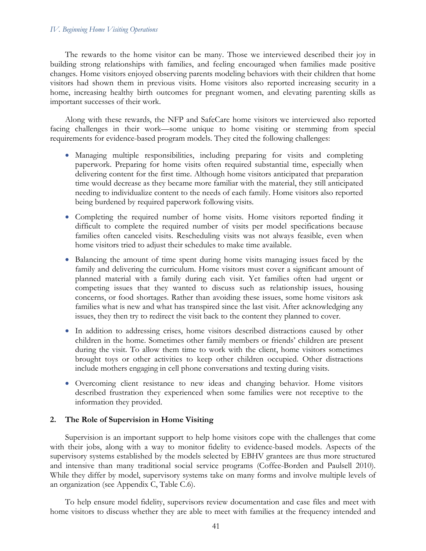The rewards to the home visitor can be many. Those we interviewed described their joy in building strong relationships with families, and feeling encouraged when families made positive changes. Home visitors enjoyed observing parents modeling behaviors with their children that home visitors had shown them in previous visits. Home visitors also reported increasing security in a home, increasing healthy birth outcomes for pregnant women, and elevating parenting skills as important successes of their work.

Along with these rewards, the NFP and SafeCare home visitors we interviewed also reported facing challenges in their work—some unique to home visiting or stemming from special requirements for evidence-based program models. They cited the following challenges:

- Managing multiple responsibilities, including preparing for visits and completing paperwork. Preparing for home visits often required substantial time, especially when delivering content for the first time. Although home visitors anticipated that preparation time would decrease as they became more familiar with the material, they still anticipated needing to individualize content to the needs of each family. Home visitors also reported being burdened by required paperwork following visits.
- Completing the required number of home visits. Home visitors reported finding it difficult to complete the required number of visits per model specifications because families often canceled visits. Rescheduling visits was not always feasible, even when home visitors tried to adjust their schedules to make time available.
- Balancing the amount of time spent during home visits managing issues faced by the family and delivering the curriculum. Home visitors must cover a significant amount of planned material with a family during each visit. Yet families often had urgent or competing issues that they wanted to discuss such as relationship issues, housing concerns, or food shortages. Rather than avoiding these issues, some home visitors ask families what is new and what has transpired since the last visit. After acknowledging any issues, they then try to redirect the visit back to the content they planned to cover.
- In addition to addressing crises, home visitors described distractions caused by other children in the home. Sometimes other family members or friends' children are present during the visit. To allow them time to work with the client, home visitors sometimes brought toys or other activities to keep other children occupied. Other distractions include mothers engaging in cell phone conversations and texting during visits.
- Overcoming client resistance to new ideas and changing behavior. Home visitors described frustration they experienced when some families were not receptive to the information they provided.

## **2. The Role of Supervision in Home Visiting**

Supervision is an important support to help home visitors cope with the challenges that come with their jobs, along with a way to monitor fidelity to evidence-based models. Aspects of the supervisory systems established by the models selected by EBHV grantees are thus more structured and intensive than many traditional social service programs (Coffee-Borden and Paulsell 2010). While they differ by model, supervisory systems take on many forms and involve multiple levels of an organization (see Appendix C, Table C.6).

To help ensure model fidelity, supervisors review documentation and case files and meet with home visitors to discuss whether they are able to meet with families at the frequency intended and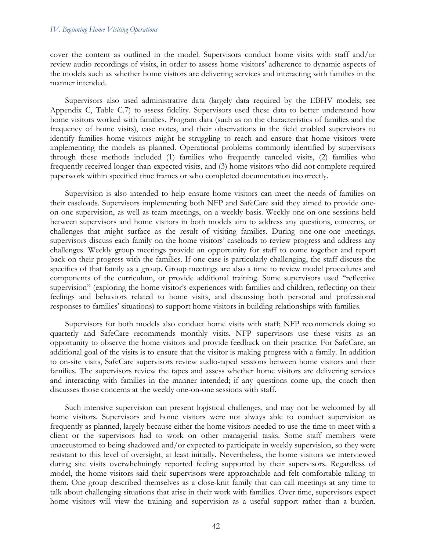cover the content as outlined in the model. Supervisors conduct home visits with staff and/or review audio recordings of visits, in order to assess home visitors' adherence to dynamic aspects of the models such as whether home visitors are delivering services and interacting with families in the manner intended.

Supervisors also used administrative data (largely data required by the EBHV models; see Appendix C, Table C.7) to assess fidelity. Supervisors used these data to better understand how home visitors worked with families. Program data (such as on the characteristics of families and the frequency of home visits), case notes, and their observations in the field enabled supervisors to identify families home visitors might be struggling to reach and ensure that home visitors were implementing the models as planned. Operational problems commonly identified by supervisors through these methods included (1) families who frequently canceled visits, (2) families who frequently received longer-than-expected visits, and (3) home visitors who did not complete required paperwork within specified time frames or who completed documentation incorrectly.

Supervision is also intended to help ensure home visitors can meet the needs of families on their caseloads. Supervisors implementing both NFP and SafeCare said they aimed to provide oneon-one supervision, as well as team meetings, on a weekly basis. Weekly one-on-one sessions held between supervisors and home visitors in both models aim to address any questions, concerns, or challenges that might surface as the result of visiting families. During one-one-one meetings, supervisors discuss each family on the home visitors' caseloads to review progress and address any challenges. Weekly group meetings provide an opportunity for staff to come together and report back on their progress with the families. If one case is particularly challenging, the staff discuss the specifics of that family as a group. Group meetings are also a time to review model procedures and components of the curriculum, or provide additional training. Some supervisors used "reflective supervision" (exploring the home visitor's experiences with families and children, reflecting on their feelings and behaviors related to home visits, and discussing both personal and professional responses to families' situations) to support home visitors in building relationships with families.

Supervisors for both models also conduct home visits with staff; NFP recommends doing so quarterly and SafeCare recommends monthly visits. NFP supervisors use these visits as an opportunity to observe the home visitors and provide feedback on their practice. For SafeCare, an additional goal of the visits is to ensure that the visitor is making progress with a family. In addition to on-site visits, SafeCare supervisors review audio-taped sessions between home visitors and their families. The supervisors review the tapes and assess whether home visitors are delivering services and interacting with families in the manner intended; if any questions come up, the coach then discusses those concerns at the weekly one-on-one sessions with staff.

Such intensive supervision can present logistical challenges, and may not be welcomed by all home visitors. Supervisors and home visitors were not always able to conduct supervision as frequently as planned, largely because either the home visitors needed to use the time to meet with a client or the supervisors had to work on other managerial tasks. Some staff members were unaccustomed to being shadowed and/or expected to participate in weekly supervision, so they were resistant to this level of oversight, at least initially. Nevertheless, the home visitors we interviewed during site visits overwhelmingly reported feeling supported by their supervisors. Regardless of model, the home visitors said their supervisors were approachable and felt comfortable talking to them. One group described themselves as a close-knit family that can call meetings at any time to talk about challenging situations that arise in their work with families. Over time, supervisors expect home visitors will view the training and supervision as a useful support rather than a burden.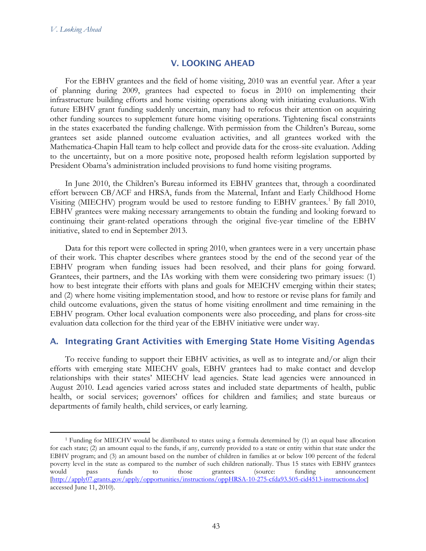# V. LOOKING AHEAD

For the EBHV grantees and the field of home visiting, 2010 was an eventful year. After a year of planning during 2009, grantees had expected to focus in 2010 on implementing their infrastructure building efforts and home visiting operations along with initiating evaluations. With future EBHV grant funding suddenly uncertain, many had to refocus their attention on acquiring other funding sources to supplement future home visiting operations. Tightening fiscal constraints in the states exacerbated the funding challenge. With permission from the Children's Bureau, some grantees set aside planned outcome evaluation activities, and all grantees worked with the Mathematica-Chapin Hall team to help collect and provide data for the cross-site evaluation. Adding to the uncertainty, but on a more positive note, proposed health reform legislation supported by President Obama's administration included provisions to fund home visiting programs.

In June 2010, the Children's Bureau informed its EBHV grantees that, through a coordinated effort between CB/ACF and HRSA, funds from the Maternal, Infant and Early Childhood Home Visiting (MIECHV) program would be used to restore funding to EBHV grantees.<sup>[1](#page-62-0)</sup> By fall 2010, EBHV grantees were making necessary arrangements to obtain the funding and looking forward to continuing their grant-related operations through the original five-year timeline of the EBHV initiative, slated to end in September 2013.

Data for this report were collected in spring 2010, when grantees were in a very uncertain phase of their work. This chapter describes where grantees stood by the end of the second year of the EBHV program when funding issues had been resolved, and their plans for going forward. Grantees, their partners, and the IAs working with them were considering two primary issues: (1) how to best integrate their efforts with plans and goals for MEICHV emerging within their states; and (2) where home visiting implementation stood, and how to restore or revise plans for family and child outcome evaluations, given the status of home visiting enrollment and time remaining in the EBHV program. Other local evaluation components were also proceeding, and plans for cross-site evaluation data collection for the third year of the EBHV initiative were under way.

# A. Integrating Grant Activities with Emerging State Home Visiting Agendas

To receive funding to support their EBHV activities, as well as to integrate and/or align their efforts with emerging state MIECHV goals, EBHV grantees had to make contact and develop relationships with their states' MIECHV lead agencies. State lead agencies were announced in August 2010. Lead agencies varied across states and included state departments of health, public health, or social services; governors' offices for children and families; and state bureaus or departments of family health, child services, or early learning.

<span id="page-62-0"></span> <sup>1</sup> Funding for MIECHV would be distributed to states using a formula determined by (1) an equal base allocation for each state; (2) an amount equal to the funds, if any, currently provided to a state or entity within that state under the EBHV program; and (3) an amount based on the number of children in families at or below 100 percent of the federal poverty level in the state as compared to the number of such children nationally. Thus 15 states with EBHV grantees would pass funds to those grantees (source: funding announcement [\[http://apply07.grants.gov/apply/opportunities/instructions/oppHRSA-10-275-cfda93.505-cid4513-instructions.doc\]](http://apply07.grants.gov/apply/opportunities/instructions/oppHRSA-10-275-cfda93.505-cid4513-instructions.doc) accessed June 11, 2010).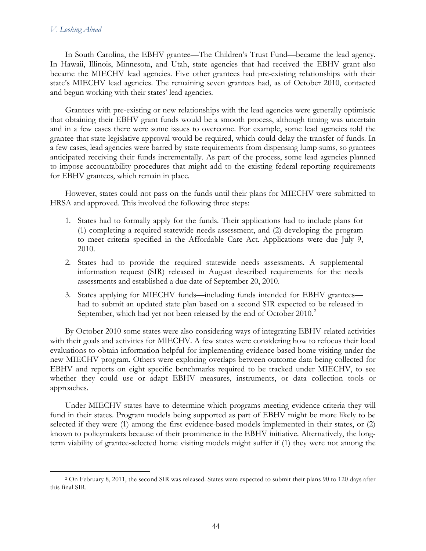#### *V. Looking Ahead*

In South Carolina, the EBHV grantee—The Children's Trust Fund—became the lead agency. In Hawaii, Illinois, Minnesota, and Utah, state agencies that had received the EBHV grant also became the MIECHV lead agencies. Five other grantees had pre-existing relationships with their state's MIECHV lead agencies. The remaining seven grantees had, as of October 2010, contacted and begun working with their states' lead agencies.

Grantees with pre-existing or new relationships with the lead agencies were generally optimistic that obtaining their EBHV grant funds would be a smooth process, although timing was uncertain and in a few cases there were some issues to overcome. For example, some lead agencies told the grantee that state legislative approval would be required, which could delay the transfer of funds. In a few cases, lead agencies were barred by state requirements from dispensing lump sums, so grantees anticipated receiving their funds incrementally. As part of the process, some lead agencies planned to impose accountability procedures that might add to the existing federal reporting requirements for EBHV grantees, which remain in place.

However, states could not pass on the funds until their plans for MIECHV were submitted to HRSA and approved. This involved the following three steps:

- 1. States had to formally apply for the funds. Their applications had to include plans for (1) completing a required statewide needs assessment, and (2) developing the program to meet criteria specified in the Affordable Care Act. Applications were due July 9, 2010.
- 2. States had to provide the required statewide needs assessments. A supplemental information request (SIR) released in August described requirements for the needs assessments and established a due date of September 20, 2010.
- 3. States applying for MIECHV funds—including funds intended for EBHV grantees had to submit an updated state plan based on a second SIR expected to be released in September, which had yet not been released by the end of October [2](#page-63-0)010.<sup>2</sup>

By October 2010 some states were also considering ways of integrating EBHV-related activities with their goals and activities for MIECHV. A few states were considering how to refocus their local evaluations to obtain information helpful for implementing evidence-based home visiting under the new MIECHV program. Others were exploring overlaps between outcome data being collected for EBHV and reports on eight specific benchmarks required to be tracked under MIECHV, to see whether they could use or adapt EBHV measures, instruments, or data collection tools or approaches.

Under MIECHV states have to determine which programs meeting evidence criteria they will fund in their states. Program models being supported as part of EBHV might be more likely to be selected if they were (1) among the first evidence-based models implemented in their states, or (2) known to policymakers because of their prominence in the EBHV initiative. Alternatively, the longterm viability of grantee-selected home visiting models might suffer if (1) they were not among the

<span id="page-63-0"></span> <sup>2</sup> On February 8, 2011, the second SIR was released. States were expected to submit their plans 90 to 120 days after this final SIR.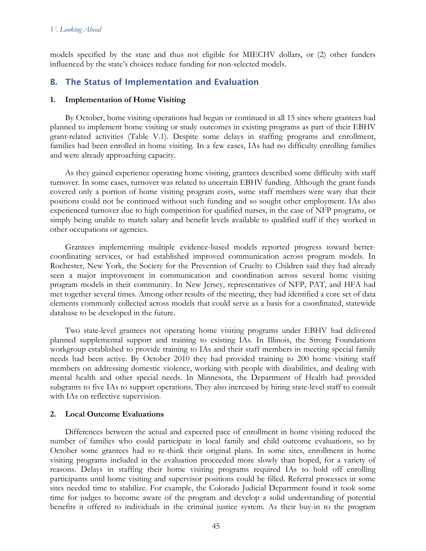models specified by the state and thus not eligible for MIECHV dollars, or (2) other funders influenced by the state's choices reduce funding for non-selected models.

# B. The Status of Implementation and Evaluation

# **1. Implementation of Home Visiting**

By October, home visiting operations had begun or continued in all 15 sites where grantees had planned to implement home visiting or study outcomes in existing programs as part of their EBHV grant-related activities (Table V.1). Despite some delays in staffing programs and enrollment, families had been enrolled in home visiting. In a few cases, IAs had no difficulty enrolling families and were already approaching capacity.

As they gained experience operating home visiting, grantees described some difficulty with staff turnover. In some cases, turnover was related to uncertain EBHV funding. Although the grant funds covered only a portion of home visiting program costs, some staff members were wary that their positions could not be continued without such funding and so sought other employment. IAs also experienced turnover due to high competition for qualified nurses, in the case of NFP programs, or simply being unable to match salary and benefit levels available to qualified staff if they worked in other occupations or agencies.

Grantees implementing multiple evidence-based models reported progress toward bettercoordinating services, or had established improved communication across program models. In Rochester, New York, the Society for the Prevention of Cruelty to Children said they had already seen a major improvement in communication and coordination across several home visiting program models in their community. In New Jersey, representatives of NFP, PAT, and HFA had met together several times. Among other results of the meeting, they had identified a core set of data elements commonly collected across models that could serve as a basis for a coordinated, statewide database to be developed in the future.

Two state-level grantees not operating home visiting programs under EBHV had delivered planned supplemental support and training to existing IAs. In Illinois, the Strong Foundations workgroup established to provide training to IAs and their staff members in meeting special family needs had been active. By October 2010 they had provided training to 200 home visiting staff members on addressing domestic violence, working with people with disabilities, and dealing with mental health and other special needs. In Minnesota, the Department of Health had provided subgrants to five IAs to support operations. They also increased by hiring state-level staff to consult with IAs on reflective supervision.

## **2. Local Outcome Evaluations**

Differences between the actual and expected pace of enrollment in home visiting reduced the number of families who could participate in local family and child outcome evaluations, so by October some grantees had to re-think their original plans. In some sites, enrollment in home visiting programs included in the evaluation proceeded more slowly than hoped, for a variety of reasons. Delays in staffing their home visiting programs required IAs to hold off enrolling participants until home visiting and supervisor positions could be filled. Referral processes in some sites needed time to stabilize. For example, the Colorado Judicial Department found it took some time for judges to become aware of the program and develop a solid understanding of potential benefits it offered to individuals in the criminal justice system. As their buy-in to the program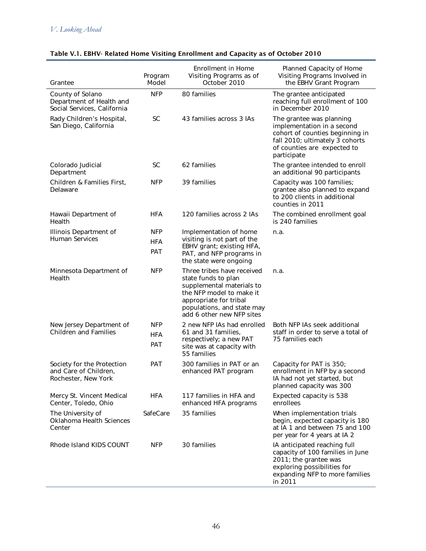| Grantee                                                                     | Program<br>Model                | <b>Enrollment in Home</b><br>Visiting Programs as of<br>October 2010                                                                                                                            | Planned Capacity of Home<br>Visiting Programs Involved in<br>the EBHV Grant Program                                                                                        |
|-----------------------------------------------------------------------------|---------------------------------|-------------------------------------------------------------------------------------------------------------------------------------------------------------------------------------------------|----------------------------------------------------------------------------------------------------------------------------------------------------------------------------|
| County of Solano<br>Department of Health and<br>Social Services, California | <b>NFP</b>                      | 80 families                                                                                                                                                                                     | The grantee anticipated<br>reaching full enrollment of 100<br>in December 2010                                                                                             |
| Rady Children's Hospital,<br>San Diego, California                          | <b>SC</b>                       | 43 families across 3 IAs                                                                                                                                                                        | The grantee was planning<br>implementation in a second<br>cohort of counties beginning in<br>fall 2010; ultimately 3 cohorts<br>of counties are expected to<br>participate |
| Colorado Judicial<br>Department                                             | <b>SC</b>                       | 62 families                                                                                                                                                                                     | The grantee intended to enroll<br>an additional 90 participants                                                                                                            |
| Children & Families First,<br>Delaware                                      | <b>NFP</b>                      | 39 families                                                                                                                                                                                     | Capacity was 100 families;<br>grantee also planned to expand<br>to 200 clients in additional<br>counties in 2011                                                           |
| Hawaii Department of<br>Health                                              | <b>HFA</b>                      | 120 families across 2 IAs                                                                                                                                                                       | The combined enrollment goal<br>is 240 families                                                                                                                            |
| Illinois Department of<br>Human Services                                    | <b>NFP</b><br><b>HFA</b><br>PAT | Implementation of home<br>visiting is not part of the<br>EBHV grant; existing HFA,<br>PAT, and NFP programs in<br>the state were ongoing                                                        | n.a.                                                                                                                                                                       |
| Minnesota Department of<br>Health                                           | <b>NFP</b>                      | Three tribes have received<br>state funds to plan<br>supplemental materials to<br>the NFP model to make it<br>appropriate for tribal<br>populations, and state may<br>add 6 other new NFP sites | n.a.                                                                                                                                                                       |
| New Jersey Department of<br><b>Children and Families</b>                    | <b>NFP</b><br><b>HFA</b><br>PAT | 2 new NFP IAs had enrolled<br>61 and 31 families,<br>respectively; a new PAT<br>site was at capacity with<br>55 families                                                                        | Both NFP IAs seek additional<br>staff in order to serve a total of<br>75 families each                                                                                     |
| Society for the Protection<br>and Care of Children.<br>Rochester, New York  | PAT                             | 300 families in PAT or an<br>enhanced PAT program                                                                                                                                               | Capacity for PAT is 350;<br>enrollment in NFP by a second<br>IA had not yet started, but<br>planned capacity was 300                                                       |
| Mercy St. Vincent Medical<br>Center, Toledo, Ohio                           | <b>HFA</b>                      | 117 families in HFA and<br>enhanced HFA programs                                                                                                                                                | Expected capacity is 538<br>enrollees                                                                                                                                      |
| The University of<br>Oklahoma Health Sciences<br>Center                     | SafeCare                        | 35 families                                                                                                                                                                                     | When implementation trials<br>begin, expected capacity is 180<br>at IA 1 and between 75 and 100<br>per year for 4 years at IA 2                                            |
| Rhode Island KIDS COUNT                                                     | <b>NFP</b>                      | 30 families                                                                                                                                                                                     | IA anticipated reaching full<br>capacity of 100 families in June<br>2011; the grantee was<br>exploring possibilities for<br>expanding NFP to more families<br>in 2011      |

# Table V.1. EBHV- Related Home Visiting Enrollment and Capacity as of October 2010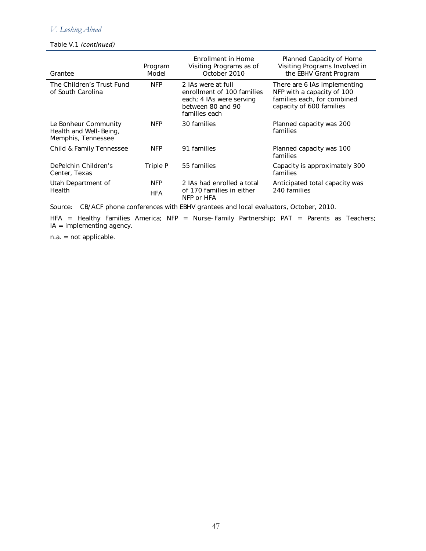# *V. Looking Ahead*

#### Table V.1 *(continued)*

| Grantee                                                              | Program<br>Model         | <b>Fricollment in Home</b><br>Visiting Programs as of<br>October 2010                                              | Planned Capacity of Home<br>Visiting Programs Involved in<br>the EBHV Grant Program                                   |
|----------------------------------------------------------------------|--------------------------|--------------------------------------------------------------------------------------------------------------------|-----------------------------------------------------------------------------------------------------------------------|
| The Children's Trust Fund<br>of South Carolina                       | <b>NFP</b>               | 2 IAs were at full<br>enrollment of 100 families<br>each; 4 IAs were serving<br>between 80 and 90<br>families each | There are 6 IAs implementing<br>NFP with a capacity of 100<br>families each, for combined<br>capacity of 600 families |
| Le Bonheur Community<br>Health and Well-Being,<br>Memphis, Tennessee | <b>NFP</b>               | 30 families                                                                                                        | Planned capacity was 200<br>families                                                                                  |
| Child & Family Tennessee                                             | <b>NFP</b>               | 91 families                                                                                                        | Planned capacity was 100<br>families                                                                                  |
| DePelchin Children's<br>Center, Texas                                | Triple P                 | 55 families                                                                                                        | Capacity is approximately 300<br>families                                                                             |
| Utah Department of<br><b>Health</b>                                  | <b>NFP</b><br><b>HFA</b> | 2 IAs had enrolled a total<br>of 170 families in either<br>NFP or HFA                                              | Anticipated total capacity was<br>240 families                                                                        |

Source: CB/ACF phone conferences with EBHV grantees and local evaluators, October, 2010.

HFA = Healthy Families America; NFP = Nurse-Family Partnership; PAT = Parents as Teachers; IA = implementing agency.

n.a. = not applicable.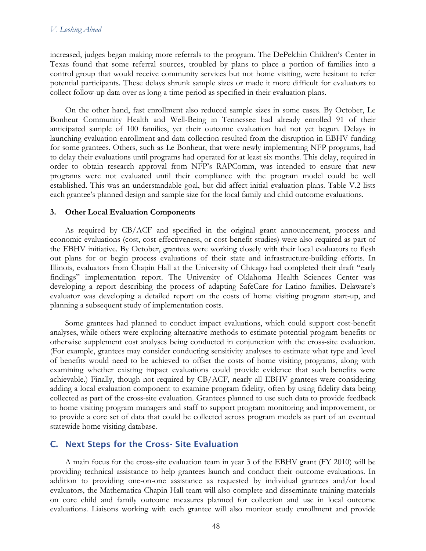increased, judges began making more referrals to the program. The DePelchin Children's Center in Texas found that some referral sources, troubled by plans to place a portion of families into a control group that would receive community services but not home visiting, were hesitant to refer potential participants. These delays shrunk sample sizes or made it more difficult for evaluators to collect follow-up data over as long a time period as specified in their evaluation plans.

On the other hand, fast enrollment also reduced sample sizes in some cases. By October, Le Bonheur Community Health and Well-Being in Tennessee had already enrolled 91 of their anticipated sample of 100 families, yet their outcome evaluation had not yet begun. Delays in launching evaluation enrollment and data collection resulted from the disruption in EBHV funding for some grantees. Others, such as Le Bonheur, that were newly implementing NFP programs, had to delay their evaluations until programs had operated for at least six months. This delay, required in order to obtain research approval from NFP's RAPComm, was intended to ensure that new programs were not evaluated until their compliance with the program model could be well established. This was an understandable goal, but did affect initial evaluation plans. Table V.2 lists each grantee's planned design and sample size for the local family and child outcome evaluations.

#### **3. Other Local Evaluation Components**

As required by CB/ACF and specified in the original grant announcement, process and economic evaluations (cost, cost-effectiveness, or cost-benefit studies) were also required as part of the EBHV initiative. By October, grantees were working closely with their local evaluators to flesh out plans for or begin process evaluations of their state and infrastructure-building efforts. In Illinois, evaluators from Chapin Hall at the University of Chicago had completed their draft "early findings" implementation report. The University of Oklahoma Health Sciences Center was developing a report describing the process of adapting SafeCare for Latino families. Delaware's evaluator was developing a detailed report on the costs of home visiting program start-up, and planning a subsequent study of implementation costs.

Some grantees had planned to conduct impact evaluations, which could support cost-benefit analyses, while others were exploring alternative methods to estimate potential program benefits or otherwise supplement cost analyses being conducted in conjunction with the cross-site evaluation. (For example, grantees may consider conducting sensitivity analyses to estimate what type and level of benefits would need to be achieved to offset the costs of home visiting programs, along with examining whether existing impact evaluations could provide evidence that such benefits were achievable.) Finally, though not required by  $CB/ACF$ , nearly all EBHV grantees were considering adding a local evaluation component to examine program fidelity, often by using fidelity data being collected as part of the cross-site evaluation. Grantees planned to use such data to provide feedback to home visiting program managers and staff to support program monitoring and improvement, or to provide a core set of data that could be collected across program models as part of an eventual statewide home visiting database.

## C. Next Steps for the Cross- Site Evaluation

A main focus for the cross-site evaluation team in year 3 of the EBHV grant (FY 2010) will be providing technical assistance to help grantees launch and conduct their outcome evaluations. In addition to providing one-on-one assistance as requested by individual grantees and/or local evaluators, the Mathematica-Chapin Hall team will also complete and disseminate training materials on core child and family outcome measures planned for collection and use in local outcome evaluations. Liaisons working with each grantee will also monitor study enrollment and provide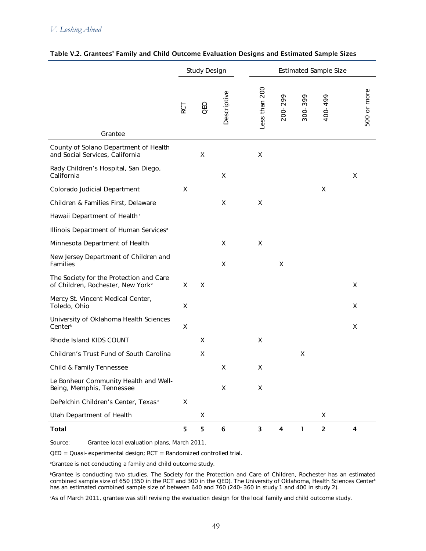|                                                                                          | <b>Study Design</b> |                    |             |               | <b>Estimated Sample Size</b> |         |                         |   |             |
|------------------------------------------------------------------------------------------|---------------------|--------------------|-------------|---------------|------------------------------|---------|-------------------------|---|-------------|
| Grantee                                                                                  | RCT                 | QED                | Descriptive | Less than 200 | 200-299                      | 300-399 | 400-499                 |   | 500 or more |
| County of Solano Department of Health<br>and Social Services, California                 |                     | Χ                  |             | X             |                              |         |                         |   |             |
| Rady Children's Hospital, San Diego,<br>California                                       |                     |                    | X           |               |                              |         |                         | X |             |
| Colorado Judicial Department                                                             | X                   |                    |             |               |                              |         | Χ                       |   |             |
| Children & Families First, Delaware                                                      |                     |                    | X           | Χ             |                              |         |                         |   |             |
| Hawaii Department of Health <sup>c</sup>                                                 |                     |                    |             |               |                              |         |                         |   |             |
| Illinois Department of Human Services <sup>a</sup>                                       |                     |                    |             |               |                              |         |                         |   |             |
| Minnesota Department of Health                                                           |                     |                    | X           | X             |                              |         |                         |   |             |
| New Jersey Department of Children and<br>Families                                        |                     |                    | Χ           |               | X                            |         |                         |   |             |
| The Society for the Protection and Care<br>of Children, Rochester, New York <sup>b</sup> | X                   | $\pmb{\mathsf{X}}$ |             |               |                              |         |                         | X |             |
| Mercy St. Vincent Medical Center,<br>Toledo, Ohio                                        | X                   |                    |             |               |                              |         |                         | Χ |             |
| University of Oklahoma Health Sciences<br>Center <sup>b</sup>                            | X                   |                    |             |               |                              |         |                         | X |             |
| Rhode Island KIDS COUNT                                                                  |                     | Χ                  |             | Χ             |                              |         |                         |   |             |
| Children's Trust Fund of South Carolina                                                  |                     | Χ                  |             |               |                              | X       |                         |   |             |
| Child & Family Tennessee                                                                 |                     |                    | Χ           | Χ             |                              |         |                         |   |             |
| Le Bonheur Community Health and Well-<br>Being, Memphis, Tennessee                       |                     |                    | Χ           | X             |                              |         |                         |   |             |
| DePelchin Children's Center, Texas <sup>c</sup>                                          | X                   |                    |             |               |                              |         |                         |   |             |
| Utah Department of Health                                                                |                     | Χ                  |             |               |                              |         | Χ                       |   |             |
| <b>Total</b>                                                                             | 5                   | 5                  | 6           | 3             | 4                            | 1       | $\overline{\mathbf{c}}$ | 4 |             |

### Table V.2. Grantees' Family and Child Outcome Evaluation Designs and Estimated Sample Sizes

Source: Grantee local evaluation plans, March 2011.

 $QED = Quasi-experimental design; RCT = Randomized controlled trial.$ 

a Grantee is not conducting a family and child outcome study.

b Grantee is conducting two studies. The Society for the Protection and Care of Children, Rochester has an estimated combined sample size of 650 (350 in the RCT and 300 in the QED). The University of Oklahoma, Health Sciences Center $^{\circ}$ has an estimated combined sample size of between 640 and 760 (240-360 in study 1 and 400 in study 2).

c As of March 2011, grantee was still revising the evaluation design for the local family and child outcome study.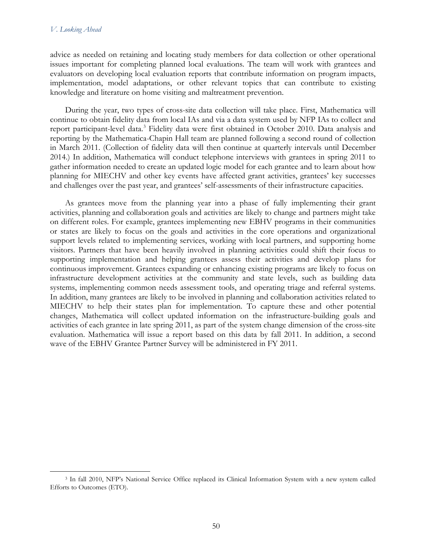advice as needed on retaining and locating study members for data collection or other operational issues important for completing planned local evaluations. The team will work with grantees and evaluators on developing local evaluation reports that contribute information on program impacts, implementation, model adaptations, or other relevant topics that can contribute to existing knowledge and literature on home visiting and maltreatment prevention.

During the year, two types of cross-site data collection will take place. First, Mathematica will continue to obtain fidelity data from local IAs and via a data system used by NFP IAs to collect and report participant-level data.<sup>[3](#page-69-0)</sup> Fidelity data were first obtained in October 2010. Data analysis and reporting by the Mathematica-Chapin Hall team are planned following a second round of collection in March 2011. (Collection of fidelity data will then continue at quarterly intervals until December 2014.) In addition, Mathematica will conduct telephone interviews with grantees in spring 2011 to gather information needed to create an updated logic model for each grantee and to learn about how planning for MIECHV and other key events have affected grant activities, grantees' key successes and challenges over the past year, and grantees' self-assessments of their infrastructure capacities.

As grantees move from the planning year into a phase of fully implementing their grant activities, planning and collaboration goals and activities are likely to change and partners might take on different roles. For example, grantees implementing new EBHV programs in their communities or states are likely to focus on the goals and activities in the core operations and organizational support levels related to implementing services, working with local partners, and supporting home visitors. Partners that have been heavily involved in planning activities could shift their focus to supporting implementation and helping grantees assess their activities and develop plans for continuous improvement. Grantees expanding or enhancing existing programs are likely to focus on infrastructure development activities at the community and state levels, such as building data systems, implementing common needs assessment tools, and operating triage and referral systems. In addition, many grantees are likely to be involved in planning and collaboration activities related to MIECHV to help their states plan for implementation. To capture these and other potential changes, Mathematica will collect updated information on the infrastructure-building goals and activities of each grantee in late spring 2011, as part of the system change dimension of the cross-site evaluation. Mathematica will issue a report based on this data by fall 2011. In addition, a second wave of the EBHV Grantee Partner Survey will be administered in FY 2011.

<span id="page-69-0"></span> <sup>3</sup> In fall 2010, NFP's National Service Office replaced its Clinical Information System with a new system called Efforts to Outcomes (ETO).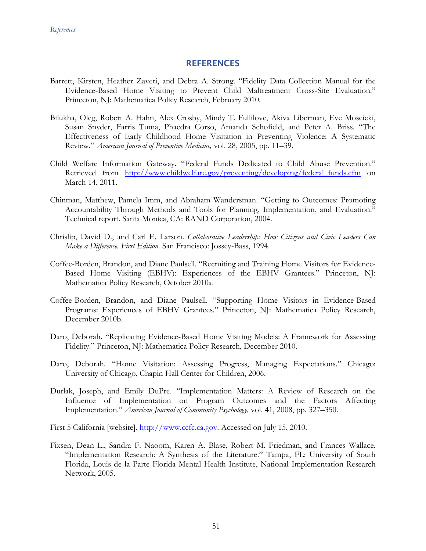# **REFERENCES**

- Barrett, Kirsten, Heather Zaveri, and Debra A. Strong. "Fidelity Data Collection Manual for the Evidence-Based Home Visiting to Prevent Child Maltreatment Cross-Site Evaluation." Princeton, NJ: Mathematica Policy Research, February 2010.
- Bilukha, Oleg, Robert A. Hahn, Alex Crosby, Mindy T. Fullilove, Akiva Liberman, Eve Moscicki, Susan Snyder, Farris Tuma, Phaedra Corso, Amanda Schofield, and Peter A. Briss. "The Effectiveness of Early Childhood Home Visitation in Preventing Violence: A Systematic Review." *American Journal of Preventive Medicine,* vol. 28, 2005, pp. 11–39.
- Child Welfare Information Gateway. "Federal Funds Dedicated to Child Abuse Prevention." Retrieved from http://www.childwelfare.gov/preventing/developing/federal funds.cfm on March 14, 2011.
- Chinman, Matthew, Pamela Imm, and Abraham Wandersman. "Getting to Outcomes: Promoting Accountability Through Methods and Tools for Planning, Implementation, and Evaluation." Technical report. Santa Monica, CA: RAND Corporation, 2004.
- Chrislip, David D., and Carl E. Larson. *Collaborative Leadership: How Citizens and Civic Leaders Can Make a Difference. First Edition.* San Francisco: Jossey-Bass, 1994.
- Coffee-Borden, Brandon, and Diane Paulsell. "Recruiting and Training Home Visitors for Evidence-Based Home Visiting (EBHV): Experiences of the EBHV Grantees." Princeton, NJ: Mathematica Policy Research, October 2010a.
- Coffee-Borden, Brandon, and Diane Paulsell. "Supporting Home Visitors in Evidence-Based Programs: Experiences of EBHV Grantees." Princeton, NJ: Mathematica Policy Research, December 2010b.
- Daro, Deborah. "Replicating Evidence-Based Home Visiting Models: A Framework for Assessing Fidelity." Princeton, NJ: Mathematica Policy Research, December 2010.
- Daro, Deborah. "Home Visitation: Assessing Progress, Managing Expectations." Chicago: University of Chicago, Chapin Hall Center for Children, 2006.
- Durlak, Joseph, and Emily DuPre. "Implementation Matters: A Review of Research on the Influence of Implementation on Program Outcomes and the Factors Affecting Implementation." *American Journal of Community Psychology,* vol. 41, 2008, pp. 327–350.
- First 5 California [website]. [http://www.ccfc.ca.gov.](http://www.ccfc.ca.gov./) Accessed on July 15, 2010.
- Fixsen, Dean L., Sandra F. Naoom, Karen A. Blase, Robert M. Friedman, and Frances Wallace. "Implementation Research: A Synthesis of the Literature." Tampa, FL: University of South Florida, Louis de la Parte Florida Mental Health Institute, National Implementation Research Network, 2005.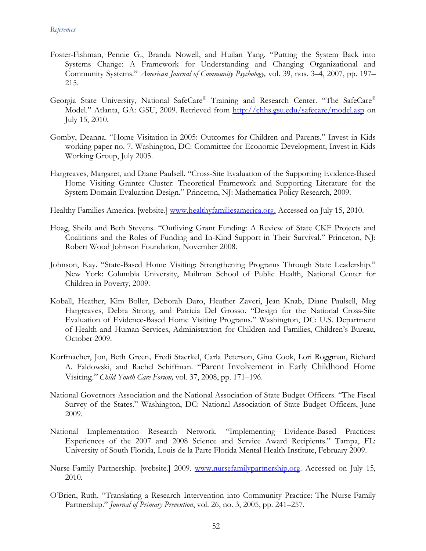- Foster-Fishman, Pennie G., Branda Nowell, and Huilan Yang. "Putting the System Back into Systems Change: A Framework for Understanding and Changing Organizational and Community Systems." *American Journal of Community Psychology,* vol. 39, nos. 3–4, 2007, pp. 197– 215.
- Georgia State University, National SafeCare® Training and Research Center. "The SafeCare® Model." Atlanta, GA: GSU, 2009. Retrieved from<http://chhs.gsu.edu/safecare/model.asp> on July 15, 2010.
- Gomby, Deanna. "Home Visitation in 2005: Outcomes for Children and Parents." Invest in Kids working paper no. 7. Washington, DC: Committee for Economic Development, Invest in Kids Working Group, July 2005.
- Hargreaves, Margaret, and Diane Paulsell. "Cross-Site Evaluation of the Supporting Evidence-Based Home Visiting Grantee Cluster: Theoretical Framework and Supporting Literature for the System Domain Evaluation Design." Princeton, NJ: Mathematica Policy Research, 2009.

Healthy Families America. [website.] [www.healthyfamiliesamerica.org.](http://www.healthyfamiliesamerica.org./) Accessed on July 15, 2010.

- Hoag, Sheila and Beth Stevens. ["Outliving Grant Funding: A Review of State CKF Projects and](http://www.mathematica-mpr.com/publications/redirect_PubsDB.asp?strSite=http://www.rwjf.org/files/research/3688.pdf)  [Coalitions and the Roles of Funding and In-Kind Support in Their Survival."](http://www.mathematica-mpr.com/publications/redirect_PubsDB.asp?strSite=http://www.rwjf.org/files/research/3688.pdf) Princeton, NJ: Robert Wood Johnson Foundation, November 2008.
- Johnson, Kay. "State-Based Home Visiting: Strengthening Programs Through State Leadership." New York: Columbia University, Mailman School of Public Health, National Center for Children in Poverty, 2009.
- Koball, Heather, Kim Boller, Deborah Daro, Heather Zaveri, Jean Knab, Diane Paulsell, Meg Hargreaves, Debra Strong, and Patricia Del Grosso. "Design for the National Cross-Site Evaluation of Evidence-Based Home Visiting Programs." Washington, DC: U.S. Department of Health and Human Services, Administration for Children and Families, Children's Bureau, October 2009.
- Korfmacher, Jon, Beth Green, Fredi Staerkel, Carla Peterson, Gina Cook, Lori Roggman, Richard A. Faldowski, and Rachel Schiffman. "Parent Involvement in Early Childhood Home Visiting." *Child Youth Care Forum,* vol. 37, 2008, pp. 171–196.
- National Governors Association and the National Association of State Budget Officers. "The Fiscal Survey of the States." Washington, DC: National Association of State Budget Officers, June 2009.
- National Implementation Research Network. "Implementing Evidence-Based Practices: Experiences of the 2007 and 2008 Science and Service Award Recipients." Tampa, FL: University of South Florida, Louis de la Parte Florida Mental Health Institute, February 2009.
- Nurse-Family Partnership. [website.] 2009. [www.nursefamilypartnership.org.](http://www.nursefamilypartnership.org/) Accessed on July 15, 2010.
- O'Brien, Ruth. "Translating a Research Intervention into Community Practice: The Nurse-Family Partnership." *Journal of Primary Prevention*, vol. 26, no. 3, 2005, pp. 241–257.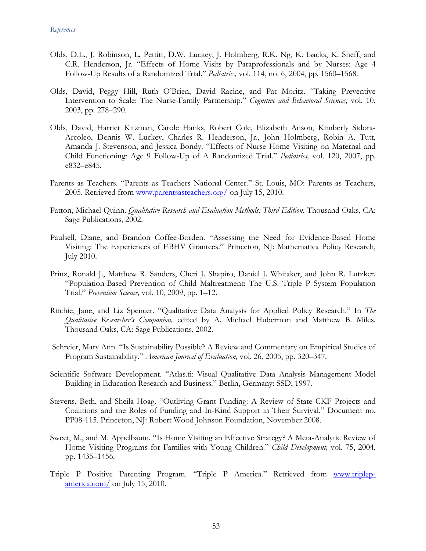- Olds, D.L., J. Robinson, L. Pettitt, D.W. Luckey, J. Holmberg, R.K. Ng, K. Isacks, K. Sheff, and C.R. Henderson, Jr. "Effects of Home Visits by Paraprofessionals and by Nurses: Age 4 Follow-Up Results of a Randomized Trial." *Pediatrics,* vol. 114, no. 6, 2004, pp. 1560–1568.
- Olds, David, Peggy Hill, Ruth O'Brien, David Racine, and Pat Moritz. "Taking Preventive Intervention to Scale: The Nurse-Family Partnership." *Cognitive and Behavioral Sciences,* vol. 10, 2003, pp. 278–290.
- Olds, David, Harriet Kitzman, Carole Hanks, Robert Cole, Elizabeth Anson, Kimberly Sidora-Arcoleo, Dennis W. Luckey, Charles R. Henderson, Jr., John Holmberg, Robin A. Tutt, Amanda J. Stevenson, and Jessica Bondy. "Effects of Nurse Home Visiting on Maternal and Child Functioning: Age 9 Follow-Up of A Randomized Trial." *Pediatrics,* vol. 120, 2007, pp. e832–e845.
- Parents as Teachers. "Parents as Teachers National Center." St. Louis, MO: Parents as Teachers, 2005. Retrieved from [www.parentsasteachers.org/](http://www.parentsasteachers.org/) on July 15, 2010.
- Patton, Michael Quinn. *Qualitative Research and Evaluation Methods: Third Edition.* Thousand Oaks, CA: Sage Publications, 2002.
- Paulsell, Diane, and Brandon Coffee-Borden. "Assessing the Need for Evidence-Based Home Visiting: The Experiences of EBHV Grantees." Princeton, NJ: Mathematica Policy Research, July 2010.
- Prinz, Ronald J., Matthew R. Sanders, Cheri J. Shapiro, Daniel J. Whitaker, and John R. Lutzker. "Population-Based Prevention of Child Maltreatment: The U.S. Triple P System Population Trial." *Prevention Science,* vol. 10, 2009, pp. 1–12.
- Ritchie, Jane, and Liz Spencer. "Qualitative Data Analysis for Applied Policy Research." In *The Qualitative Researcher's Companion,* edited by A. Michael Huberman and Matthew B. Miles. Thousand Oaks, CA: Sage Publications, 2002.
- Schreier, Mary Ann. "Is Sustainability Possible? A Review and Commentary on Empirical Studies of Program Sustainability." *American Journal of Evaluation,* vol. 26, 2005, pp. 320–347.
- Scientific Software Development. "Atlas.ti: Visual Qualitative Data Analysis Management Model Building in Education Research and Business." Berlin, Germany: SSD, 1997.
- Stevens, Beth, and Sheila Hoag. "Outliving Grant Funding: A Review of State CKF Projects and Coalitions and the Roles of Funding and In-Kind Support in Their Survival." Document no. PP08-115. Princeton, NJ: Robert Wood Johnson Foundation, November 2008.
- Sweet, M., and M. Appelbaum. "Is Home Visiting an Effective Strategy? A Meta-Analytic Review of Home Visiting Programs for Families with Young Children." *Child Development,* vol. 75, 2004, pp. 1435–1456.
- Triple P Positive Parenting Program. "Triple P America." Retrieved from [www.triplep](http://www.triplep-america.com/)[america.com/](http://www.triplep-america.com/) on July 15, 2010.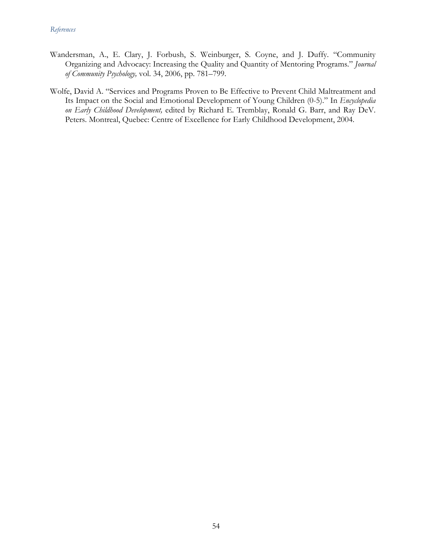- Wandersman, A., E. Clary, J. Forbush, S. Weinburger, S. Coyne, and J. Duffy. "Community Organizing and Advocacy: Increasing the Quality and Quantity of Mentoring Programs." *Journal of Community Psychology,* vol. 34, 2006, pp. 781–799.
- Wolfe, David A. "Services and Programs Proven to Be Effective to Prevent Child Maltreatment and Its Impact on the Social and Emotional Development of Young Children (0-5)." In *Encyclopedia on Early Childhood Development,* edited by Richard E. Tremblay, Ronald G. Barr, and Ray DeV. Peters. Montreal, Quebec: Centre of Excellence for Early Childhood Development, 2004.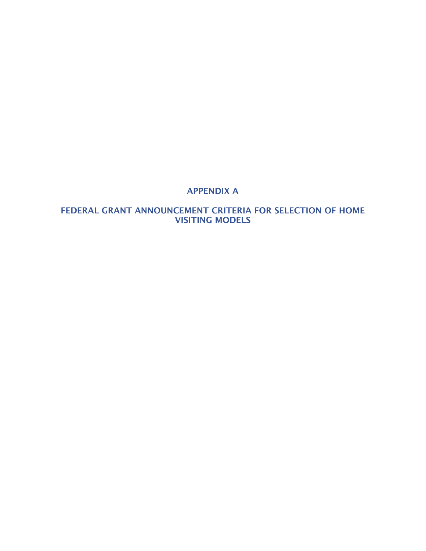## APPENDIX A

## FEDERAL GRANT ANNOUNCEMENT CRITERIA FOR SELECTION OF HOME VISITING MODELS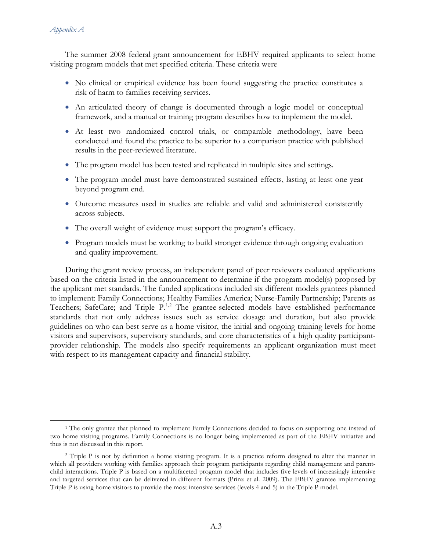#### *Appendix A*

The summer 2008 federal grant announcement for EBHV required applicants to select home visiting program models that met specified criteria. These criteria were

- No clinical or empirical evidence has been found suggesting the practice constitutes a risk of harm to families receiving services.
- An articulated theory of change is documented through a logic model or conceptual framework, and a manual or training program describes how to implement the model.
- At least two randomized control trials, or comparable methodology, have been conducted and found the practice to be superior to a comparison practice with published results in the peer-reviewed literature.
- The program model has been tested and replicated in multiple sites and settings.
- The program model must have demonstrated sustained effects, lasting at least one year beyond program end.
- Outcome measures used in studies are reliable and valid and administered consistently across subjects.
- The overall weight of evidence must support the program's efficacy.
- Program models must be working to build stronger evidence through ongoing evaluation and quality improvement.

During the grant review process, an independent panel of peer reviewers evaluated applications based on the criteria listed in the announcement to determine if the program model(s) proposed by the applicant met standards. The funded applications included six different models grantees planned to implement: Family Connections; Healthy Families America; Nurse-Family Partnership; Parents as Teachers; SafeCare; and Triple P.<sup>[1](#page-76-0),[2](#page-76-1)</sup> The grantee-selected models have established performance standards that not only address issues such as service dosage and duration, but also provide guidelines on who can best serve as a home visitor, the initial and ongoing training levels for home visitors and supervisors, supervisory standards, and core characteristics of a high quality participantprovider relationship. The models also specify requirements an applicant organization must meet with respect to its management capacity and financial stability.

<span id="page-76-0"></span><sup>&</sup>lt;sup>1</sup> The only grantee that planned to implement Family Connections decided to focus on supporting one instead of two home visiting programs. Family Connections is no longer being implemented as part of the EBHV initiative and thus is not discussed in this report.

<span id="page-76-1"></span><sup>2</sup> Triple P is not by definition a home visiting program. It is a practice reform designed to alter the manner in which all providers working with families approach their program participants regarding child management and parentchild interactions. Triple P is based on a multifaceted program model that includes five levels of increasingly intensive and targeted services that can be delivered in different formats (Prinz et al. 2009). The EBHV grantee implementing Triple P is using home visitors to provide the most intensive services (levels 4 and 5) in the Triple P model.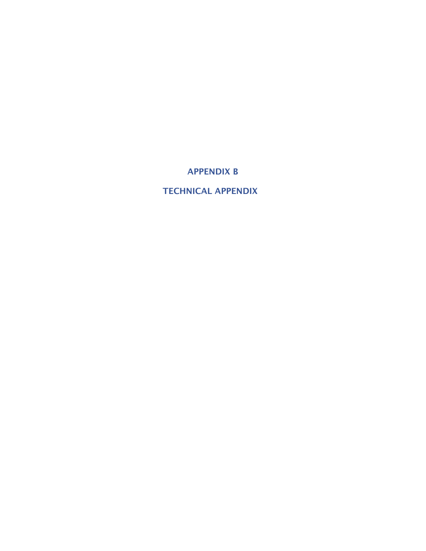APPENDIX B

TECHNICAL APPENDIX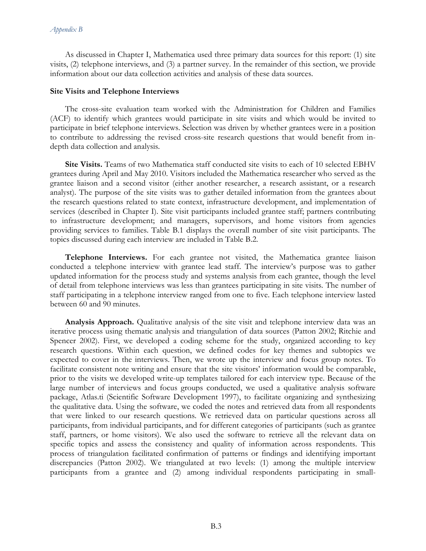As discussed in Chapter I, Mathematica used three primary data sources for this report: (1) site visits, (2) telephone interviews, and (3) a partner survey. In the remainder of this section, we provide information about our data collection activities and analysis of these data sources.

#### **Site Visits and Telephone Interviews**

The cross-site evaluation team worked with the Administration for Children and Families (ACF) to identify which grantees would participate in site visits and which would be invited to participate in brief telephone interviews. Selection was driven by whether grantees were in a position to contribute to addressing the revised cross-site research questions that would benefit from indepth data collection and analysis.

**Site Visits.** Teams of two Mathematica staff conducted site visits to each of 10 selected EBHV grantees during April and May 2010. Visitors included the Mathematica researcher who served as the grantee liaison and a second visitor (either another researcher, a research assistant, or a research analyst). The purpose of the site visits was to gather detailed information from the grantees about the research questions related to state context, infrastructure development, and implementation of services (described in Chapter I). Site visit participants included grantee staff; partners contributing to infrastructure development; and managers, supervisors, and home visitors from agencies providing services to families. Table B.1 displays the overall number of site visit participants. The topics discussed during each interview are included in Table B.2.

**Telephone Interviews.** For each grantee not visited, the Mathematica grantee liaison conducted a telephone interview with grantee lead staff. The interview's purpose was to gather updated information for the process study and systems analysis from each grantee, though the level of detail from telephone interviews was less than grantees participating in site visits. The number of staff participating in a telephone interview ranged from one to five. Each telephone interview lasted between 60 and 90 minutes.

**Analysis Approach.** Qualitative analysis of the site visit and telephone interview data was an iterative process using thematic analysis and triangulation of data sources (Patton 2002; Ritchie and Spencer 2002). First, we developed a coding scheme for the study, organized according to key research questions. Within each question, we defined codes for key themes and subtopics we expected to cover in the interviews. Then, we wrote up the interview and focus group notes. To facilitate consistent note writing and ensure that the site visitors' information would be comparable, prior to the visits we developed write-up templates tailored for each interview type. Because of the large number of interviews and focus groups conducted, we used a qualitative analysis software package, Atlas.ti (Scientific Software Development 1997), to facilitate organizing and synthesizing the qualitative data. Using the software, we coded the notes and retrieved data from all respondents that were linked to our research questions. We retrieved data on particular questions across all participants, from individual participants, and for different categories of participants (such as grantee staff, partners, or home visitors). We also used the software to retrieve all the relevant data on specific topics and assess the consistency and quality of information across respondents. This process of triangulation facilitated confirmation of patterns or findings and identifying important discrepancies (Patton 2002). We triangulated at two levels: (1) among the multiple interview participants from a grantee and (2) among individual respondents participating in small-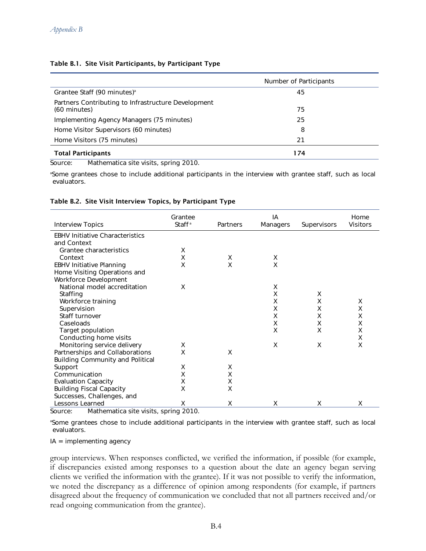#### Table B.1. Site Visit Participants, by Participant Type

|                                                                     | Number of Participants |
|---------------------------------------------------------------------|------------------------|
| Grantee Staff (90 minutes) <sup>a</sup>                             | 45                     |
| Partners Contributing to Infrastructure Development<br>(60 minutes) | 75                     |
| Implementing Agency Managers (75 minutes)                           | 25                     |
| Home Visitor Supervisors (60 minutes)                               | 8                      |
| Home Visitors (75 minutes)                                          | 21                     |
| <b>Total Participants</b>                                           | 174                    |

Source: Mathematica site visits, spring 2010.

a Some grantees chose to include additional participants in the interview with grantee staff, such as local evaluators.

#### Table B.2. Site Visit Interview Topics, by Participant Type

| <b>Interview Topics</b>                                                                                 | Grantee<br>Staff <sup>ª</sup> | Partners | ΙA<br>Managers | Supervisors | Home<br>Visitors |
|---------------------------------------------------------------------------------------------------------|-------------------------------|----------|----------------|-------------|------------------|
| <b>EBHV Initiative Characteristics</b>                                                                  |                               |          |                |             |                  |
| and Context                                                                                             |                               |          |                |             |                  |
| Grantee characteristics                                                                                 | X                             |          |                |             |                  |
| Context                                                                                                 | X                             | X        | Χ              |             |                  |
| <b>EBHV Initiative Planning</b>                                                                         | X                             | X        | X              |             |                  |
| Home Visiting Operations and                                                                            |                               |          |                |             |                  |
| Workforce Development                                                                                   |                               |          |                |             |                  |
| National model accreditation                                                                            | X                             |          | Χ              |             |                  |
| Staffing                                                                                                |                               |          | X              | X           |                  |
| Workforce training                                                                                      |                               |          | Χ              | Χ           | Χ                |
| Supervision                                                                                             |                               |          | X              | X           | X                |
| Staff turnover                                                                                          |                               |          | Χ              | Χ           | Χ                |
| Caseloads                                                                                               |                               |          | X              | X           | X                |
| Target population                                                                                       |                               |          | X              | X           | Χ                |
| Conducting home visits                                                                                  |                               |          |                |             | Χ                |
| Monitoring service delivery                                                                             | х                             |          | X              | X           | X                |
| Partnerships and Collaborations                                                                         | X                             | X        |                |             |                  |
| <b>Building Community and Political</b>                                                                 |                               |          |                |             |                  |
| Support                                                                                                 | X                             | Χ        |                |             |                  |
| Communication                                                                                           | Χ                             | X        |                |             |                  |
| <b>Evaluation Capacity</b>                                                                              | Χ                             | Χ        |                |             |                  |
| <b>Building Fiscal Capacity</b>                                                                         | X                             | X        |                |             |                  |
| Successes, Challenges, and                                                                              |                               |          |                |             |                  |
| Lessons Learned<br>$M = 11$ , $\ldots$ , $\pm 11$ , $\pm 1$ , $\pm 11$ , $\pm 11$ , $\pm 11$ , $\pm 11$ | Χ<br>0010                     | X        | х              | X           | X                |

Source: Mathematica site visits, spring 2010.

a Some grantees chose to include additional participants in the interview with grantee staff, such as local evaluators.

IA = implementing agency

group interviews. When responses conflicted, we verified the information, if possible (for example, if discrepancies existed among responses to a question about the date an agency began serving clients we verified the information with the grantee). If it was not possible to verify the information, we noted the discrepancy as a difference of opinion among respondents (for example, if partners disagreed about the frequency of communication we concluded that not all partners received and/or read ongoing communication from the grantee).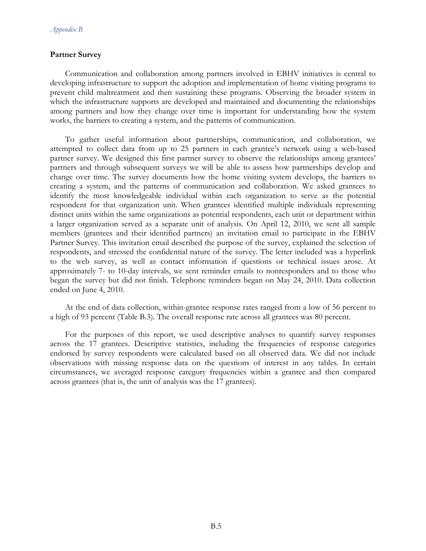#### **Partner Survey**

Communication and collaboration among partners involved in EBHV initiatives is central to developing infrastructure to support the adoption and implementation of home visiting programs to prevent child maltreatment and then sustaining these programs. Observing the broader system in which the infrastructure supports are developed and maintained and documenting the relationships among partners and how they change over time is important for understanding how the system works, the barriers to creating a system, and the patterns of communication.

To gather useful information about partnerships, communication, and collaboration, we attempted to collect data from up to 25 partners in each grantee's network using a web-based partner survey. We designed this first partner survey to observe the relationships among grantees' partners and through subsequent surveys we will be able to assess how partnerships develop and change over time. The survey documents how the home visiting system develops, the barriers to creating a system, and the patterns of communication and collaboration. We asked grantees to identify the most knowledgeable individual within each organization to serve as the potential respondent for that organization unit. When grantees identified multiple individuals representing distinct units within the same organizations as potential respondents, each unit or department within a larger organization served as a separate unit of analysis. On April 12, 2010, we sent all sample members (grantees and their identified partners) an invitation email to participate in the EBHV Partner Survey. This invitation email described the purpose of the survey, explained the selection of respondents, and stressed the confidential nature of the survey. The letter included was a hyperlink to the web survey, as well as contact information if questions or technical issues arose. At approximately 7- to 10-day intervals, we sent reminder emails to nonresponders and to those who began the survey but did not finish. Telephone reminders began on May 24, 2010. Data collection ended on June 4, 2010.

At the end of data collection, within-grantee response rates ranged from a low of 56 percent to a high of 93 percent (Table B.3). The overall response rate across all grantees was 80 percent.

For the purposes of this report, we used descriptive analyses to quantify survey responses across the 17 grantees. Descriptive statistics, including the frequencies of response categories endorsed by survey respondents were calculated based on all observed data. We did not include observations with missing response data on the questions of interest in any tables. In certain circumstances, we averaged response category frequencies within a grantee and then compared across grantees (that is, the unit of analysis was the 17 grantees).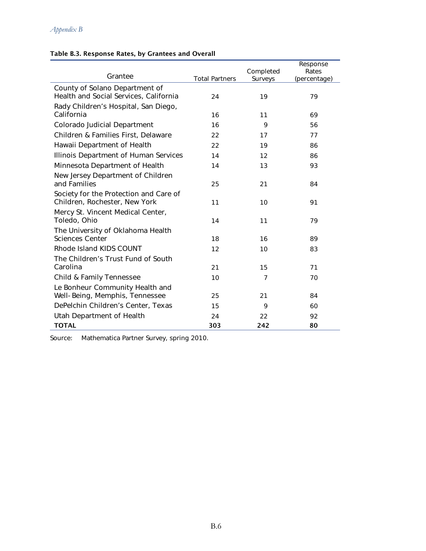|  |  | Table B.3. Response Rates, by Grantees and Overall |
|--|--|----------------------------------------------------|
|  |  |                                                    |

| Grantee                                                                  |                       | Completed      | Response<br>Rates |
|--------------------------------------------------------------------------|-----------------------|----------------|-------------------|
|                                                                          | <b>Total Partners</b> | Surveys        | (percentage)      |
| County of Solano Department of<br>Health and Social Services, California | 24                    | 19             | 79                |
| Rady Children's Hospital, San Diego,<br>California                       | 16                    | 11             | 69                |
| Colorado Judicial Department                                             | 16                    | 9              | 56                |
|                                                                          |                       |                |                   |
| Children & Families First, Delaware                                      | 22                    | 17             | 77                |
| Hawaii Department of Health                                              | 22                    | 19             | 86                |
| Illinois Department of Human Services                                    | 14                    | 12             | 86                |
| Minnesota Department of Health                                           | 14                    | 13             | 93                |
| New Jersey Department of Children<br>and Families                        | 25                    | 21             | 84                |
| Society for the Protection and Care of<br>Children, Rochester, New York  | 11                    | 10             | 91                |
| Mercy St. Vincent Medical Center,<br>Toledo, Ohio                        | 14                    | 11             | 79                |
| The University of Oklahoma Health<br><b>Sciences Center</b>              | 18                    | 16             | 89                |
| Rhode Island KIDS COUNT                                                  | 12                    | 10             | 83                |
| The Children's Trust Fund of South                                       |                       |                |                   |
| Carolina                                                                 | 21                    | 15             | 71                |
| Child & Family Tennessee                                                 | 10                    | $\overline{7}$ | 70                |
| Le Bonheur Community Health and                                          |                       |                |                   |
| Well-Being, Memphis, Tennessee                                           | 25                    | 21             | 84                |
| DePelchin Children's Center, Texas                                       | 15                    | 9              | 60                |
| Utah Department of Health                                                | 24                    | 22             | 92                |
| <b>TOTAL</b>                                                             | 303                   | 242            | 80                |

Source: Mathematica Partner Survey, spring 2010.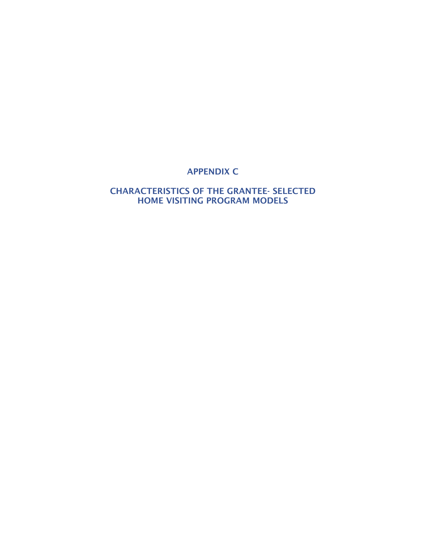# APPENDIX C

### CHARACTERISTICS OF THE GRANTEE- SELECTED HOME VISITING PROGRAM MODELS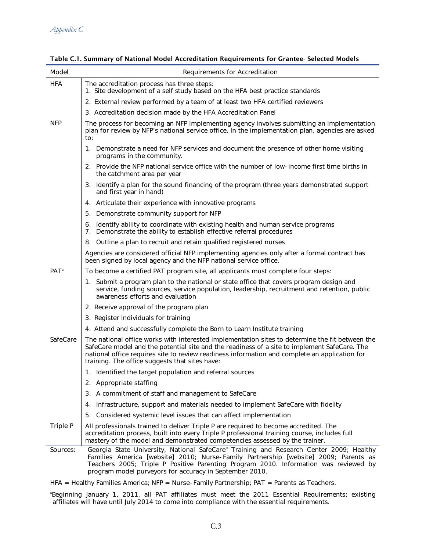| Model      | Requirements for Accreditation                                                                                                                                                                                                                                                                                                                     |
|------------|----------------------------------------------------------------------------------------------------------------------------------------------------------------------------------------------------------------------------------------------------------------------------------------------------------------------------------------------------|
| <b>HFA</b> | The accreditation process has three steps:<br>1. Site development of a self study based on the HFA best practice standards                                                                                                                                                                                                                         |
|            | 2. External review performed by a team of at least two HFA certified reviewers                                                                                                                                                                                                                                                                     |
|            | 3. Accreditation decision made by the HFA Accreditation Panel                                                                                                                                                                                                                                                                                      |
| <b>NFP</b> | The process for becoming an NFP implementing agency involves submitting an implementation<br>plan for review by NFP's national service office. In the implementation plan, agencies are asked<br>to:                                                                                                                                               |
|            | 1. Demonstrate a need for NFP services and document the presence of other home visiting<br>programs in the community.                                                                                                                                                                                                                              |
|            | 2. Provide the NFP national service office with the number of low-income first time births in<br>the catchment area per year                                                                                                                                                                                                                       |
|            | 3. Identify a plan for the sound financing of the program (three years demonstrated support<br>and first year in hand)                                                                                                                                                                                                                             |
|            | 4. Articulate their experience with innovative programs                                                                                                                                                                                                                                                                                            |
|            | 5. Demonstrate community support for NFP                                                                                                                                                                                                                                                                                                           |
|            | 6. Identify ability to coordinate with existing health and human service programs<br>7. Demonstrate the ability to establish effective referral procedures                                                                                                                                                                                         |
|            | 8. Outline a plan to recruit and retain qualified registered nurses                                                                                                                                                                                                                                                                                |
|            | Agencies are considered official NFP implementing agencies only after a formal contract has<br>been signed by local agency and the NFP national service office.                                                                                                                                                                                    |
| $PAT^a$    | To become a certified PAT program site, all applicants must complete four steps:                                                                                                                                                                                                                                                                   |
|            | 1. Submit a program plan to the national or state office that covers program design and<br>service, funding sources, service population, leadership, recruitment and retention, public<br>awareness efforts and evaluation                                                                                                                         |
|            | 2. Receive approval of the program plan                                                                                                                                                                                                                                                                                                            |
|            | 3. Register individuals for training                                                                                                                                                                                                                                                                                                               |
|            | 4. Attend and successfully complete the Born to Learn Institute training                                                                                                                                                                                                                                                                           |
| SafeCare   | The national office works with interested implementation sites to determine the fit between the<br>SafeCare model and the potential site and the readiness of a site to implement SafeCare. The<br>national office requires site to review readiness information and complete an application for<br>training. The office suggests that sites have: |
|            | 1. Identified the target population and referral sources                                                                                                                                                                                                                                                                                           |
|            | 2. Appropriate staffing                                                                                                                                                                                                                                                                                                                            |
|            | 3. A commitment of staff and management to SafeCare                                                                                                                                                                                                                                                                                                |
|            | 4. Infrastructure, support and materials needed to implement SafeCare with fidelity                                                                                                                                                                                                                                                                |
|            | Considered systemic level issues that can affect implementation<br>5.                                                                                                                                                                                                                                                                              |
| Triple P   | All professionals trained to deliver Triple P are required to become accredited. The<br>accreditation process, built into every Triple P professional training course, includes full<br>mastery of the model and demonstrated competencies assessed by the trainer.                                                                                |
| Sources:   | Georgia State University, National SafeCare® Training and Research Center 2009; Healthy<br>Families America [website] 2010; Nurse-Family Partnership [website] 2009; Parents as<br>Teachers 2005; Triple P Positive Parenting Program 2010. Information was reviewed by<br>program model purveyors for accuracy in September 2010.                 |

HFA = Healthy Families America; NFP = Nurse-Family Partnership; PAT = Parents as Teachers.

a Beginning January 1, 2011, all PAT affiliates must meet the 2011 Essential Requirements; existing affiliates will have until July 2014 to come into compliance with the essential requirements.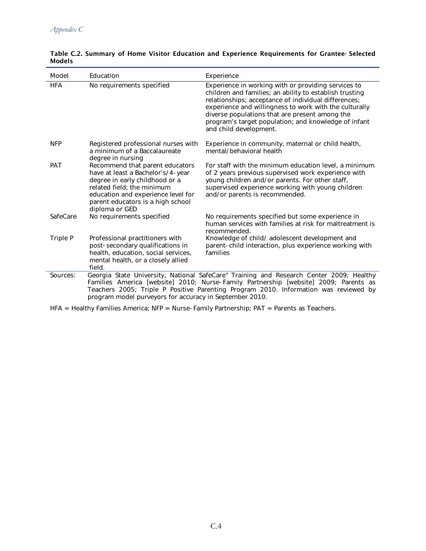| Model      | Education                                                                                                                                                                                                                                                                                                                          | Experience                                                                                                                                                                                                                                                                                                                                                           |
|------------|------------------------------------------------------------------------------------------------------------------------------------------------------------------------------------------------------------------------------------------------------------------------------------------------------------------------------------|----------------------------------------------------------------------------------------------------------------------------------------------------------------------------------------------------------------------------------------------------------------------------------------------------------------------------------------------------------------------|
| <b>HFA</b> | No requirements specified                                                                                                                                                                                                                                                                                                          | Experience in working with or providing services to<br>children and families; an ability to establish trusting<br>relationships; acceptance of individual differences;<br>experience and willingness to work with the culturally<br>diverse populations that are present among the<br>program's target population; and knowledge of infant<br>and child development. |
| <b>NFP</b> | Registered professional nurses with<br>a minimum of a Baccalaureate<br>degree in nursing                                                                                                                                                                                                                                           | Experience in community, maternal or child health,<br>mental/behavioral health                                                                                                                                                                                                                                                                                       |
| <b>PAT</b> | Recommend that parent educators<br>have at least a Bachelor's/4-year<br>degree in early childhood or a<br>related field; the minimum<br>education and experience level for<br>parent educators is a high school<br>diploma or GED                                                                                                  | For staff with the minimum education level, a minimum<br>of 2 years previous supervised work experience with<br>young children and/or parents. For other staff,<br>supervised experience working with young children<br>and/or parents is recommended.                                                                                                               |
| SafeCare   | No requirements specified                                                                                                                                                                                                                                                                                                          | No requirements specified but some experience in<br>human services with families at risk for maltreatment is<br>recommended.                                                                                                                                                                                                                                         |
| Triple P   | Professional practitioners with<br>post-secondary qualifications in<br>health, education, social services,<br>mental health, or a closely allied<br>field.                                                                                                                                                                         | Knowledge of child/ adolescent development and<br>parent-child interaction, plus experience working with<br>families                                                                                                                                                                                                                                                 |
| Sources:   | Georgia State University, National SafeCare® Training and Research Center 2009; Healthy<br>Families America [website] 2010; Nurse-Family Partnership [website] 2009; Parents as<br>Teachers 2005; Triple P Positive Parenting Program 2010. Information was reviewed by<br>program model purveyors for accuracy in September 2010. |                                                                                                                                                                                                                                                                                                                                                                      |

### Table C.2. Summary of Home Visitor Education and Experience Requirements for Grantee- Selected Models

HFA = Healthy Families America; NFP = Nurse-Family Partnership; PAT = Parents as Teachers.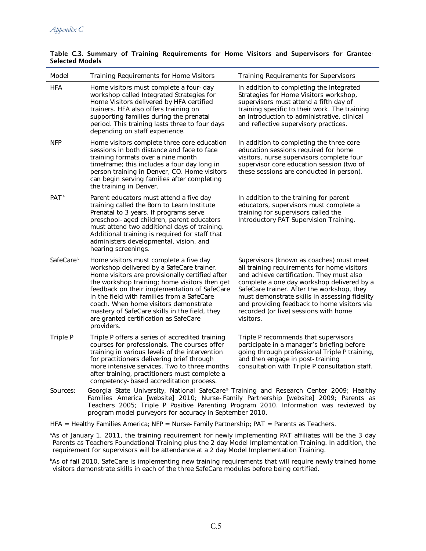| Model                 | Training Requirements for Home Visitors                                                                                                                                                                                                                                                                                                                                                                                                | <b>Training Requirements for Supervisors</b>                                                                                                                                                                                                                                                                                                                                           |
|-----------------------|----------------------------------------------------------------------------------------------------------------------------------------------------------------------------------------------------------------------------------------------------------------------------------------------------------------------------------------------------------------------------------------------------------------------------------------|----------------------------------------------------------------------------------------------------------------------------------------------------------------------------------------------------------------------------------------------------------------------------------------------------------------------------------------------------------------------------------------|
| HFA                   | Home visitors must complete a four-day<br>workshop called Integrated Strategies for<br>Home Visitors delivered by HFA certified<br>trainers. HFA also offers training on<br>supporting families during the prenatal<br>period. This training lasts three to four days<br>depending on staff experience.                                                                                                                                | In addition to completing the Integrated<br>Strategies for Home Visitors workshop,<br>supervisors must attend a fifth day of<br>training specific to their work. The training<br>an introduction to administrative, clinical<br>and reflective supervisory practices.                                                                                                                  |
| <b>NFP</b>            | Home visitors complete three core education<br>sessions in both distance and face to face<br>training formats over a nine month<br>timeframe; this includes a four day long in<br>person training in Denver, CO. Home visitors<br>can begin serving families after completing<br>the training in Denver.                                                                                                                               | In addition to completing the three core<br>education sessions required for home<br>visitors, nurse supervisors complete four<br>supervisor core education session (two of<br>these sessions are conducted in person).                                                                                                                                                                 |
| PAT <sup>a</sup>      | Parent educators must attend a five day<br>training called the Born to Learn Institute<br>Prenatal to 3 years. If programs serve<br>preschool-aged children, parent educators<br>must attend two additional days of training.<br>Additional training is required for staff that<br>administers developmental, vision, and<br>hearing screenings.                                                                                       | In addition to the training for parent<br>educators, supervisors must complete a<br>training for supervisors called the<br>Introductory PAT Supervision Training.                                                                                                                                                                                                                      |
| SafeCare <sup>b</sup> | Home visitors must complete a five day<br>workshop delivered by a SafeCare trainer.<br>Home visitors are provisionally certified after<br>the workshop training; home visitors then get<br>feedback on their implementation of SafeCare<br>in the field with families from a SafeCare<br>coach. When home visitors demonstrate<br>mastery of SafeCare skills in the field, they<br>are granted certification as SafeCare<br>providers. | Supervisors (known as coaches) must meet<br>all training requirements for home visitors<br>and achieve certification. They must also<br>complete a one day workshop delivered by a<br>SafeCare trainer. After the workshop, they<br>must demonstrate skills in assessing fidelity<br>and providing feedback to home visitors via<br>recorded (or live) sessions with home<br>visitors. |
| Triple P              | Triple P offers a series of accredited training<br>courses for professionals. The courses offer<br>training in various levels of the intervention<br>for practitioners delivering brief through<br>more intensive services. Two to three months<br>after training, practitioners must complete a<br>competency-based accreditation process.                                                                                            | Triple P recommends that supervisors<br>participate in a manager's briefing before<br>going through professional Triple P training,<br>and then engage in post-training<br>consultation with Triple P consultation staff.                                                                                                                                                              |
| Sources:              | Georgia State University, National SafeCare® Training and Research Center 2009; Healthy<br>Families America [website] 2010; Nurse-Family Partnership [website] 2009; Parents as                                                                                                                                                                                                                                                        |                                                                                                                                                                                                                                                                                                                                                                                        |

#### Table C.3. Summary of Training Requirements for Home Visitors and Supervisors for Grantee-Selected Models

HFA = Healthy Families America; NFP = Nurse-Family Partnership; PAT = Parents as Teachers.

program model purveyors for accuracy in September 2010.

a As of January 1, 2011, the training requirement for newly implementing PAT affiliates will be the 3 day Parents as Teachers Foundational Training plus the 2 day Model Implementation Training. In addition, the requirement for supervisors will be attendance at a 2 day Model Implementation Training.

Teachers 2005; Triple P Positive Parenting Program 2010. Information was reviewed by

b As of fall 2010, SafeCare is implementing new training requirements that will require newly trained home visitors demonstrate skills in each of the three SafeCare modules before being certified.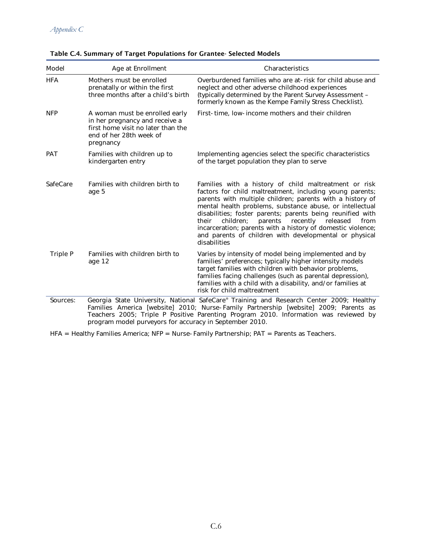| Model      | Age at Enrollment                                                                                                                              | Characteristics                                                                                                                                                                                                                                                                                                                                                                                                                                                                                                    |
|------------|------------------------------------------------------------------------------------------------------------------------------------------------|--------------------------------------------------------------------------------------------------------------------------------------------------------------------------------------------------------------------------------------------------------------------------------------------------------------------------------------------------------------------------------------------------------------------------------------------------------------------------------------------------------------------|
| <b>HFA</b> | Mothers must be enrolled<br>prenatally or within the first<br>three months after a child's birth                                               | Overburdened families who are at-risk for child abuse and<br>neglect and other adverse childhood experiences<br>(typically determined by the Parent Survey Assessment -<br>formerly known as the Kempe Family Stress Checklist).                                                                                                                                                                                                                                                                                   |
| <b>NFP</b> | A woman must be enrolled early<br>in her pregnancy and receive a<br>first home visit no later than the<br>end of her 28th week of<br>pregnancy | First-time, low-income mothers and their children                                                                                                                                                                                                                                                                                                                                                                                                                                                                  |
| <b>PAT</b> | Families with children up to<br>kindergarten entry                                                                                             | Implementing agencies select the specific characteristics<br>of the target population they plan to serve                                                                                                                                                                                                                                                                                                                                                                                                           |
| SafeCare   | Families with children birth to<br>age 5                                                                                                       | Families with a history of child maltreatment or risk<br>factors for child maltreatment, including young parents;<br>parents with multiple children; parents with a history of<br>mental health problems, substance abuse, or intellectual<br>disabilities; foster parents; parents being reunified with<br>their<br>children;<br>parents<br>recently<br>from<br>released<br>incarceration; parents with a history of domestic violence;<br>and parents of children with developmental or physical<br>disabilities |
| Triple P   | Families with children birth to<br>age 12                                                                                                      | Varies by intensity of model being implemented and by<br>families' preferences; typically higher intensity models<br>target families with children with behavior problems,<br>families facing challenges (such as parental depression),<br>families with a child with a disability, and/or families at<br>risk for child maltreatment                                                                                                                                                                              |
| Sources:   |                                                                                                                                                | Georgia State University, National SafeCare® Training and Research Center 2009; Healthy                                                                                                                                                                                                                                                                                                                                                                                                                            |

Table C.4. Summary of Target Populations for Grantee- Selected Models

Families America [website] 2010; Nurse-Family Partnership [website] 2009; Parents as Teachers 2005; Triple P Positive Parenting Program 2010. Information was reviewed by program model purveyors for accuracy in September 2010.

HFA = Healthy Families America; NFP = Nurse-Family Partnership; PAT = Parents as Teachers.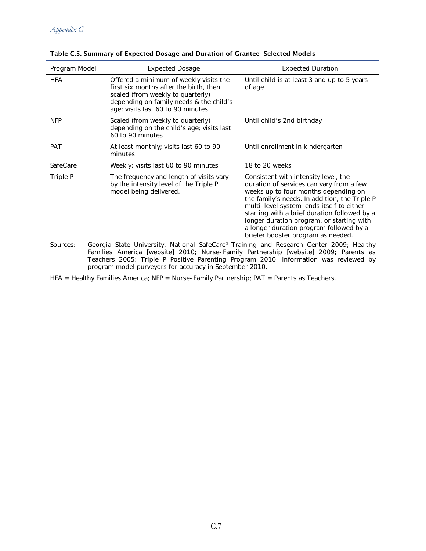| Program Model | <b>Expected Dosage</b>                                                                                                                                                                                | <b>Expected Duration</b>                                                                                                                                                                                                                                                                                                                                                                             |
|---------------|-------------------------------------------------------------------------------------------------------------------------------------------------------------------------------------------------------|------------------------------------------------------------------------------------------------------------------------------------------------------------------------------------------------------------------------------------------------------------------------------------------------------------------------------------------------------------------------------------------------------|
| <b>HFA</b>    | Offered a minimum of weekly visits the<br>first six months after the birth, then<br>scaled (from weekly to quarterly)<br>depending on family needs & the child's<br>age; visits last 60 to 90 minutes | Until child is at least 3 and up to 5 years<br>of age                                                                                                                                                                                                                                                                                                                                                |
| <b>NFP</b>    | Scaled (from weekly to quarterly)<br>depending on the child's age; visits last<br>60 to 90 minutes                                                                                                    | Until child's 2nd birthday                                                                                                                                                                                                                                                                                                                                                                           |
| <b>PAT</b>    | At least monthly; visits last 60 to 90<br>minutes                                                                                                                                                     | Until enrollment in kindergarten                                                                                                                                                                                                                                                                                                                                                                     |
| SafeCare      | Weekly; visits last 60 to 90 minutes                                                                                                                                                                  | 18 to 20 weeks                                                                                                                                                                                                                                                                                                                                                                                       |
| Triple P      | The frequency and length of visits vary<br>by the intensity level of the Triple P<br>model being delivered.                                                                                           | Consistent with intensity level, the<br>duration of services can vary from a few<br>weeks up to four months depending on<br>the family's needs. In addition, the Triple P<br>multi-level system lends itself to either<br>starting with a brief duration followed by a<br>longer duration program, or starting with<br>a longer duration program followed by a<br>briefer booster program as needed. |
| Sources:      | Georgia State University, National SafeCare® Training and Research Center 2009; Healthy                                                                                                               |                                                                                                                                                                                                                                                                                                                                                                                                      |

Sources: Georgia State University, National SafeCare® Training and Research Center 2009; Healthy Families America [website] 2010; Nurse-Family Partnership [website] 2009; Parents as Teachers 2005; Triple P Positive Parenting Program 2010. Information was reviewed by program model purveyors for accuracy in September 2010.

HFA = Healthy Families America; NFP = Nurse-Family Partnership; PAT = Parents as Teachers.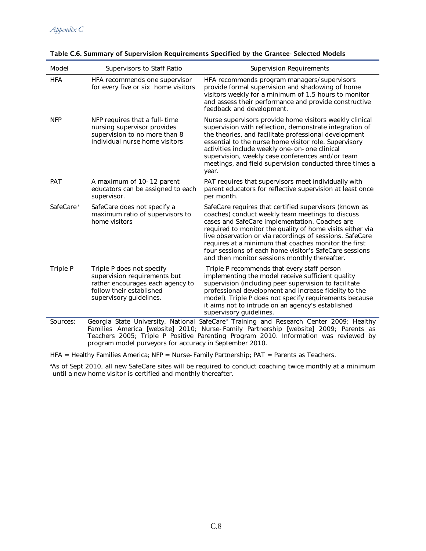| Model                 | Supervisors to Staff Ratio                                                                                                                           | <b>Supervision Requirements</b>                                                                                                                                                                                                                                                                                                                                                                                                                          |
|-----------------------|------------------------------------------------------------------------------------------------------------------------------------------------------|----------------------------------------------------------------------------------------------------------------------------------------------------------------------------------------------------------------------------------------------------------------------------------------------------------------------------------------------------------------------------------------------------------------------------------------------------------|
| <b>HFA</b>            | HFA recommends one supervisor<br>for every five or six home visitors                                                                                 | HFA recommends program managers/supervisors<br>provide formal supervision and shadowing of home<br>visitors weekly for a minimum of 1.5 hours to monitor<br>and assess their performance and provide constructive<br>feedback and development.                                                                                                                                                                                                           |
| <b>NFP</b>            | NFP requires that a full-time<br>nursing supervisor provides<br>supervision to no more than 8<br>individual nurse home visitors                      | Nurse supervisors provide home visitors weekly clinical<br>supervision with reflection, demonstrate integration of<br>the theories, and facilitate professional development<br>essential to the nurse home visitor role. Supervisory<br>activities include weekly one-on-one clinical<br>supervision, weekly case conferences and/or team<br>meetings, and field supervision conducted three times a<br>year.                                            |
| PAT                   | A maximum of 10-12 parent<br>educators can be assigned to each<br>supervisor.                                                                        | PAT requires that supervisors meet individually with<br>parent educators for reflective supervision at least once<br>per month.                                                                                                                                                                                                                                                                                                                          |
| SafeCare <sup>a</sup> | SafeCare does not specify a<br>maximum ratio of supervisors to<br>home visitors                                                                      | SafeCare requires that certified supervisors (known as<br>coaches) conduct weekly team meetings to discuss<br>cases and SafeCare implementation. Coaches are<br>required to monitor the quality of home visits either via<br>live observation or via recordings of sessions. SafeCare<br>requires at a minimum that coaches monitor the first<br>four sessions of each home visitor's SafeCare sessions<br>and then monitor sessions monthly thereafter. |
| Triple P              | Triple P does not specify<br>supervision requirements but<br>rather encourages each agency to<br>follow their established<br>supervisory guidelines. | Triple P recommends that every staff person<br>implementing the model receive sufficient quality<br>supervision (including peer supervision to facilitate<br>professional development and increase fidelity to the<br>model). Triple P does not specify requirements because<br>it aims not to intrude on an agency's established<br>supervisory guidelines.                                                                                             |
| Sources:              |                                                                                                                                                      | Georgia State University, National SafeCare® Training and Research Center 2009; Healthy<br>Families America [website] 2010; Nurse-Family Partnership [website] 2009; Parents as<br>Teachers 2005: Triple P Positive Parenting Program 2010, Information was reviewed by                                                                                                                                                                                  |

Table C.6. Summary of Supervision Requirements Specified by the Grantee- Selected Models

Teachers 2005; Triple P Positive Parenting Program 2010. Information was reviewed by program model purveyors for accuracy in September 2010.

HFA = Healthy Families America; NFP = Nurse-Family Partnership; PAT = Parents as Teachers.

a As of Sept 2010, all new SafeCare sites will be required to conduct coaching twice monthly at a minimum until a new home visitor is certified and monthly thereafter.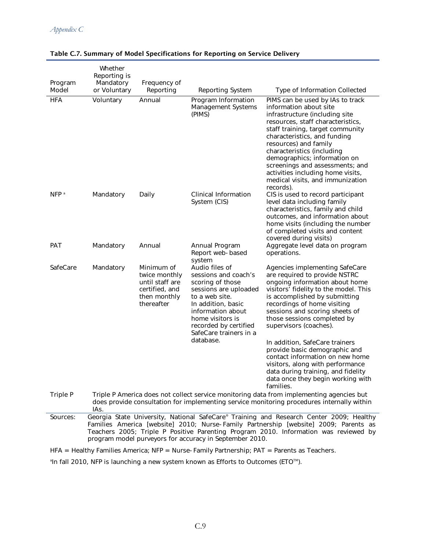| Program<br>Model | Whether<br>Reporting is<br>Mandatory<br>or Voluntary                                                                                                                                                                                                                                                  | Frequency of<br>Reporting                                                                      | Reporting System                                                                                                                                                                                                                     | Type of Information Collected                                                                                                                                                                                                                                                                                                                                                                                                                                                                                              |
|------------------|-------------------------------------------------------------------------------------------------------------------------------------------------------------------------------------------------------------------------------------------------------------------------------------------------------|------------------------------------------------------------------------------------------------|--------------------------------------------------------------------------------------------------------------------------------------------------------------------------------------------------------------------------------------|----------------------------------------------------------------------------------------------------------------------------------------------------------------------------------------------------------------------------------------------------------------------------------------------------------------------------------------------------------------------------------------------------------------------------------------------------------------------------------------------------------------------------|
| <b>HFA</b>       | Voluntary                                                                                                                                                                                                                                                                                             | Annual                                                                                         | Program Information<br>Management Systems<br>(PIMS)                                                                                                                                                                                  | PIMS can be used by IAs to track<br>information about site<br>infrastructure (including site<br>resources, staff characteristics,<br>staff training, target community<br>characteristics, and funding<br>resources) and family<br>characteristics (including<br>demographics; information on<br>screenings and assessments; and<br>activities including home visits,<br>medical visits, and immunization<br>records).                                                                                                      |
| NFP <sup>a</sup> | Mandatory                                                                                                                                                                                                                                                                                             | Daily                                                                                          | Clinical Information<br>System (CIS)                                                                                                                                                                                                 | CIS is used to record participant<br>level data including family<br>characteristics, family and child<br>outcomes, and information about<br>home visits (including the number<br>of completed visits and content<br>covered during visits)                                                                                                                                                                                                                                                                                 |
| <b>PAT</b>       | Mandatory                                                                                                                                                                                                                                                                                             | Annual                                                                                         | Annual Program<br>Report web-based<br>system                                                                                                                                                                                         | Aggregate level data on program<br>operations.                                                                                                                                                                                                                                                                                                                                                                                                                                                                             |
| SafeCare         | Mandatory                                                                                                                                                                                                                                                                                             | Minimum of<br>twice monthly<br>until staff are<br>certified, and<br>then monthly<br>thereafter | Audio files of<br>sessions and coach's<br>scoring of those<br>sessions are uploaded<br>to a web site.<br>In addition, basic<br>information about<br>home visitors is<br>recorded by certified<br>SafeCare trainers in a<br>database. | Agencies implementing SafeCare<br>are required to provide NSTRC<br>ongoing information about home<br>visitors' fidelity to the model. This<br>is accomplished by submitting<br>recordings of home visiting<br>sessions and scoring sheets of<br>those sessions completed by<br>supervisors (coaches).<br>In addition, SafeCare trainers<br>provide basic demographic and<br>contact information on new home<br>visitors, along with performance<br>data during training, and fidelity<br>data once they begin working with |
| Triple P         | families.<br>Triple P America does not collect service monitoring data from implementing agencies but<br>does provide consultation for implementing service monitoring procedures internally within<br>IAs.<br>Coorgia State University National SafeCare® Training and Desearch Center 2000; Healthy |                                                                                                |                                                                                                                                                                                                                                      |                                                                                                                                                                                                                                                                                                                                                                                                                                                                                                                            |
| $C_{\Omega U}$   |                                                                                                                                                                                                                                                                                                       |                                                                                                |                                                                                                                                                                                                                                      |                                                                                                                                                                                                                                                                                                                                                                                                                                                                                                                            |

#### Table C.7. Summary of Model Specifications for Reporting on Service Delivery

Sources: Georgia State University, National SafeCare® Training and Research Center 2009; Healthy Families America [website] 2010; Nurse-Family Partnership [website] 2009; Parents as Teachers 2005; Triple P Positive Parenting Program 2010. Information was reviewed by program model purveyors for accuracy in September 2010.

HFA = Healthy Families America; NFP = Nurse-Family Partnership; PAT = Parents as Teachers.

 $^{\circ}$ In fall 2010, NFP is launching a new system known as Efforts to Outcomes (ETO $^{\circ}$ M).